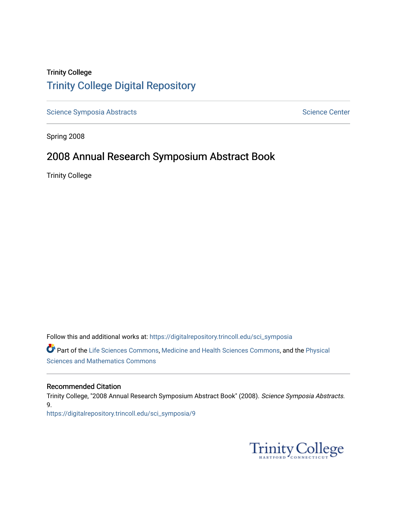# Trinity College [Trinity College Digital Repository](https://digitalrepository.trincoll.edu/)

[Science Symposia Abstracts](https://digitalrepository.trincoll.edu/sci_symposia) **Science Center** Science Center

Spring 2008

# 2008 Annual Research Symposium Abstract Book

Trinity College

Follow this and additional works at: [https://digitalrepository.trincoll.edu/sci\\_symposia](https://digitalrepository.trincoll.edu/sci_symposia?utm_source=digitalrepository.trincoll.edu%2Fsci_symposia%2F9&utm_medium=PDF&utm_campaign=PDFCoverPages)  Part of the [Life Sciences Commons,](http://network.bepress.com/hgg/discipline/1016?utm_source=digitalrepository.trincoll.edu%2Fsci_symposia%2F9&utm_medium=PDF&utm_campaign=PDFCoverPages) [Medicine and Health Sciences Commons,](http://network.bepress.com/hgg/discipline/648?utm_source=digitalrepository.trincoll.edu%2Fsci_symposia%2F9&utm_medium=PDF&utm_campaign=PDFCoverPages) and the [Physical](http://network.bepress.com/hgg/discipline/114?utm_source=digitalrepository.trincoll.edu%2Fsci_symposia%2F9&utm_medium=PDF&utm_campaign=PDFCoverPages)  [Sciences and Mathematics Commons](http://network.bepress.com/hgg/discipline/114?utm_source=digitalrepository.trincoll.edu%2Fsci_symposia%2F9&utm_medium=PDF&utm_campaign=PDFCoverPages) 

#### Recommended Citation

Trinity College, "2008 Annual Research Symposium Abstract Book" (2008). Science Symposia Abstracts. 9. [https://digitalrepository.trincoll.edu/sci\\_symposia/9](https://digitalrepository.trincoll.edu/sci_symposia/9?utm_source=digitalrepository.trincoll.edu%2Fsci_symposia%2F9&utm_medium=PDF&utm_campaign=PDFCoverPages) 

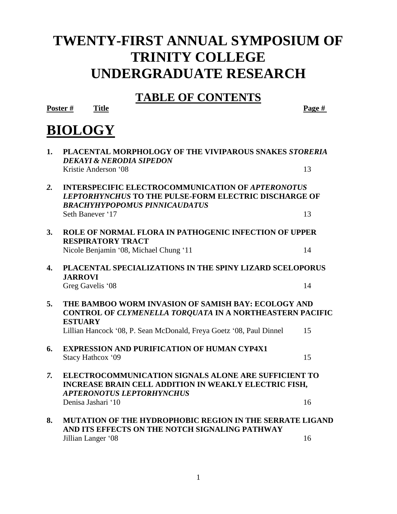# **TWENTY-FIRST ANNUAL SYMPOSIUM OF TRINITY COLLEGE UNDERGRADUATE RESEARCH**

# **TABLE OF CONTENTS**

**Poster # Title Page #**

# **BIOLOGY**

| 1.               | PLACENTAL MORPHOLOGY OF THE VIVIPAROUS SNAKES STORERIA<br><b>DEKAYI &amp; NERODIA SIPEDON</b>                                                                   |    |
|------------------|-----------------------------------------------------------------------------------------------------------------------------------------------------------------|----|
|                  | Kristie Anderson '08                                                                                                                                            | 13 |
| 2.               | <b>INTERSPECIFIC ELECTROCOMMUNICATION OF APTERONOTUS</b><br>LEPTORHYNCHUS TO THE PULSE-FORM ELECTRIC DISCHARGE OF<br><b>BRACHYHYPOPOMUS PINNICAUDATUS</b>       |    |
|                  | Seth Banever '17                                                                                                                                                | 13 |
| 3.               | ROLE OF NORMAL FLORA IN PATHOGENIC INFECTION OF UPPER<br><b>RESPIRATORY TRACT</b>                                                                               |    |
|                  | Nicole Benjamin '08, Michael Chung '11                                                                                                                          | 14 |
| 4.               | PLACENTAL SPECIALIZATIONS IN THE SPINY LIZARD SCELOPORUS<br><b>JARROVI</b>                                                                                      |    |
|                  | Greg Gavelis '08                                                                                                                                                | 14 |
| 5.               | THE BAMBOO WORM INVASION OF SAMISH BAY: ECOLOGY AND<br>CONTROL OF CLYMENELLA TORQUATA IN A NORTHEASTERN PACIFIC<br><b>ESTUARY</b>                               |    |
|                  | Lillian Hancock '08, P. Sean McDonald, Freya Goetz '08, Paul Dinnel                                                                                             | 15 |
| 6.               | <b>EXPRESSION AND PURIFICATION OF HUMAN CYP4X1</b><br>Stacy Hathcox '09                                                                                         | 15 |
| $\overline{7}$ . | <b>ELECTROCOMMUNICATION SIGNALS ALONE ARE SUFFICIENT TO</b><br><b>INCREASE BRAIN CELL ADDITION IN WEAKLY ELECTRIC FISH,</b><br><b>APTERONOTUS LEPTORHYNCHUS</b> |    |
|                  | Denisa Jashari '10                                                                                                                                              | 16 |
| 8.               | <b>MUTATION OF THE HYDROPHOBIC REGION IN THE SERRATE LIGAND</b><br>AND ITS EFFECTS ON THE NOTCH SIGNALING PATHWAY                                               |    |
|                  | Jillian Langer '08                                                                                                                                              | 16 |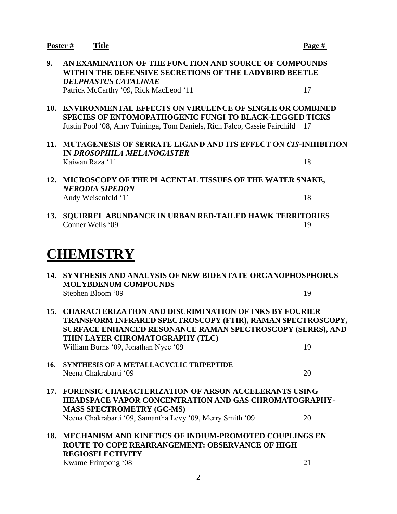|     | Poster#<br><b>Title</b>                                                                                                                                                                                                                                                      | Page # |  |
|-----|------------------------------------------------------------------------------------------------------------------------------------------------------------------------------------------------------------------------------------------------------------------------------|--------|--|
| 9.  | AN EXAMINATION OF THE FUNCTION AND SOURCE OF COMPOUNDS<br>WITHIN THE DEFENSIVE SECRETIONS OF THE LADYBIRD BEETLE<br><b>DELPHASTUS CATALINAE</b>                                                                                                                              |        |  |
|     | Patrick McCarthy '09, Rick MacLeod '11                                                                                                                                                                                                                                       | 17     |  |
| 10. | <b>ENVIRONMENTAL EFFECTS ON VIRULENCE OF SINGLE OR COMBINED</b><br><b>SPECIES OF ENTOMOPATHOGENIC FUNGI TO BLACK-LEGGED TICKS</b><br>Justin Pool '08, Amy Tuininga, Tom Daniels, Rich Falco, Cassie Fairchild                                                                | 17     |  |
| 11. | <b>MUTAGENESIS OF SERRATE LIGAND AND ITS EFFECT ON CIS-INHIBITION</b><br><b>IN DROSOPHILA MELANOGASTER</b>                                                                                                                                                                   |        |  |
|     | Kaiwan Raza '11                                                                                                                                                                                                                                                              | 18     |  |
| 12. | MICROSCOPY OF THE PLACENTAL TISSUES OF THE WATER SNAKE,<br><b>NERODIA SIPEDON</b>                                                                                                                                                                                            |        |  |
|     | Andy Weisenfeld '11                                                                                                                                                                                                                                                          | 18     |  |
| 13. | <b>SQUIRREL ABUNDANCE IN URBAN RED-TAILED HAWK TERRITORIES</b><br>Conner Wells '09                                                                                                                                                                                           | 19     |  |
|     | <b>CHEMISTRY</b>                                                                                                                                                                                                                                                             |        |  |
| 14. | <b>SYNTHESIS AND ANALYSIS OF NEW BIDENTATE ORGANOPHOSPHORUS</b><br><b>MOLYBDENUM COMPOUNDS</b>                                                                                                                                                                               |        |  |
|     | Stephen Bloom '09                                                                                                                                                                                                                                                            | 19     |  |
| 15. | <b>CHARACTERIZATION AND DISCRIMINATION OF INKS BY FOURIER</b><br>TRANSFORM INFRARED SPECTROSCOPY (FTIR), RAMAN SPECTROSCOPY,<br><b>SURFACE ENHANCED RESONANCE RAMAN SPECTROSCOPY (SERRS), AND</b><br>THIN LAYER CHROMATOGRAPHY (TLC)<br>William Burns '09, Jonathan Nyce '09 | 19     |  |
|     |                                                                                                                                                                                                                                                                              |        |  |
| 16. | SYNTHESIS OF A METALLACYCLIC TRIPEPTIDE<br>Neena Chakrabarti '09                                                                                                                                                                                                             | 20     |  |
|     | 17. FORENSIC CHARACTERIZATION OF ARSON ACCELERANTS USING<br><b>HEADSPACE VAPOR CONCENTRATION AND GAS CHROMATOGRAPHY-</b><br><b>MASS SPECTROMETRY (GC-MS)</b>                                                                                                                 |        |  |
|     | Neena Chakrabarti '09, Samantha Levy '09, Merry Smith '09                                                                                                                                                                                                                    | 20     |  |
| 18. | <b>MECHANISM AND KINETICS OF INDIUM-PROMOTED COUPLINGS EN</b><br><b>ROUTE TO COPE REARRANGEMENT: OBSERVANCE OF HIGH</b><br><b>REGIOSELECTIVITY</b>                                                                                                                           |        |  |
|     | Kwame Frimpong '08                                                                                                                                                                                                                                                           | 21     |  |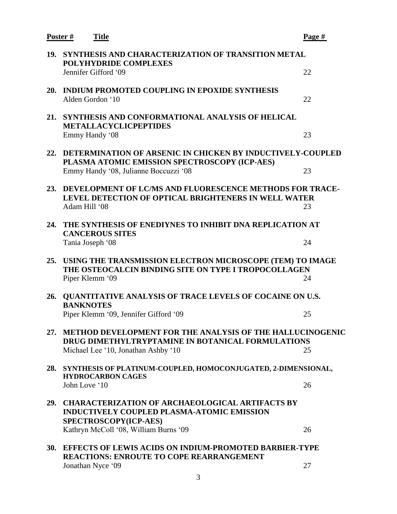**Poster # Title Page # 19. SYNTHESIS AND CHARACTERIZATION OF TRANSITION METAL POLYHYDRIDE COMPLEXES** Jennifer Gifford '09 22 **20. INDIUM PROMOTED COUPLING IN EPOXIDE SYNTHESIS**  Alden Gordon '10 22 **21. SYNTHESIS AND CONFORMATIONAL ANALYSIS OF HELICAL METALLACYCLICPEPTIDES** Emmy Handy '08 23 **22. DETERMINATION OF ARSENIC IN CHICKEN BY INDUCTIVELY-COUPLED PLASMA ATOMIC EMISSION SPECTROSCOPY (ICP-AES)** Emmy Handy '08, Julianne Boccuzzi '08 23 **23. DEVELOPMENT OF LC/MS AND FLUORESCENCE METHODS FOR TRACE-LEVEL DETECTION OF OPTICAL BRIGHTENERS IN WELL WATER** Adam Hill '08 23 **24. THE SYNTHESIS OF ENEDIYNES TO INHIBIT DNA REPLICATION AT CANCEROUS SITES** Tania Joseph '08 24 **25. USING THE TRANSMISSION ELECTRON MICROSCOPE (TEM) TO IMAGE THE OSTEOCALCIN BINDING SITE ON TYPE I TROPOCOLLAGEN** Piper Klemm '09 24 **26. QUANTITATIVE ANALYSIS OF TRACE LEVELS OF COCAINE ON U.S. BANKNOTES** Piper Klemm '09, Jennifer Gifford '09 25 **27. METHOD DEVELOPMENT FOR THE ANALYSIS OF THE HALLUCINOGENIC DRUG DIMETHYLTRYPTAMINE IN BOTANICAL FORMULATIONS** Michael Lee '10, Jonathan Ashby '10 25 **28. SYNTHESIS OF PLATINUM-COUPLED, HOMOCONJUGATED, 2-DIMENSIONAL, HYDROCARBON CAGES** John Love '10 26 **29. CHARACTERIZATION OF ARCHAEOLOGICAL ARTIFACTS BY INDUCTIVELY COUPLED PLASMA-ATOMIC EMISSION SPECTROSCOPY(ICP-AES)** Kathryn McColl '08, William Burns '09 26 **30. EFFECTS OF LEWIS ACIDS ON INDIUM-PROMOTED BARBIER-TYPE REACTIONS: ENROUTE TO COPE REARRANGEMENT** Jonathan Nyce '09 27

3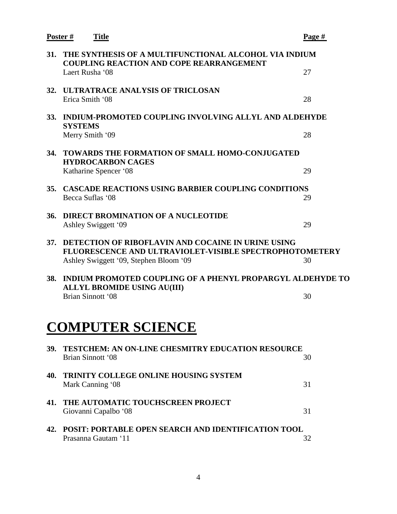|            | Poster #       | <b>Title</b>                                                                                                                                                          | Page # |
|------------|----------------|-----------------------------------------------------------------------------------------------------------------------------------------------------------------------|--------|
| 31.        |                | THE SYNTHESIS OF A MULTIFUNCTIONAL ALCOHOL VIA INDIUM<br><b>COUPLING REACTION AND COPE REARRANGEMENT</b>                                                              |        |
|            |                | Laert Rusha '08                                                                                                                                                       | 27     |
| 32.        |                | <b>ULTRATRACE ANALYSIS OF TRICLOSAN</b><br>Erica Smith '08                                                                                                            | 28     |
| <b>33.</b> | <b>SYSTEMS</b> | INDIUM-PROMOTED COUPLING INVOLVING ALLYL AND ALDEHYDE                                                                                                                 |        |
|            |                | Merry Smith '09                                                                                                                                                       | 28     |
| 34.        |                | <b>TOWARDS THE FORMATION OF SMALL HOMO-CONJUGATED</b><br><b>HYDROCARBON CAGES</b>                                                                                     |        |
|            |                | Katharine Spencer '08                                                                                                                                                 | 29     |
| 35.        |                | <b>CASCADE REACTIONS USING BARBIER COUPLING CONDITIONS</b><br>Becca Suflas '08                                                                                        | 29     |
| 36.        |                | <b>DIRECT BROMINATION OF A NUCLEOTIDE</b><br>Ashley Swiggett '09                                                                                                      | 29     |
| 37.        |                | <b>DETECTION OF RIBOFLAVIN AND COCAINE IN URINE USING</b><br><b>FLUORESCENCE AND ULTRAVIOLET-VISIBLE SPECTROPHOTOMETERY</b><br>Ashley Swiggett '09, Stephen Bloom '09 | 30     |
| 38.        |                | INDIUM PROMOTED COUPLING OF A PHENYL PROPARGYL ALDEHYDE TO<br><b>ALLYL BROMIDE USING AU(III)</b>                                                                      |        |
|            |                | Brian Sinnott '08                                                                                                                                                     | 30     |
|            |                | <b>COMPUTER SCIENCE</b>                                                                                                                                               |        |
| 39.        |                | <b>TESTCHEM: AN ON-LINE CHESMITRY EDUCATION RESOURCE</b><br>Brian Sinnott '08                                                                                         | 30     |
| 40.        |                | <b>TRINITY COLLEGE ONLINE HOUSING SYSTEM</b><br>Mark Canning '08                                                                                                      | 31     |
| 41.        |                | THE AUTOMATIC TOUCHSCREEN PROJECT<br>Giovanni Capalbo '08                                                                                                             | 31     |
| 42.        |                | POSIT: PORTABLE OPEN SEARCH AND IDENTIFICATION TOOL<br>Prasanna Gautam '11                                                                                            | 32     |
|            |                |                                                                                                                                                                       |        |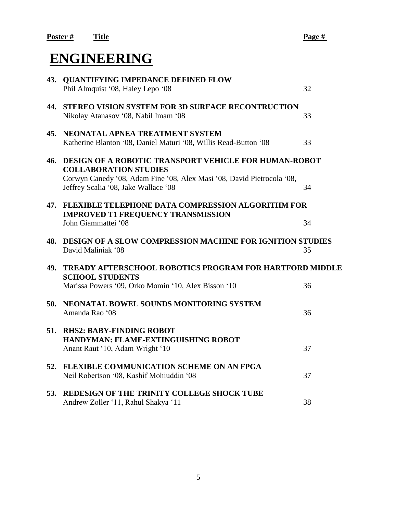# **ENGINEERING**

|     | 43. QUANTIFYING IMPEDANCE DEFINED FLOW<br>Phil Almquist '08, Haley Lepo '08                                                                                                                                    | 32 |
|-----|----------------------------------------------------------------------------------------------------------------------------------------------------------------------------------------------------------------|----|
| 44. | STEREO VISION SYSTEM FOR 3D SURFACE RECONTRUCTION<br>Nikolay Atanasov '08, Nabil Imam '08                                                                                                                      | 33 |
| 45. | NEONATAL APNEA TREATMENT SYSTEM<br>Katherine Blanton '08, Daniel Maturi '08, Willis Read-Button '08                                                                                                            | 33 |
| 46. | <b>DESIGN OF A ROBOTIC TRANSPORT VEHICLE FOR HUMAN-ROBOT</b><br><b>COLLABORATION STUDIES</b><br>Corwyn Canedy '08, Adam Fine '08, Alex Masi '08, David Pietrocola '08,<br>Jeffrey Scalia '08, Jake Wallace '08 | 34 |
| 47. | <b>FLEXIBLE TELEPHONE DATA COMPRESSION ALGORITHM FOR</b><br><b>IMPROVED T1 FREQUENCY TRANSMISSION</b><br>John Giammattei '08                                                                                   | 34 |
| 48. | <b>DESIGN OF A SLOW COMPRESSION MACHINE FOR IGNITION STUDIES</b><br>David Maliniak '08                                                                                                                         | 35 |
| 49. | <b>TREADY AFTERSCHOOL ROBOTICS PROGRAM FOR HARTFORD MIDDLE</b><br><b>SCHOOL STUDENTS</b><br>Marissa Powers '09, Orko Momin '10, Alex Bisson '10                                                                | 36 |
| 50. | NEONATAL BOWEL SOUNDS MONITORING SYSTEM<br>Amanda Rao '08                                                                                                                                                      | 36 |
| 51. | <b>RHS2: BABY-FINDING ROBOT</b><br>HANDYMAN: FLAME-EXTINGUISHING ROBOT<br>Anant Raut '10, Adam Wright '10                                                                                                      | 37 |
| 52. | FLEXIBLE COMMUNICATION SCHEME ON AN FPGA<br>Neil Robertson '08, Kashif Mohiuddin '08                                                                                                                           | 37 |
| 53. | REDESIGN OF THE TRINITY COLLEGE SHOCK TUBE<br>Andrew Zoller '11, Rahul Shakya '11                                                                                                                              | 38 |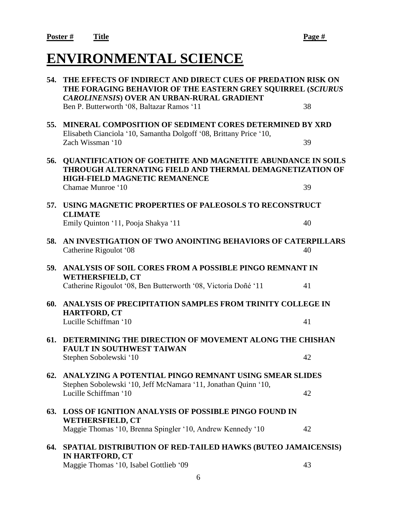# **ENVIRONMENTAL SCIENCE**

| 54.        | THE EFFECTS OF INDIRECT AND DIRECT CUES OF PREDATION RISK ON<br>THE FORAGING BEHAVIOR OF THE EASTERN GREY SOUIRREL (SCIURUS<br><b>CAROLINENSIS) OVER AN URBAN-RURAL GRADIENT</b> |    |
|------------|----------------------------------------------------------------------------------------------------------------------------------------------------------------------------------|----|
|            | Ben P. Butterworth '08, Baltazar Ramos '11                                                                                                                                       | 38 |
| 55.        | <b>MINERAL COMPOSITION OF SEDIMENT CORES DETERMINED BY XRD</b><br>Elisabeth Cianciola '10, Samantha Dolgoff '08, Brittany Price '10,                                             |    |
|            | Zach Wissman '10                                                                                                                                                                 | 39 |
| 56.        | <b>QUANTIFICATION OF GOETHITE AND MAGNETITE ABUNDANCE IN SOILS</b><br>THROUGH ALTERNATING FIELD AND THERMAL DEMAGNETIZATION OF<br><b>HIGH-FIELD MAGNETIC REMANENCE</b>           |    |
|            | Chamae Munroe '10                                                                                                                                                                | 39 |
| 57.        | USING MAGNETIC PROPERTIES OF PALEOSOLS TO RECONSTRUCT<br><b>CLIMATE</b>                                                                                                          |    |
|            | Emily Quinton '11, Pooja Shakya '11                                                                                                                                              | 40 |
| 58.        | AN INVESTIGATION OF TWO ANOINTING BEHAVIORS OF CATERPILLARS<br>Catherine Rigoulot '08                                                                                            | 40 |
| 59.        | ANALYSIS OF SOIL CORES FROM A POSSIBLE PINGO REMNANT IN<br><b>WETHERSFIELD, CT</b>                                                                                               |    |
|            | Catherine Rigoulot '08, Ben Butterworth '08, Victoria Doñé '11                                                                                                                   | 41 |
| 60.        | ANALYSIS OF PRECIPITATION SAMPLES FROM TRINITY COLLEGE IN<br><b>HARTFORD, CT</b>                                                                                                 |    |
|            | Lucille Schiffman '10                                                                                                                                                            | 41 |
| 61.        | DETERMINING THE DIRECTION OF MOVEMENT ALONG THE CHISHAN<br><b>FAULT IN SOUTHWEST TAIWAN</b>                                                                                      |    |
|            | Stephen Sobolewski '10                                                                                                                                                           | 42 |
| <b>62.</b> | ANALYZING A POTENTIAL PINGO REMNANT USING SMEAR SLIDES<br>Stephen Sobolewski '10, Jeff McNamara '11, Jonathan Quinn '10,                                                         |    |
|            | Lucille Schiffman '10                                                                                                                                                            | 42 |
| <b>63.</b> | <b>LOSS OF IGNITION ANALYSIS OF POSSIBLE PINGO FOUND IN</b><br><b>WETHERSFIELD, CT</b>                                                                                           |    |
|            | Maggie Thomas '10, Brenna Spingler '10, Andrew Kennedy '10                                                                                                                       | 42 |
| 64.        | SPATIAL DISTRIBUTION OF RED-TAILED HAWKS (BUTEO JAMAICENSIS)<br><b>IN HARTFORD, CT</b>                                                                                           |    |
|            | Maggie Thomas '10, Isabel Gottlieb '09                                                                                                                                           | 43 |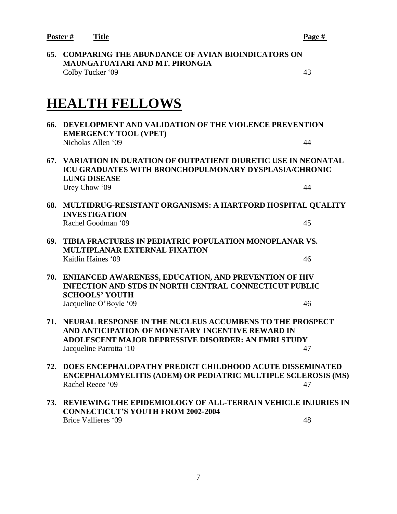**Poster # Title Page #**

**65. COMPARING THE ABUNDANCE OF AVIAN BIOINDICATORS ON MAUNGATUATARI AND MT. PIRONGIA** Colby Tucker '09 43

# **HEALTH FELLOWS**

**66. DEVELOPMENT AND VALIDATION OF THE VIOLENCE PREVENTION EMERGENCY TOOL (VPET)** Nicholas Allen '09 44 **67. VARIATION IN DURATION OF OUTPATIENT DIURETIC USE IN NEONATAL ICU GRADUATES WITH BRONCHOPULMONARY DYSPLASIA/CHRONIC LUNG DISEASE** Urey Chow '09 44 **68. MULTIDRUG-RESISTANT ORGANISMS: A HARTFORD HOSPITAL QUALITY INVESTIGATION** Rachel Goodman '09 45 **69. TIBIA FRACTURES IN PEDIATRIC POPULATION MONOPLANAR VS. MULTIPLANAR EXTERNAL FIXATION** Kaitlin Haines '09 46 **70. ENHANCED AWARENESS, EDUCATION, AND PREVENTION OF HIV INFECTION AND STDS IN NORTH CENTRAL CONNECTICUT PUBLIC SCHOOLS' YOUTH** Jacqueline O'Boyle '09 46 **71. NEURAL RESPONSE IN THE NUCLEUS ACCUMBENS TO THE PROSPECT AND ANTICIPATION OF MONETARY INCENTIVE REWARD IN ADOLESCENT MAJOR DEPRESSIVE DISORDER: AN FMRI STUDY Jacqueline Parrotta '10** 47 **72. DOES ENCEPHALOPATHY PREDICT CHILDHOOD ACUTE DISSEMINATED ENCEPHALOMYELITIS (ADEM) OR PEDIATRIC MULTIPLE SCLEROSIS (MS)** Rachel Reece '09 47 **73. REVIEWING THE EPIDEMIOLOGY OF ALL-TERRAIN VEHICLE INJURIES IN CONNECTICUT'S YOUTH FROM 2002-2004**

Brice Vallieres '09 48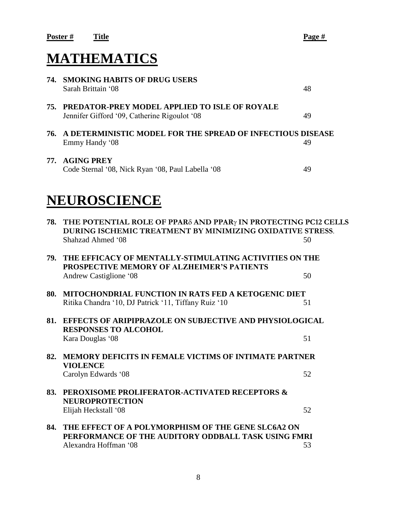# **MATHEMATICS**

|     | <b>74. SMOKING HABITS OF DRUG USERS</b><br>Sarah Brittain '08                                     | 48 |
|-----|---------------------------------------------------------------------------------------------------|----|
|     | 75. PREDATOR-PREY MODEL APPLIED TO ISLE OF ROYALE<br>Jennifer Gifford '09, Catherine Rigoulot '08 | 49 |
|     | 76. A DETERMINISTIC MODEL FOR THE SPREAD OF INFECTIOUS DISEASE<br>Emmy Handy '08                  | 49 |
| 77. | <b>AGING PREY</b><br>Code Sternal '08, Nick Ryan '08, Paul Labella '08                            | 49 |

# **NEUROSCIENCE**

| 78. | THE POTENTIAL ROLE OF PPARδ AND PPARγ IN PROTECTING PC12 CELLS<br>DURING ISCHEMIC TREATMENT BY MINIMIZING OXIDATIVE STRESS.<br>Shahzad Ahmed '08 | 50 |
|-----|--------------------------------------------------------------------------------------------------------------------------------------------------|----|
| 79. | THE EFFICACY OF MENTALLY-STIMULATING ACTIVITIES ON THE<br>PROSPECTIVE MEMORY OF ALZHEIMER'S PATIENTS                                             | 50 |
| 80. | Andrew Castiglione '08<br><b>MITOCHONDRIAL FUNCTION IN RATS FED A KETOGENIC DIET</b>                                                             |    |
|     | Ritika Chandra '10, DJ Patrick '11, Tiffany Ruiz '10                                                                                             | 51 |
| 81. | <b>EFFECTS OF ARIPIPRAZOLE ON SUBJECTIVE AND PHYSIOLOGICAL</b><br><b>RESPONSES TO ALCOHOL</b>                                                    |    |
|     | Kara Douglas '08                                                                                                                                 | 51 |
| 82. | <b>MEMORY DEFICITS IN FEMALE VICTIMS OF INTIMATE PARTNER</b><br><b>VIOLENCE</b>                                                                  |    |
|     | Carolyn Edwards '08                                                                                                                              | 52 |
| 83. | PEROXISOME PROLIFERATOR-ACTIVATED RECEPTORS &<br><b>NEUROPROTECTION</b>                                                                          |    |
|     | Elijah Heckstall '08                                                                                                                             | 52 |
| 84. | THE EFFECT OF A POLYMORPHISM OF THE GENE SLC6A2 ON<br>PERFORMANCE OF THE AUDITORY ODDBALL TASK USING FMRI                                        |    |
|     | Alexandra Hoffman '08                                                                                                                            | 53 |
|     |                                                                                                                                                  |    |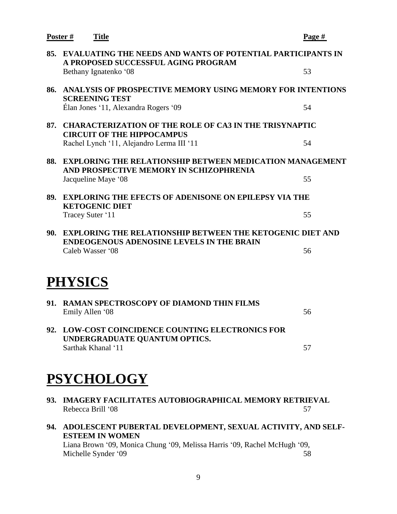| <b>EVALUATING THE NEEDS AND WANTS OF POTENTIAL PARTICIPANTS IN</b><br>85.<br>A PROPOSED SUCCESSFUL AGING PROGRAM<br>53<br>Bethany Ignatenko '08<br>ANALYSIS OF PROSPECTIVE MEMORY USING MEMORY FOR INTENTIONS<br>86.<br><b>SCREENING TEST</b><br>Élan Jones '11, Alexandra Rogers '09<br>54<br><b>CHARACTERIZATION OF THE ROLE OF CA3 IN THE TRISYNAPTIC</b><br>87.<br><b>CIRCUIT OF THE HIPPOCAMPUS</b><br>Rachel Lynch '11, Alejandro Lerma III '11<br>54<br>88.<br><b>EXPLORING THE RELATIONSHIP BETWEEN MEDICATION MANAGEMENT</b><br>AND PROSPECTIVE MEMORY IN SCHIZOPHRENIA<br>55<br>Jacqueline Maye '08<br><b>EXPLORING THE EFECTS OF ADENISONE ON EPILEPSY VIA THE</b><br>89.<br><b>KETOGENIC DIET</b><br>Tracey Suter '11<br>55<br><b>EXPLORING THE RELATIONSHIP BETWEEN THE KETOGENIC DIET AND</b><br>90.<br><b>ENDEOGENOUS ADENOSINE LEVELS IN THE BRAIN</b><br>Caleb Wasser '08<br>56<br><b>PHYSICS</b><br><b>RAMAN SPECTROSCOPY OF DIAMOND THIN FILMS</b><br>91.<br>Emily Allen '08<br>56<br>92. LOW-COST COINCIDENCE COUNTING ELECTRONICS FOR<br>UNDERGRADUATE QUANTUM OPTICS.<br>Sarthak Khanal '11<br>57<br><b>PSYCHOLOGY</b> | Poster#<br><b>Title</b> | Page # |
|----------------------------------------------------------------------------------------------------------------------------------------------------------------------------------------------------------------------------------------------------------------------------------------------------------------------------------------------------------------------------------------------------------------------------------------------------------------------------------------------------------------------------------------------------------------------------------------------------------------------------------------------------------------------------------------------------------------------------------------------------------------------------------------------------------------------------------------------------------------------------------------------------------------------------------------------------------------------------------------------------------------------------------------------------------------------------------------------------------------------------------------------|-------------------------|--------|
|                                                                                                                                                                                                                                                                                                                                                                                                                                                                                                                                                                                                                                                                                                                                                                                                                                                                                                                                                                                                                                                                                                                                              |                         |        |
|                                                                                                                                                                                                                                                                                                                                                                                                                                                                                                                                                                                                                                                                                                                                                                                                                                                                                                                                                                                                                                                                                                                                              |                         |        |
|                                                                                                                                                                                                                                                                                                                                                                                                                                                                                                                                                                                                                                                                                                                                                                                                                                                                                                                                                                                                                                                                                                                                              |                         |        |
|                                                                                                                                                                                                                                                                                                                                                                                                                                                                                                                                                                                                                                                                                                                                                                                                                                                                                                                                                                                                                                                                                                                                              |                         |        |
|                                                                                                                                                                                                                                                                                                                                                                                                                                                                                                                                                                                                                                                                                                                                                                                                                                                                                                                                                                                                                                                                                                                                              |                         |        |
|                                                                                                                                                                                                                                                                                                                                                                                                                                                                                                                                                                                                                                                                                                                                                                                                                                                                                                                                                                                                                                                                                                                                              |                         |        |
|                                                                                                                                                                                                                                                                                                                                                                                                                                                                                                                                                                                                                                                                                                                                                                                                                                                                                                                                                                                                                                                                                                                                              |                         |        |
|                                                                                                                                                                                                                                                                                                                                                                                                                                                                                                                                                                                                                                                                                                                                                                                                                                                                                                                                                                                                                                                                                                                                              |                         |        |
|                                                                                                                                                                                                                                                                                                                                                                                                                                                                                                                                                                                                                                                                                                                                                                                                                                                                                                                                                                                                                                                                                                                                              |                         |        |
|                                                                                                                                                                                                                                                                                                                                                                                                                                                                                                                                                                                                                                                                                                                                                                                                                                                                                                                                                                                                                                                                                                                                              |                         |        |
|                                                                                                                                                                                                                                                                                                                                                                                                                                                                                                                                                                                                                                                                                                                                                                                                                                                                                                                                                                                                                                                                                                                                              |                         |        |
|                                                                                                                                                                                                                                                                                                                                                                                                                                                                                                                                                                                                                                                                                                                                                                                                                                                                                                                                                                                                                                                                                                                                              |                         |        |
|                                                                                                                                                                                                                                                                                                                                                                                                                                                                                                                                                                                                                                                                                                                                                                                                                                                                                                                                                                                                                                                                                                                                              |                         |        |
|                                                                                                                                                                                                                                                                                                                                                                                                                                                                                                                                                                                                                                                                                                                                                                                                                                                                                                                                                                                                                                                                                                                                              |                         |        |
|                                                                                                                                                                                                                                                                                                                                                                                                                                                                                                                                                                                                                                                                                                                                                                                                                                                                                                                                                                                                                                                                                                                                              |                         |        |
|                                                                                                                                                                                                                                                                                                                                                                                                                                                                                                                                                                                                                                                                                                                                                                                                                                                                                                                                                                                                                                                                                                                                              |                         |        |
|                                                                                                                                                                                                                                                                                                                                                                                                                                                                                                                                                                                                                                                                                                                                                                                                                                                                                                                                                                                                                                                                                                                                              |                         |        |
|                                                                                                                                                                                                                                                                                                                                                                                                                                                                                                                                                                                                                                                                                                                                                                                                                                                                                                                                                                                                                                                                                                                                              |                         |        |
| IMAGERY FACILITATES AUTOBIOGRAPHICAL MEMORY RETRIEVAL<br>93.<br>57<br>Rebecca Brill '08                                                                                                                                                                                                                                                                                                                                                                                                                                                                                                                                                                                                                                                                                                                                                                                                                                                                                                                                                                                                                                                      |                         |        |

**94. ADOLESCENT PUBERTAL DEVELOPMENT, SEXUAL ACTIVITY, AND SELF-ESTEEM IN WOMEN** Liana Brown '09, Monica Chung '09, Melissa Harris '09, Rachel McHugh '09, Michelle Synder '09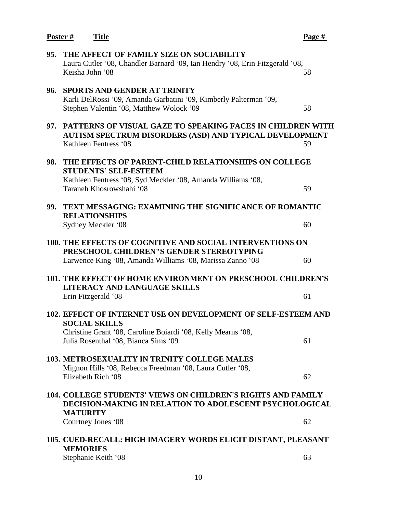| Poster# | <b>Title</b>                                                                                                                                                                                  | Page # |
|---------|-----------------------------------------------------------------------------------------------------------------------------------------------------------------------------------------------|--------|
| 95.     | THE AFFECT OF FAMILY SIZE ON SOCIABILITY<br>Laura Cutler '08, Chandler Barnard '09, Ian Hendry '08, Erin Fitzgerald '08,<br>Keisha John '08                                                   | 58     |
| 96.     | <b>SPORTS AND GENDER AT TRINITY</b><br>Karli DelRossi '09, Amanda Garbatini '09, Kimberly Palterman '09,<br>Stephen Valentin '08, Matthew Wolock '09                                          | 58     |
| 97.     | PATTERNS OF VISUAL GAZE TO SPEAKING FACES IN CHILDREN WITH<br><b>AUTISM SPECTRUM DISORDERS (ASD) AND TYPICAL DEVELOPMENT</b><br>Kathleen Fentress '08                                         | 59     |
| 98.     | THE EFFECTS OF PARENT-CHILD RELATIONSHIPS ON COLLEGE<br><b>STUDENTS' SELF-ESTEEM</b><br>Kathleen Fentress '08, Syd Meckler '08, Amanda Williams '08,<br>Taraneh Khosrowshahi '08              | 59     |
| 99.     | <b>TEXT MESSAGING: EXAMINING THE SIGNIFICANCE OF ROMANTIC</b><br><b>RELATIONSHIPS</b><br>Sydney Meckler '08                                                                                   | 60     |
|         | <b>100. THE EFFECTS OF COGNITIVE AND SOCIAL INTERVENTIONS ON</b><br>PRESCHOOL CHILDREN"S GENDER STEREOTYPING<br>Larwence King '08, Amanda Williams '08, Marissa Zanno '08                     | 60     |
|         | <b>101. THE EFFECT OF HOME ENVIRONMENT ON PRESCHOOL CHILDREN'S</b><br>LITERACY AND LANGUAGE SKILLS<br>Erin Fitzgerald '08                                                                     | 61     |
|         | 102. EFFECT OF INTERNET USE ON DEVELOPMENT OF SELF-ESTEEM AND<br><b>SOCIAL SKILLS</b><br>Christine Grant '08, Caroline Boiardi '08, Kelly Mearns '08,<br>Julia Rosenthal '08, Bianca Sims '09 | 61     |
|         | <b>103. METROSEXUALITY IN TRINITY COLLEGE MALES</b><br>Mignon Hills '08, Rebecca Freedman '08, Laura Cutler '08,<br>Elizabeth Rich '08                                                        | 62     |
|         | 104. COLLEGE STUDENTS' VIEWS ON CHILDREN'S RIGHTS AND FAMILY<br><b>DECISION-MAKING IN RELATION TO ADOLESCENT PSYCHOLOGICAL</b><br><b>MATURITY</b>                                             |        |
|         | Courtney Jones '08                                                                                                                                                                            | 62     |
|         | 105. CUED-RECALL: HIGH IMAGERY WORDS ELICIT DISTANT, PLEASANT<br><b>MEMORIES</b>                                                                                                              |        |
|         | Stephanie Keith '08                                                                                                                                                                           | 63     |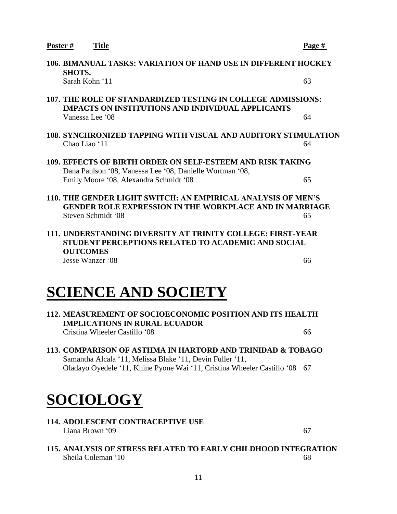| Poster# | <b>Title</b>                                                                                                                   | Page # |
|---------|--------------------------------------------------------------------------------------------------------------------------------|--------|
|         | <b>106. BIMANUAL TASKS: VARIATION OF HAND USE IN DIFFERENT HOCKEY</b><br><b>SHOTS.</b>                                         |        |
|         | Sarah Kohn '11                                                                                                                 | 63     |
|         | 107. THE ROLE OF STANDARDIZED TESTING IN COLLEGE ADMISSIONS:<br><b>IMPACTS ON INSTITUTIONS AND INDIVIDUAL APPLICANTS</b>       |        |
|         | Vanessa Lee '08                                                                                                                | 64     |
|         | 108. SYNCHRONIZED TAPPING WITH VISUAL AND AUDITORY STIMULATION                                                                 |        |
|         | Chao Liao '11                                                                                                                  | 64     |
|         | 109. EFFECTS OF BIRTH ORDER ON SELF-ESTEEM AND RISK TAKING<br>Dana Paulson '08, Vanessa Lee '08, Danielle Wortman '08,         |        |
|         | Emily Moore '08, Alexandra Schmidt '08                                                                                         | 65     |
|         | 110. THE GENDER LIGHT SWITCH: AN EMPIRICAL ANALYSIS OF MEN'S<br><b>GENDER ROLE EXPRESSION IN THE WORKPLACE AND IN MARRIAGE</b> |        |
|         | Steven Schmidt '08                                                                                                             | 65     |
|         | 111. UNDERSTANDING DIVERSITY AT TRINITY COLLEGE: FIRST-YEAR                                                                    |        |
|         | <b>STUDENT PERCEPTIONS RELATED TO ACADEMIC AND SOCIAL</b><br><b>OUTCOMES</b>                                                   |        |
|         | Jesse Wanzer '08                                                                                                               | 66     |

# **SCIENCE AND SOCIETY**

- **112. MEASUREMENT OF SOCIOECONOMIC POSITION AND ITS HEALTH IMPLICATIONS IN RURAL ECUADOR** Cristina Wheeler Castillo '08 66
- **113. COMPARISON OF ASTHMA IN HARTORD AND TRINIDAD & TOBAGO** Samantha Alcala '11, Melissa Blake '11, Devin Fuller '11, Oladayo Oyedele '11, Khine Pyone Wai '11, Cristina Wheeler Castillo '08 67

# **SOCIOLOGY**

**114. ADOLESCENT CONTRACEPTIVE USE**  $Liana Brown'$  09 67

# **115. ANALYSIS OF STRESS RELATED TO EARLY CHILDHOOD INTEGRATION**  Sheila Coleman '10 68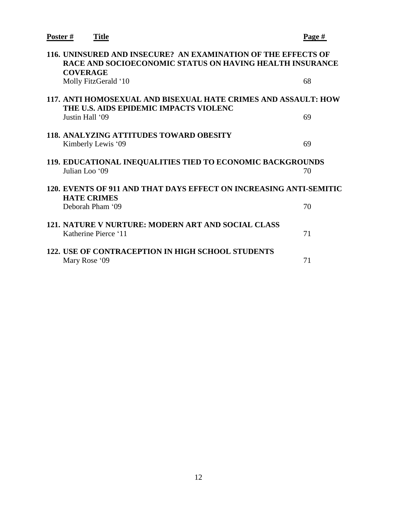| Poster #<br><b>Title</b>                                                                                                                     | Page # |
|----------------------------------------------------------------------------------------------------------------------------------------------|--------|
| 116. UNINSURED AND INSECURE? AN EXAMINATION OF THE EFFECTS OF<br>RACE AND SOCIOECONOMIC STATUS ON HAVING HEALTH INSURANCE<br><b>COVERAGE</b> |        |
| Molly FitzGerald '10                                                                                                                         | 68     |
| 117. ANTI HOMOSEXUAL AND BISEXUAL HATE CRIMES AND ASSAULT: HOW<br>THE U.S. AIDS EPIDEMIC IMPACTS VIOLENC                                     |        |
| Justin Hall '09                                                                                                                              | 69     |
| <b>118. ANALYZING ATTITUDES TOWARD OBESITY</b>                                                                                               |        |
| Kimberly Lewis '09                                                                                                                           | 69     |
| 119. EDUCATIONAL INEQUALITIES TIED TO ECONOMIC BACKGROUNDS                                                                                   |        |
| Julian Loo '09                                                                                                                               | 70     |
| 120. EVENTS OF 911 AND THAT DAYS EFFECT ON INCREASING ANTI-SEMITIC                                                                           |        |
| <b>HATE CRIMES</b><br>Deborah Pham '09                                                                                                       | 70     |
| 121. NATURE V NURTURE: MODERN ART AND SOCIAL CLASS                                                                                           |        |
| Katherine Pierce '11                                                                                                                         | 71     |
| <b>122. USE OF CONTRACEPTION IN HIGH SCHOOL STUDENTS</b><br>Mary Rose '09                                                                    | 71     |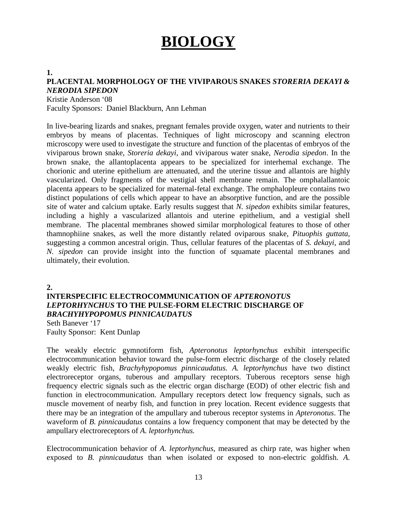# **BIOLOGY**

#### **1.**

## **PLACENTAL MORPHOLOGY OF THE VIVIPAROUS SNAKES** *STORERIA DEKAYI & NERODIA SIPEDON*

Kristie Anderson '08

Faculty Sponsors: Daniel Blackburn, Ann Lehman

In live-bearing lizards and snakes, pregnant females provide oxygen, water and nutrients to their embryos by means of placentas. Techniques of light microscopy and scanning electron microscopy were used to investigate the structure and function of the placentas of embryos of the viviparous brown snake, *Storeria dekayi*, and viviparous water snake, *Nerodia sipedon*. In the brown snake, the allantoplacenta appears to be specialized for interhemal exchange. The chorionic and uterine epithelium are attenuated, and the uterine tissue and allantois are highly vascularized. Only fragments of the vestigial shell membrane remain. The omphalallantoic placenta appears to be specialized for maternal-fetal exchange. The omphalopleure contains two distinct populations of cells which appear to have an absorptive function, and are the possible site of water and calcium uptake. Early results suggest that *N. sipedon* exhibits similar features, including a highly a vascularized allantois and uterine epithelium, and a vestigial shell membrane. The placental membranes showed similar morphological features to those of other thamnophiine snakes, as well the more distantly related oviparous snake, *Pituophis guttata*, suggesting a common ancestral origin. Thus, cellular features of the placentas of *S. dekayi*, and *N. sipedon* can provide insight into the function of squamate placental membranes and ultimately, their evolution.

**2.**

# **INTERSPECIFIC ELECTROCOMMUNICATION OF** *APTERONOTUS LEPTORHYNCHUS* **TO THE PULSE-FORM ELECTRIC DISCHARGE OF**  *BRACHYHYPOPOMUS PINNICAUDATUS*

Seth Banever '17 Faulty Sponsor: Kent Dunlap

The weakly electric gymnotiform fish, *Apteronotus leptorhynchus* exhibit interspecific electrocommunication behavior toward the pulse-form electric discharge of the closely related weakly electric fish, *Brachyhypopomus pinnicaudatus. A. leptorhynchus* have two distinct electroreceptor organs, tuberous and ampullary receptors. Tuberous receptors sense high frequency electric signals such as the electric organ discharge (EOD) of other electric fish and function in electrocommunication. Ampullary receptors detect low frequency signals, such as muscle movement of nearby fish, and function in prey location. Recent evidence suggests that there may be an integration of the ampullary and tuberous receptor systems in *Apteronotus*. The waveform of *B. pinnicaudatus* contains a low frequency component that may be detected by the ampullary electroreceptors of *A. leptorhynchus.*

Electrocommunication behavior of *A. leptorhynchus*, measured as chirp rate, was higher when exposed to *B. pinnicaudatus* than when isolated or exposed to non-electric goldfish. *A.*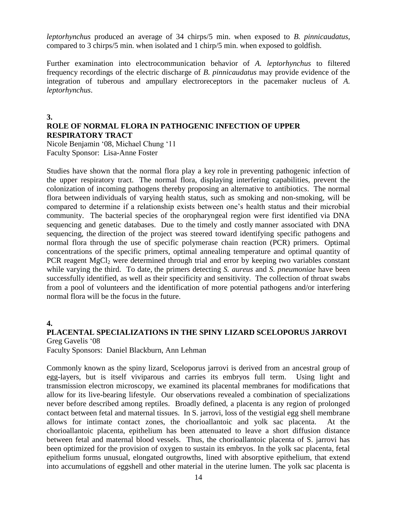*leptorhynchus* produced an average of 34 chirps/5 min. when exposed to *B. pinnicaudatus*, compared to 3 chirps/5 min. when isolated and 1 chirp/5 min. when exposed to goldfish.

Further examination into electrocommunication behavior of *A. leptorhynchus* to filtered frequency recordings of the electric discharge of *B. pinnicaudatus* may provide evidence of the integration of tuberous and ampullary electroreceptors in the pacemaker nucleus of *A. leptorhynchus*.

**3.**

# **ROLE OF NORMAL FLORA IN PATHOGENIC INFECTION OF UPPER RESPIRATORY TRACT**

Nicole Benjamin '08, Michael Chung '11 Faculty Sponsor: Lisa-Anne Foster

Studies have shown that the normal flora play a key role in preventing pathogenic infection of the upper respiratory tract. The normal flora, displaying interfering capabilities, prevent the colonization of incoming pathogens thereby proposing an alternative to antibiotics. The normal flora between individuals of varying health status, such as smoking and non-smoking, will be compared to determine if a relationship exists between one's health status and their microbial community. The bacterial species of the oropharyngeal region were first identified via DNA sequencing and genetic databases. Due to the timely and costly manner associated with DNA sequencing, the direction of the project was steered toward identifying specific pathogens and normal flora through the use of specific polymerase chain reaction (PCR) primers. Optimal concentrations of the specific primers, optimal annealing temperature and optimal quantity of PCR reagent  $MgCl<sub>2</sub>$  were determined through trial and error by keeping two variables constant while varying the third. To date, the primers detecting *S. aureus* and *S. pneumoniae* have been successfully identified, as well as their specificity and sensitivity. The collection of throat swabs from a pool of volunteers and the identification of more potential pathogens and/or interfering normal flora will be the focus in the future.

**4.**

### **PLACENTAL SPECIALIZATIONS IN THE SPINY LIZARD SCELOPORUS JARROVI** Greg Gavelis '08

Faculty Sponsors: Daniel Blackburn, Ann Lehman

Commonly known as the spiny lizard, Sceloporus jarrovi is derived from an ancestral group of egg-layers, but is itself viviparous and carries its embryos full term. Using light and transmission electron microscopy, we examined its placental membranes for modifications that allow for its live-bearing lifestyle. Our observations revealed a combination of specializations never before described among reptiles. Broadly defined, a placenta is any region of prolonged contact between fetal and maternal tissues. In S. jarrovi, loss of the vestigial egg shell membrane allows for intimate contact zones, the chorioallantoic and yolk sac placenta. At the chorioallantoic placenta, epithelium has been attenuated to leave a short diffusion distance between fetal and maternal blood vessels. Thus, the chorioallantoic placenta of S. jarrovi has been optimized for the provision of oxygen to sustain its embryos. In the yolk sac placenta, fetal epithelium forms unusual, elongated outgrowths, lined with absorptive epithelium, that extend into accumulations of eggshell and other material in the uterine lumen. The yolk sac placenta is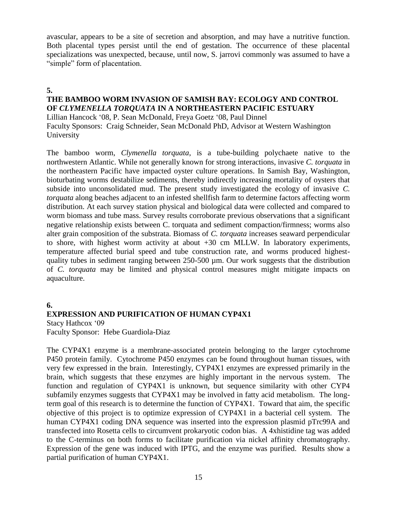avascular, appears to be a site of secretion and absorption, and may have a nutritive function. Both placental types persist until the end of gestation. The occurrence of these placental specializations was unexpected, because, until now, S. jarrovi commonly was assumed to have a "simple" form of placentation.

## **5.**

# **THE BAMBOO WORM INVASION OF SAMISH BAY: ECOLOGY AND CONTROL OF** *CLYMENELLA TORQUATA* **IN A NORTHEASTERN PACIFIC ESTUARY**

Lillian Hancock '08, P. Sean McDonald, Freya Goetz '08, Paul Dinnel Faculty Sponsors: Craig Schneider, Sean McDonald PhD, Advisor at Western Washington University

The bamboo worm, *Clymenella torquata*, is a tube-building polychaete native to the northwestern Atlantic. While not generally known for strong interactions, invasive *C. torquata* in the northeastern Pacific have impacted oyster culture operations. In Samish Bay, Washington, bioturbating worms destabilize sediments, thereby indirectly increasing mortality of oysters that subside into unconsolidated mud. The present study investigated the ecology of invasive *C. torquata* along beaches adjacent to an infested shellfish farm to determine factors affecting worm distribution. At each survey station physical and biological data were collected and compared to worm biomass and tube mass. Survey results corroborate previous observations that a significant negative relationship exists between C. torquata and sediment compaction/firmness; worms also alter grain composition of the substrata. Biomass of *C. torquata* increases seaward perpendicular to shore, with highest worm activity at about +30 cm MLLW. In laboratory experiments, temperature affected burial speed and tube construction rate, and worms produced highestquality tubes in sediment ranging between 250-500 µm. Our work suggests that the distribution of *C. torquata* may be limited and physical control measures might mitigate impacts on aquaculture.

### **6.**

# **EXPRESSION AND PURIFICATION OF HUMAN CYP4X1**

Stacy Hathcox '09 Faculty Sponsor: Hebe Guardiola-Diaz

The CYP4X1 enzyme is a membrane-associated protein belonging to the larger cytochrome P450 protein family. Cytochrome P450 enzymes can be found throughout human tissues, with very few expressed in the brain. Interestingly, CYP4X1 enzymes are expressed primarily in the brain, which suggests that these enzymes are highly important in the nervous system. The function and regulation of CYP4X1 is unknown, but sequence similarity with other CYP4 subfamily enzymes suggests that CYP4X1 may be involved in fatty acid metabolism. The longterm goal of this research is to determine the function of CYP4X1. Toward that aim, the specific objective of this project is to optimize expression of CYP4X1 in a bacterial cell system. The human CYP4X1 coding DNA sequence was inserted into the expression plasmid pTrc99A and transfected into Rosetta cells to circumvent prokaryotic codon bias. A 4xhistidine tag was added to the C-terminus on both forms to facilitate purification via nickel affinity chromatography. Expression of the gene was induced with IPTG, and the enzyme was purified. Results show a partial purification of human CYP4X1.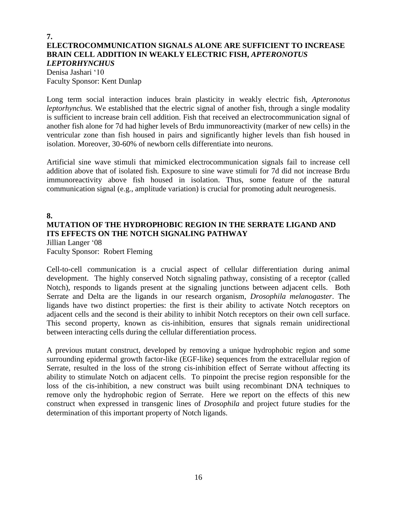# **7. ELECTROCOMMUNICATION SIGNALS ALONE ARE SUFFICIENT TO INCREASE BRAIN CELL ADDITION IN WEAKLY ELECTRIC FISH,** *APTERONOTUS LEPTORHYNCHUS*

Denisa Jashari '10 Faculty Sponsor: Kent Dunlap

Long term social interaction induces brain plasticity in weakly electric fish, *Apteronotus leptorhynchus.* We established that the electric signal of another fish, through a single modality is sufficient to increase brain cell addition. Fish that received an electrocommunication signal of another fish alone for 7d had higher levels of Brdu immunoreactivity (marker of new cells) in the ventricular zone than fish housed in pairs and significantly higher levels than fish housed in isolation. Moreover, 30-60% of newborn cells differentiate into neurons.

Artificial sine wave stimuli that mimicked electrocommunication signals fail to increase cell addition above that of isolated fish. Exposure to sine wave stimuli for 7d did not increase Brdu immunoreactivity above fish housed in isolation. Thus, some feature of the natural communication signal (e.g., amplitude variation) is crucial for promoting adult neurogenesis.

#### **8. MUTATION OF THE HYDROPHOBIC REGION IN THE SERRATE LIGAND AND ITS EFFECTS ON THE NOTCH SIGNALING PATHWAY** Jillian Langer '08

Faculty Sponsor: Robert Fleming

Cell-to-cell communication is a crucial aspect of cellular differentiation during animal development. The highly conserved Notch signaling pathway, consisting of a receptor (called Notch), responds to ligands present at the signaling junctions between adjacent cells. Both Serrate and Delta are the ligands in our research organism, *Drosophila melanogaster*. The ligands have two distinct properties: the first is their ability to activate Notch receptors on adjacent cells and the second is their ability to inhibit Notch receptors on their own cell surface. This second property, known as cis-inhibition, ensures that signals remain unidirectional between interacting cells during the cellular differentiation process.

A previous mutant construct, developed by removing a unique hydrophobic region and some surrounding epidermal growth factor-like (EGF-like) sequences from the extracellular region of Serrate, resulted in the loss of the strong cis-inhibition effect of Serrate without affecting its ability to stimulate Notch on adjacent cells. To pinpoint the precise region responsible for the loss of the cis-inhibition, a new construct was built using recombinant DNA techniques to remove only the hydrophobic region of Serrate. Here we report on the effects of this new construct when expressed in transgenic lines of *Drosophila* and project future studies for the determination of this important property of Notch ligands.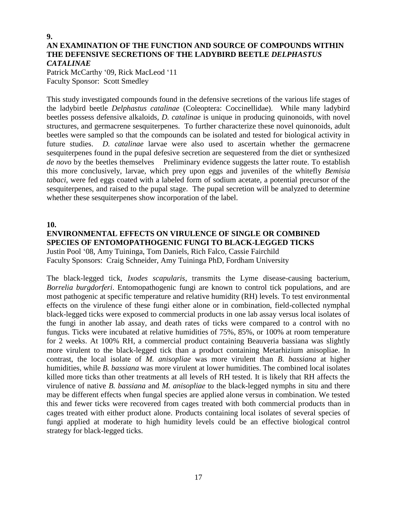## **9. AN EXAMINATION OF THE FUNCTION AND SOURCE OF COMPOUNDS WITHIN THE DEFENSIVE SECRETIONS OF THE LADYBIRD BEETLE** *DELPHASTUS CATALINAE*

Patrick McCarthy '09, Rick MacLeod '11 Faculty Sponsor: Scott Smedley

This study investigated compounds found in the defensive secretions of the various life stages of the ladybird beetle *Delphastus catalinae* (Coleoptera: Coccinellidae). While many ladybird beetles possess defensive alkaloids, *D. catalinae* is unique in producing quinonoids, with novel structures, and germacrene sesquiterpenes. To further characterize these novel quinonoids, adult beetles were sampled so that the compounds can be isolated and tested for biological activity in future studies. *D. catalinae* larvae were also used to ascertain whether the germacrene sesquiterpenes found in the pupal defesive secretion are sequestered from the diet or synthesized *de novo* by the beetles themselves Preliminary evidence suggests the latter route. To establish this more conclusively, larvae, which prey upon eggs and juveniles of the whitefly *Bemisia tabaci*, were fed eggs coated with a labeled form of sodium acetate, a potential precursor of the sesquiterpenes, and raised to the pupal stage. The pupal secretion will be analyzed to determine whether these sesquiterpenes show incorporation of the label.

**10.**

**ENVIRONMENTAL EFFECTS ON VIRULENCE OF SINGLE OR COMBINED SPECIES OF ENTOMOPATHOGENIC FUNGI TO BLACK-LEGGED TICKS** Justin Pool '08, Amy Tuininga, Tom Daniels, Rich Falco, Cassie Fairchild Faculty Sponsors: Craig Schneider, Amy Tuininga PhD, Fordham University

The black-legged tick, *Ixodes scapularis*, transmits the Lyme disease-causing bacterium, *Borrelia burgdorferi*. Entomopathogenic fungi are known to control tick populations, and are most pathogenic at specific temperature and relative humidity (RH) levels. To test environmental effects on the virulence of these fungi either alone or in combination, field-collected nymphal black-legged ticks were exposed to commercial products in one lab assay versus local isolates of the fungi in another lab assay, and death rates of ticks were compared to a control with no fungus. Ticks were incubated at relative humidities of 75%, 85%, or 100% at room temperature for 2 weeks. At 100% RH, a commercial product containing Beauveria bassiana was slightly more virulent to the black-legged tick than a product containing Metarhizium anisopliae. In contrast, the local isolate of *M. anisopliae* was more virulent than *B. bassiana* at higher humidities, while *B. bassiana* was more virulent at lower humidities. The combined local isolates killed more ticks than other treatments at all levels of RH tested. It is likely that RH affects the virulence of native *B. bassiana* and *M. anisopliae* to the black-legged nymphs in situ and there may be different effects when fungal species are applied alone versus in combination. We tested this and fewer ticks were recovered from cages treated with both commercial products than in cages treated with either product alone. Products containing local isolates of several species of fungi applied at moderate to high humidity levels could be an effective biological control strategy for black-legged ticks.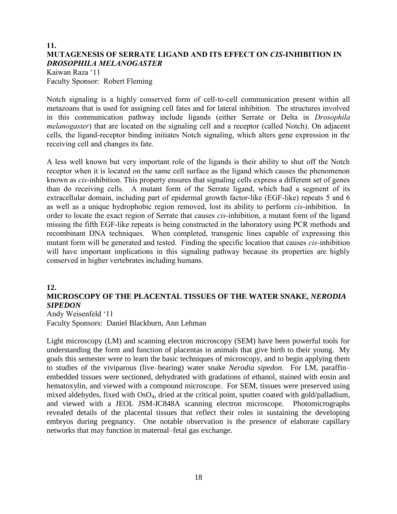# **11. MUTAGENESIS OF SERRATE LIGAND AND ITS EFFECT ON** *CIS***-INHIBITION IN**  *DROSOPHILA MELANOGASTER*

Kaiwan Raza '11 Faculty Sponsor: Robert Fleming

Notch signaling is a highly conserved form of cell-to-cell communication present within all metazoans that is used for assigning cell fates and for lateral inhibition. The structures involved in this communication pathway include ligands (either Serrate or Delta in *Drosophila melanogaster*) that are located on the signaling cell and a receptor (called Notch). On adjacent cells, the ligand-receptor binding initiates Notch signaling, which alters gene expression in the receiving cell and changes its fate.

A less well known but very important role of the ligands is their ability to shut off the Notch receptor when it is located on the same cell surface as the ligand which causes the phenomenon known as *cis*-inhibition. This property ensures that signaling cells express a different set of genes than do receiving cells. A mutant form of the Serrate ligand, which had a segment of its extracellular domain, including part of epidermal growth factor-like (EGF-like) repeats 5 and 6 as well as a unique hydrophobic region removed, lost its ability to perform *cis-*inhibition. In order to locate the exact region of Serrate that causes *cis-*inhibition, a mutant form of the ligand missing the fifth EGF-like repeats is being constructed in the laboratory using PCR methods and recombinant DNA techniques. When completed, transgenic lines capable of expressing this mutant form will be generated and tested. Finding the specific location that causes *cis-*inhibition will have important implications in this signaling pathway because its properties are highly conserved in higher vertebrates including humans.

### **12.**

# **MICROSCOPY OF THE PLACENTAL TISSUES OF THE WATER SNAKE,** *NERODIA SIPEDON*

Andy Weisenfeld '11 Faculty Sponsors: Daniel Blackburn, Ann Lehman

Light microscopy (LM) and scanning electron microscopy (SEM) have been powerful tools for understanding the form and function of placentas in animals that give birth to their young. My goals this semester were to learn the basic techniques of microscopy, and to begin applying them to studies of the viviparous (live–bearing) water snake *Nerodia sipedon*. For LM, paraffin– embedded tissues were sectioned, dehydrated with gradations of ethanol, stained with eosin and hematoxylin, and viewed with a compound microscope. For SEM, tissues were preserved using mixed aldehydes, fixed with OsO4, dried at the critical point, sputter coated with gold/palladium, and viewed with a JEOL JSM-IC848A scanning electron microscope. Photomicrographs revealed details of the placental tissues that reflect their roles in sustaining the developing embryos during pregnancy. One notable observation is the presence of elaborate capillary networks that may function in maternal–fetal gas exchange.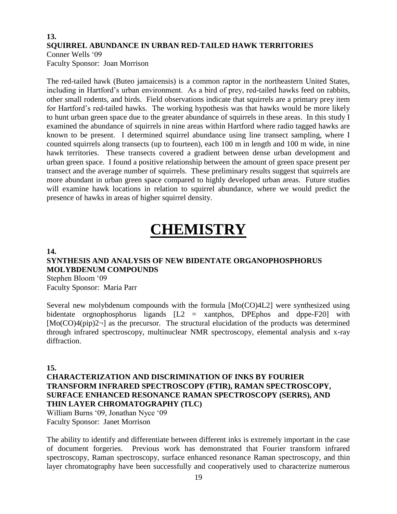## **13. SQUIRREL ABUNDANCE IN URBAN RED-TAILED HAWK TERRITORIES** Conner Wells '09

Faculty Sponsor: Joan Morrison

The red-tailed hawk (Buteo jamaicensis) is a common raptor in the northeastern United States, including in Hartford's urban environment. As a bird of prey, red-tailed hawks feed on rabbits, other small rodents, and birds. Field observations indicate that squirrels are a primary prey item for Hartford's red-tailed hawks. The working hypothesis was that hawks would be more likely to hunt urban green space due to the greater abundance of squirrels in these areas. In this study I examined the abundance of squirrels in nine areas within Hartford where radio tagged hawks are known to be present. I determined squirrel abundance using line transect sampling, where I counted squirrels along transects (up to fourteen), each 100 m in length and 100 m wide, in nine hawk territories. These transects covered a gradient between dense urban development and urban green space. I found a positive relationship between the amount of green space present per transect and the average number of squirrels. These preliminary results suggest that squirrels are more abundant in urban green space compared to highly developed urban areas. Future studies will examine hawk locations in relation to squirrel abundance, where we would predict the presence of hawks in areas of higher squirrel density.

# **CHEMISTRY**

#### **14.**

# **SYNTHESIS AND ANALYSIS OF NEW BIDENTATE ORGANOPHOSPHORUS MOLYBDENUM COMPOUNDS**

Stephen Bloom '09 Faculty Sponsor: Maria Parr

Several new molybdenum compounds with the formula [Mo(CO)4L2] were synthesized using bidentate orgnophosphorus ligands [L2 = xantphos, DPEphos and dppe-F20] with  $[Mo(CO)4(pip)2\n\n]$  as the precursor. The structural elucidation of the products was determined through infrared spectroscopy, multinuclear NMR spectroscopy, elemental analysis and x-ray diffraction.

#### **15.**

**CHARACTERIZATION AND DISCRIMINATION OF INKS BY FOURIER TRANSFORM INFRARED SPECTROSCOPY (FTIR), RAMAN SPECTROSCOPY, SURFACE ENHANCED RESONANCE RAMAN SPECTROSCOPY (SERRS), AND THIN LAYER CHROMATOGRAPHY (TLC)** William Burns '09, Jonathan Nyce '09

Faculty Sponsor: Janet Morrison

The ability to identify and differentiate between different inks is extremely important in the case of document forgeries. Previous work has demonstrated that Fourier transform infrared spectroscopy, Raman spectroscopy, surface enhanced resonance Raman spectroscopy, and thin layer chromatography have been successfully and cooperatively used to characterize numerous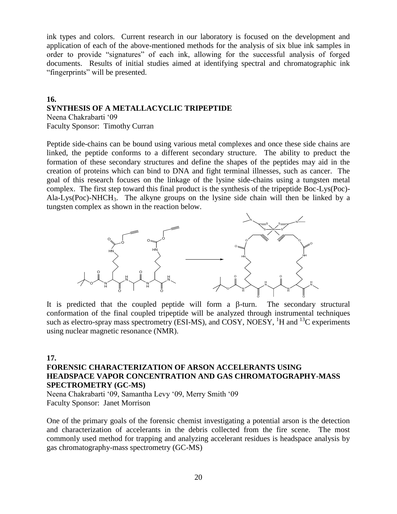ink types and colors. Current research in our laboratory is focused on the development and application of each of the above-mentioned methods for the analysis of six blue ink samples in order to provide "signatures" of each ink, allowing for the successful analysis of forged documents. Results of initial studies aimed at identifying spectral and chromatographic ink "fingerprints" will be presented.

#### **16. SYNTHESIS OF A METALLACYCLIC TRIPEPTIDE** Neena Chakrabarti '09

Faculty Sponsor: Timothy Curran

Peptide side-chains can be bound using various metal complexes and once these side chains are linked, the peptide conforms to a different secondary structure. The ability to preduct the formation of these secondary structures and define the shapes of the peptides may aid in the creation of proteins which can bind to DNA and fight terminal illnesses, such as cancer. The goal of this research focuses on the linkage of the lysine side-chains using a tungsten metal complex. The first step toward this final product is the synthesis of the tripeptide Boc-Lys(Poc)- Ala-Lys(Poc)-NHCH3. The alkyne groups on the lysine side chain will then be linked by a tungsten complex as shown in the reaction below.



It is predicted that the coupled peptide will form a  $\beta$ -turn. The secondary structural conformation of the final coupled tripeptide will be analyzed through instrumental techniques such as electro-spray mass spectrometry (ESI-MS), and COSY, NOESY,  ${}^{1}H$  and  ${}^{13}C$  experiments using nuclear magnetic resonance (NMR).

### **17.**

## **FORENSIC CHARACTERIZATION OF ARSON ACCELERANTS USING HEADSPACE VAPOR CONCENTRATION AND GAS CHROMATOGRAPHY-MASS SPECTROMETRY (GC-MS)**

Neena Chakrabarti '09, Samantha Levy '09, Merry Smith '09 Faculty Sponsor: Janet Morrison

One of the primary goals of the forensic chemist investigating a potential arson is the detection and characterization of accelerants in the debris collected from the fire scene. The most commonly used method for trapping and analyzing accelerant residues is headspace analysis by gas chromatography-mass spectrometry (GC-MS)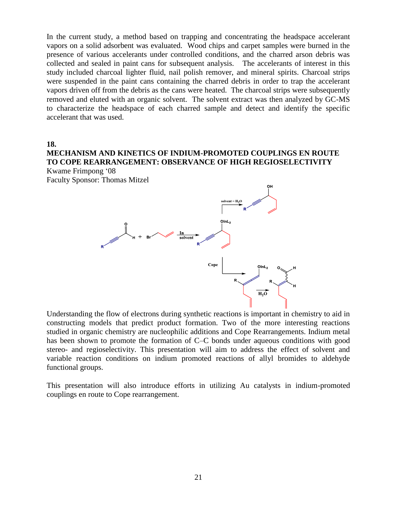In the current study, a method based on trapping and concentrating the headspace accelerant vapors on a solid adsorbent was evaluated. Wood chips and carpet samples were burned in the presence of various accelerants under controlled conditions, and the charred arson debris was collected and sealed in paint cans for subsequent analysis. The accelerants of interest in this study included charcoal lighter fluid, nail polish remover, and mineral spirits. Charcoal strips were suspended in the paint cans containing the charred debris in order to trap the accelerant vapors driven off from the debris as the cans were heated. The charcoal strips were subsequently removed and eluted with an organic solvent. The solvent extract was then analyzed by GC-MS to characterize the headspace of each charred sample and detect and identify the specific accelerant that was used.

#### **18. MECHANISM AND KINETICS OF INDIUM-PROMOTED COUPLINGS EN ROUTE TO COPE REARRANGEMENT: OBSERVANCE OF HIGH REGIOSELECTIVITY** Kwame Frimpong '08

Faculty Sponsor: Thomas Mitzel



Understanding the flow of electrons during synthetic reactions is important in chemistry to aid in constructing models that predict product formation. Two of the more interesting reactions studied in organic chemistry are nucleophilic additions and Cope Rearrangements. Indium metal has been shown to promote the formation of C–C bonds under aqueous conditions with good stereo- and regioselectivity. This presentation will aim to address the effect of solvent and variable reaction conditions on indium promoted reactions of allyl bromides to aldehyde functional groups.

This presentation will also introduce efforts in utilizing Au catalysts in indium-promoted couplings en route to Cope rearrangement.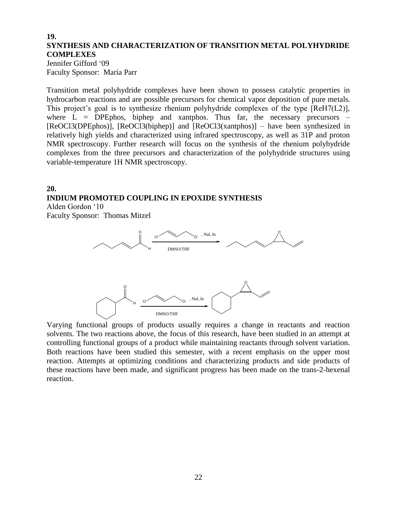## **19. SYNTHESIS AND CHARACTERIZATION OF TRANSITION METAL POLYHYDRIDE COMPLEXES**

Jennifer Gifford '09 Faculty Sponsor: Maria Parr

Transition metal polyhydride complexes have been shown to possess catalytic properties in hydrocarbon reactions and are possible precursors for chemical vapor deposition of pure metals. This project's goal is to synthesize rhenium polyhydride complexes of the type [ReH7(L2)], where  $\overline{L}$  = DPEphos, biphep and xantphos. Thus far, the necessary precursors – [ReOCl3(DPEphos)], [ReOCl3(biphep)] and [ReOCl3(xantphos)] – have been synthesized in relatively high yields and characterized using infrared spectroscopy, as well as 31P and proton NMR spectroscopy. Further research will focus on the synthesis of the rhenium polyhydride complexes from the three precursors and characterization of the polyhydride structures using variable-temperature 1H NMR spectroscopy.

# **20. INDIUM PROMOTED COUPLING IN EPOXIDE SYNTHESIS**

Alden Gordon '10 Faculty Sponsor: Thomas Mitzel



Varying functional groups of products usually requires a change in reactants and reaction solvents. The two reactions above, the focus of this research, have been studied in an attempt at controlling functional groups of a product while maintaining reactants through solvent variation. Both reactions have been studied this semester, with a recent emphasis on the upper most reaction. Attempts at optimizing conditions and characterizing products and side products of these reactions have been made, and significant progress has been made on the trans-2-hexenal reaction.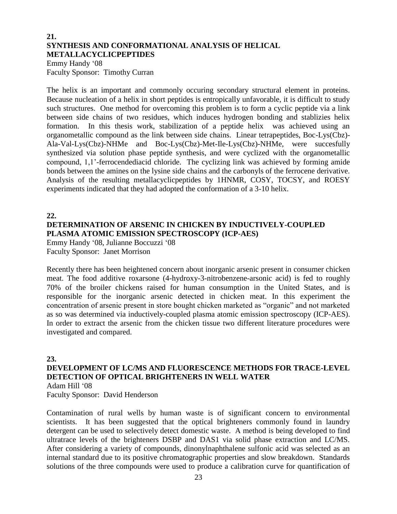# **21. SYNTHESIS AND CONFORMATIONAL ANALYSIS OF HELICAL METALLACYCLICPEPTIDES**

Emmy Handy '08 Faculty Sponsor: Timothy Curran

The helix is an important and commonly occuring secondary structural element in proteins. Because nucleation of a helix in short peptides is entropically unfavorable, it is difficult to study such structures. One method for overcoming this problem is to form a cyclic peptide via a link between side chains of two residues, which induces hydrogen bonding and stablizies helix formation. In this thesis work, stabilization of a peptide helix was achieved using an organometallic compound as the link between side chains. Linear tetrapeptides, Boc-Lys(Cbz)- Ala-Val-Lys(Cbz)-NHMe and Boc-Lys(Cbz)-Met-Ile-Lys(Cbz)-NHMe, were succesfully synthesized via solution phase peptide synthesis, and were cyclized with the organometallic compound, 1,1'-ferrocendediacid chloride. The cyclizing link was achieved by forming amide bonds between the amines on the lysine side chains and the carbonyls of the ferrocene derivative. Analysis of the resulting metallacyclicpeptides by 1HNMR, COSY, TOCSY, and ROESY experiments indicated that they had adopted the conformation of a 3-10 helix.

### **22.**

# **DETERMINATION OF ARSENIC IN CHICKEN BY INDUCTIVELY-COUPLED PLASMA ATOMIC EMISSION SPECTROSCOPY (ICP-AES)**

Emmy Handy '08, Julianne Boccuzzi '08 Faculty Sponsor: Janet Morrison

Recently there has been heightened concern about inorganic arsenic present in consumer chicken meat. The food additive roxarsone (4-hydroxy-3-nitrobenzene-arsonic acid) is fed to roughly 70% of the broiler chickens raised for human consumption in the United States, and is responsible for the inorganic arsenic detected in chicken meat. In this experiment the concentration of arsenic present in store bought chicken marketed as "organic" and not marketed as so was determined via inductively-coupled plasma atomic emission spectroscopy (ICP-AES). In order to extract the arsenic from the chicken tissue two different literature procedures were investigated and compared.

### **23.**

# **DEVELOPMENT OF LC/MS AND FLUORESCENCE METHODS FOR TRACE-LEVEL DETECTION OF OPTICAL BRIGHTENERS IN WELL WATER** Adam Hill '08

Faculty Sponsor: David Henderson

Contamination of rural wells by human waste is of significant concern to environmental scientists. It has been suggested that the optical brighteners commonly found in laundry detergent can be used to selectively detect domestic waste. A method is being developed to find ultratrace levels of the brighteners DSBP and DAS1 via solid phase extraction and LC/MS. After considering a variety of compounds, dinonylnaphthalene sulfonic acid was selected as an internal standard due to its positive chromatographic properties and slow breakdown. Standards solutions of the three compounds were used to produce a calibration curve for quantification of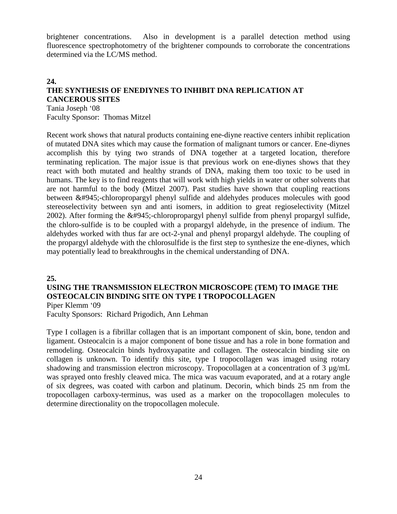brightener concentrations. Also in development is a parallel detection method using fluorescence spectrophotometry of the brightener compounds to corroborate the concentrations determined via the LC/MS method.

# **24. THE SYNTHESIS OF ENEDIYNES TO INHIBIT DNA REPLICATION AT CANCEROUS SITES**

Tania Joseph '08 Faculty Sponsor: Thomas Mitzel

Recent work shows that natural products containing ene-diyne reactive centers inhibit replication of mutated DNA sites which may cause the formation of malignant tumors or cancer. Ene-diynes accomplish this by tying two strands of DNA together at a targeted location, therefore terminating replication. The major issue is that previous work on ene-diynes shows that they react with both mutated and healthy strands of DNA, making them too toxic to be used in humans. The key is to find reagents that will work with high yields in water or other solvents that are not harmful to the body (Mitzel 2007). Past studies have shown that coupling reactions between α-chloropropargyl phenyl sulfide and aldehydes produces molecules with good stereoselectivity between syn and anti isomers, in addition to great regioselectivity (Mitzel 2002). After forming the  $&\#945$ ;-chloropropargyl phenyl sulfide from phenyl propargyl sulfide, the chloro-sulfide is to be coupled with a propargyl aldehyde, in the presence of indium. The aldehydes worked with thus far are oct-2-ynal and phenyl propargyl aldehyde. The coupling of the propargyl aldehyde with the chlorosulfide is the first step to synthesize the ene-diynes, which may potentially lead to breakthroughs in the chemical understanding of DNA.

#### **25.**

# **USING THE TRANSMISSION ELECTRON MICROSCOPE (TEM) TO IMAGE THE OSTEOCALCIN BINDING SITE ON TYPE I TROPOCOLLAGEN**

Piper Klemm '09

Faculty Sponsors: Richard Prigodich, Ann Lehman

Type I collagen is a fibrillar collagen that is an important component of skin, bone, tendon and ligament. Osteocalcin is a major component of bone tissue and has a role in bone formation and remodeling. Osteocalcin binds hydroxyapatite and collagen. The osteocalcin binding site on collagen is unknown. To identify this site, type I tropocollagen was imaged using rotary shadowing and transmission electron microscopy. Tropocollagen at a concentration of 3  $\mu$ g/mL was sprayed onto freshly cleaved mica. The mica was vacuum evaporated, and at a rotary angle of six degrees, was coated with carbon and platinum. Decorin, which binds 25 nm from the tropocollagen carboxy-terminus, was used as a marker on the tropocollagen molecules to determine directionality on the tropocollagen molecule.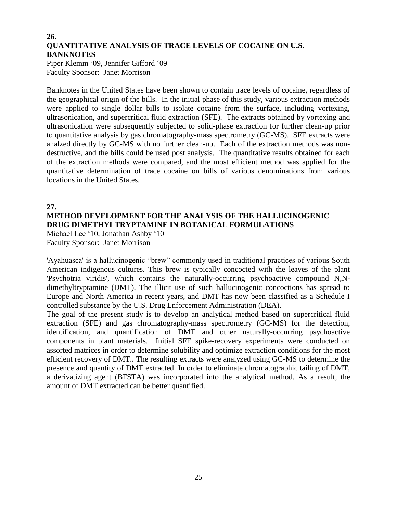# **26. QUANTITATIVE ANALYSIS OF TRACE LEVELS OF COCAINE ON U.S. BANKNOTES**

Piper Klemm '09, Jennifer Gifford '09 Faculty Sponsor: Janet Morrison

Banknotes in the United States have been shown to contain trace levels of cocaine, regardless of the geographical origin of the bills. In the initial phase of this study, various extraction methods were applied to single dollar bills to isolate cocaine from the surface, including vortexing, ultrasonication, and supercritical fluid extraction (SFE). The extracts obtained by vortexing and ultrasonication were subsequently subjected to solid-phase extraction for further clean-up prior to quantitative analysis by gas chromatography-mass spectrometry (GC-MS). SFE extracts were analzed directly by GC-MS with no further clean-up. Each of the extraction methods was nondestructive, and the bills could be used post analysis. The quantitative results obtained for each of the extraction methods were compared, and the most efficient method was applied for the quantitative determination of trace cocaine on bills of various denominations from various locations in the United States.

## **27. METHOD DEVELOPMENT FOR THE ANALYSIS OF THE HALLUCINOGENIC DRUG DIMETHYLTRYPTAMINE IN BOTANICAL FORMULATIONS**

Michael Lee '10, Jonathan Ashby '10 Faculty Sponsor: Janet Morrison

'Ayahuasca' is a hallucinogenic "brew" commonly used in traditional practices of various South American indigenous cultures. This brew is typically concocted with the leaves of the plant 'Psychotria viridis', which contains the naturally-occurring psychoactive compound N,Ndimethyltryptamine (DMT). The illicit use of such hallucinogenic concoctions has spread to Europe and North America in recent years, and DMT has now been classified as a Schedule I controlled substance by the U.S. Drug Enforcement Administration (DEA).

The goal of the present study is to develop an analytical method based on supercritical fluid extraction (SFE) and gas chromatography-mass spectrometry (GC-MS) for the detection, identification, and quantification of DMT and other naturally-occurring psychoactive components in plant materials. Initial SFE spike-recovery experiments were conducted on assorted matrices in order to determine solubility and optimize extraction conditions for the most efficient recovery of DMT.. The resulting extracts were analyzed using GC-MS to determine the presence and quantity of DMT extracted. In order to eliminate chromatographic tailing of DMT, a derivatizing agent (BFSTA) was incorporated into the analytical method. As a result, the amount of DMT extracted can be better quantified.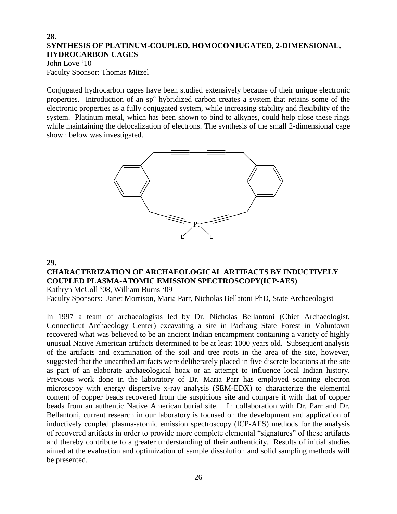## **28. SYNTHESIS OF PLATINUM-COUPLED, HOMOCONJUGATED, 2-DIMENSIONAL, HYDROCARBON CAGES**

John Love '10 Faculty Sponsor: Thomas Mitzel

Conjugated hydrocarbon cages have been studied extensively because of their unique electronic properties. Introduction of an sp<sup>3</sup> hybridized carbon creates a system that retains some of the electronic properties as a fully conjugated system, while increasing stability and flexibility of the system. Platinum metal, which has been shown to bind to alkynes, could help close these rings while maintaining the delocalization of electrons. The synthesis of the small 2-dimensional cage shown below was investigated.



### **29.**

# **CHARACTERIZATION OF ARCHAEOLOGICAL ARTIFACTS BY INDUCTIVELY COUPLED PLASMA-ATOMIC EMISSION SPECTROSCOPY(ICP-AES)**

Kathryn McColl '08, William Burns '09

Faculty Sponsors: Janet Morrison, Maria Parr, Nicholas Bellatoni PhD, State Archaeologist

In 1997 a team of archaeologists led by Dr. Nicholas Bellantoni (Chief Archaeologist, Connecticut Archaeology Center) excavating a site in Pachaug State Forest in Voluntown recovered what was believed to be an ancient Indian encampment containing a variety of highly unusual Native American artifacts determined to be at least 1000 years old. Subsequent analysis of the artifacts and examination of the soil and tree roots in the area of the site, however, suggested that the unearthed artifacts were deliberately placed in five discrete locations at the site as part of an elaborate archaeological hoax or an attempt to influence local Indian history. Previous work done in the laboratory of Dr. Maria Parr has employed scanning electron microscopy with energy dispersive x-ray analysis (SEM-EDX) to characterize the elemental content of copper beads recovered from the suspicious site and compare it with that of copper beads from an authentic Native American burial site. In collaboration with Dr. Parr and Dr. Bellantoni, current research in our laboratory is focused on the development and application of inductively coupled plasma-atomic emission spectroscopy (ICP-AES) methods for the analysis of recovered artifacts in order to provide more complete elemental "signatures" of these artifacts and thereby contribute to a greater understanding of their authenticity. Results of initial studies aimed at the evaluation and optimization of sample dissolution and solid sampling methods will be presented.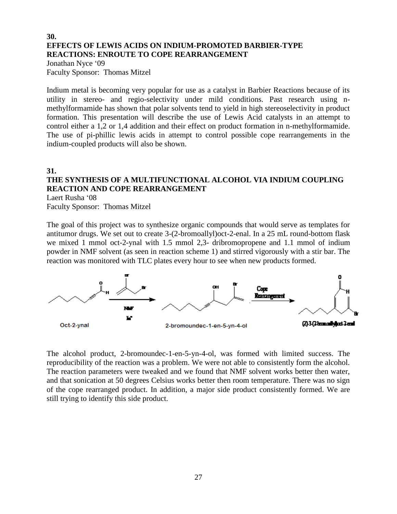## **30. EFFECTS OF LEWIS ACIDS ON INDIUM-PROMOTED BARBIER-TYPE REACTIONS: ENROUTE TO COPE REARRANGEMENT**

Jonathan Nyce '09 Faculty Sponsor: Thomas Mitzel

Indium metal is becoming very popular for use as a catalyst in Barbier Reactions because of its utility in stereo- and regio-selectivity under mild conditions. Past research using nmethylformamide has shown that polar solvents tend to yield in high stereoselectivity in product formation. This presentation will describe the use of Lewis Acid catalysts in an attempt to control either a 1,2 or 1,4 addition and their effect on product formation in n-methylformamide. The use of pi-phillic lewis acids in attempt to control possible cope rearrangements in the indium-coupled products will also be shown.

# **31.**

# **THE SYNTHESIS OF A MULTIFUNCTIONAL ALCOHOL VIA INDIUM COUPLING REACTION AND COPE REARRANGEMENT**

Laert Rusha '08 Faculty Sponsor: Thomas Mitzel

The goal of this project was to synthesize organic compounds that would serve as templates for antitumor drugs. We set out to create 3-(2-bromoallyl)oct-2-enal. In a 25 mL round-bottom flask we mixed 1 mmol oct-2-ynal with 1.5 mmol 2,3- dribromopropene and 1.1 mmol of indium powder in NMF solvent (as seen in reaction scheme 1) and stirred vigorously with a stir bar. The reaction was monitored with TLC plates every hour to see when new products formed.



The alcohol product, 2-bromoundec-1-en-5-yn-4-ol, was formed with limited success. The reproducibility of the reaction was a problem. We were not able to consistently form the alcohol. The reaction parameters were tweaked and we found that NMF solvent works better then water, and that sonication at 50 degrees Celsius works better then room temperature. There was no sign of the cope rearranged product. In addition, a major side product consistently formed. We are still trying to identify this side product.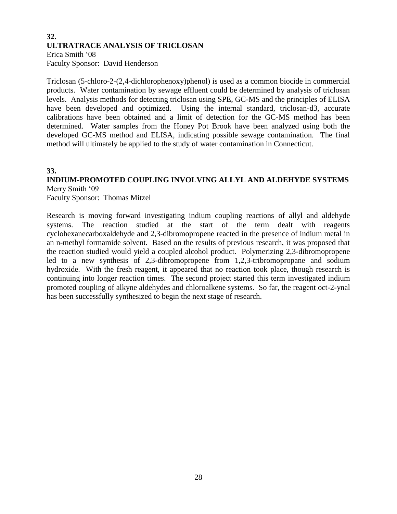## **32. ULTRATRACE ANALYSIS OF TRICLOSAN** Erica Smith '08 Faculty Sponsor: David Henderson

Triclosan (5-chloro-2-(2,4-dichlorophenoxy)phenol) is used as a common biocide in commercial products. Water contamination by sewage effluent could be determined by analysis of triclosan levels. Analysis methods for detecting triclosan using SPE, GC-MS and the principles of ELISA have been developed and optimized. Using the internal standard, triclosan-d3, accurate calibrations have been obtained and a limit of detection for the GC-MS method has been determined. Water samples from the Honey Pot Brook have been analyzed using both the developed GC-MS method and ELISA, indicating possible sewage contamination. The final method will ultimately be applied to the study of water contamination in Connecticut.

### **33.**

# **INDIUM-PROMOTED COUPLING INVOLVING ALLYL AND ALDEHYDE SYSTEMS** Merry Smith '09

Faculty Sponsor: Thomas Mitzel

Research is moving forward investigating indium coupling reactions of allyl and aldehyde systems. The reaction studied at the start of the term dealt with reagents cyclohexanecarboxaldehyde and 2,3-dibromopropene reacted in the presence of indium metal in an n-methyl formamide solvent. Based on the results of previous research, it was proposed that the reaction studied would yield a coupled alcohol product. Polymerizing 2,3-dibromopropene led to a new synthesis of 2,3-dibromopropene from 1,2,3-tribromopropane and sodium hydroxide. With the fresh reagent, it appeared that no reaction took place, though research is continuing into longer reaction times. The second project started this term investigated indium promoted coupling of alkyne aldehydes and chloroalkene systems. So far, the reagent oct-2-ynal has been successfully synthesized to begin the next stage of research.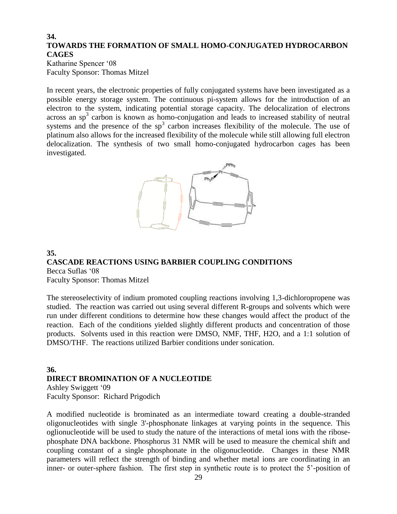## **34. TOWARDS THE FORMATION OF SMALL HOMO-CONJUGATED HYDROCARBON CAGES**

Katharine Spencer '08 Faculty Sponsor: Thomas Mitzel

In recent years, the electronic properties of fully conjugated systems have been investigated as a possible energy storage system. The continuous pi-system allows for the introduction of an electron to the system, indicating potential storage capacity. The delocalization of electrons  $\arccos$  an  $\text{sp}^3$  carbon is known as homo-conjugation and leads to increased stability of neutral systems and the presence of the  $sp<sup>3</sup>$  carbon increases flexibility of the molecule. The use of platinum also allows for the increased flexibility of the molecule while still allowing full electron delocalization. The synthesis of two small homo-conjugated hydrocarbon cages has been investigated.



#### **35. CASCADE REACTIONS USING BARBIER COUPLING CONDITIONS** Becca Suflas '08

Faculty Sponsor: Thomas Mitzel

The stereoselectivity of indium promoted coupling reactions involving 1,3-dichloropropene was studied. The reaction was carried out using several different R-groups and solvents which were run under different conditions to determine how these changes would affect the product of the reaction. Each of the conditions yielded slightly different products and concentration of those products. Solvents used in this reaction were DMSO, NMF, THF, H2O, and a 1:1 solution of DMSO/THF. The reactions utilized Barbier conditions under sonication.

### **36. DIRECT BROMINATION OF A NUCLEOTIDE** Ashley Swiggett '09 Faculty Sponsor: Richard Prigodich

A modified nucleotide is brominated as an intermediate toward creating a double-stranded oligonucleotides with single 3'-phosphonate linkages at varying points in the sequence. This oglionucleotide will be used to study the nature of the interactions of metal ions with the ribosephosphate DNA backbone. Phosphorus 31 NMR will be used to measure the chemical shift and coupling constant of a single phosphonate in the oligonucleotide. Changes in these NMR parameters will reflect the strength of binding and whether metal ions are coordinating in an inner- or outer-sphere fashion. The first step in synthetic route is to protect the 5'-position of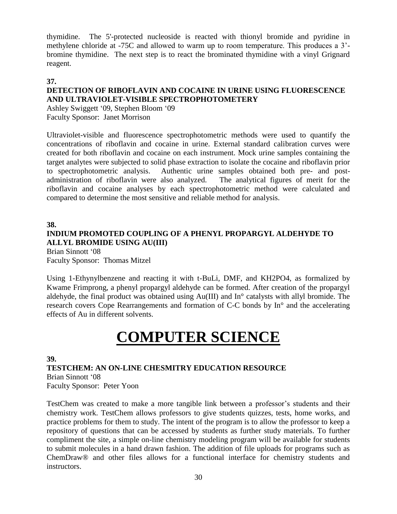thymidine. The 5'-protected nucleoside is reacted with thionyl bromide and pyridine in methylene chloride at -75C and allowed to warm up to room temperature. This produces a 3' bromine thymidine. The next step is to react the brominated thymidine with a vinyl Grignard reagent.

## **37.**

# **DETECTION OF RIBOFLAVIN AND COCAINE IN URINE USING FLUORESCENCE AND ULTRAVIOLET-VISIBLE SPECTROPHOTOMETERY**

Ashley Swiggett '09, Stephen Bloom '09 Faculty Sponsor: Janet Morrison

Ultraviolet-visible and fluorescence spectrophotometric methods were used to quantify the concentrations of riboflavin and cocaine in urine. External standard calibration curves were created for both riboflavin and cocaine on each instrument. Mock urine samples containing the target analytes were subjected to solid phase extraction to isolate the cocaine and riboflavin prior to spectrophotometric analysis. Authentic urine samples obtained both pre- and postadministration of riboflavin were also analyzed. The analytical figures of merit for the riboflavin and cocaine analyses by each spectrophotometric method were calculated and compared to determine the most sensitive and reliable method for analysis.

**38. INDIUM PROMOTED COUPLING OF A PHENYL PROPARGYL ALDEHYDE TO ALLYL BROMIDE USING AU(III)** Brian Sinnott '08

Faculty Sponsor: Thomas Mitzel

Using 1-Ethynylbenzene and reacting it with t-BuLi, DMF, and KH2PO4, as formalized by Kwame Frimprong, a phenyl propargyl aldehyde can be formed. After creation of the propargyl aldehyde, the final product was obtained using Au(III) and In° catalysts with allyl bromide. The research covers Cope Rearrangements and formation of C-C bonds by In° and the accelerating effects of Au in different solvents.

# **COMPUTER SCIENCE**

### **39.**

**TESTCHEM: AN ON-LINE CHESMITRY EDUCATION RESOURCE** Brian Sinnott '08 Faculty Sponsor: Peter Yoon

TestChem was created to make a more tangible link between a professor's students and their chemistry work. TestChem allows professors to give students quizzes, tests, home works, and practice problems for them to study. The intent of the program is to allow the professor to keep a repository of questions that can be accessed by students as further study materials. To further compliment the site, a simple on-line chemistry modeling program will be available for students to submit molecules in a hand drawn fashion. The addition of file uploads for programs such as ChemDraw® and other files allows for a functional interface for chemistry students and instructors.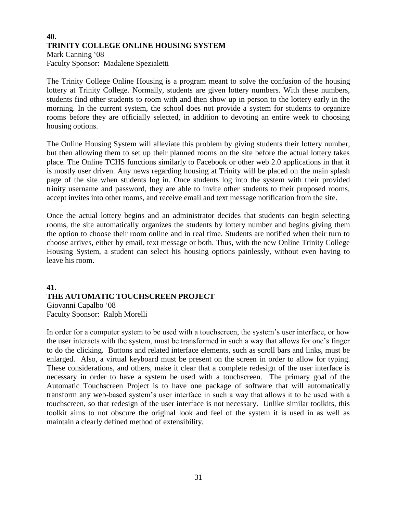## **40. TRINITY COLLEGE ONLINE HOUSING SYSTEM** Mark Canning '08 Faculty Sponsor: Madalene Spezialetti

The Trinity College Online Housing is a program meant to solve the confusion of the housing lottery at Trinity College. Normally, students are given lottery numbers. With these numbers, students find other students to room with and then show up in person to the lottery early in the morning. In the current system, the school does not provide a system for students to organize rooms before they are officially selected, in addition to devoting an entire week to choosing housing options.

The Online Housing System will alleviate this problem by giving students their lottery number, but then allowing them to set up their planned rooms on the site before the actual lottery takes place. The Online TCHS functions similarly to Facebook or other web 2.0 applications in that it is mostly user driven. Any news regarding housing at Trinity will be placed on the main splash page of the site when students log in. Once students log into the system with their provided trinity username and password, they are able to invite other students to their proposed rooms, accept invites into other rooms, and receive email and text message notification from the site.

Once the actual lottery begins and an administrator decides that students can begin selecting rooms, the site automatically organizes the students by lottery number and begins giving them the option to choose their room online and in real time. Students are notified when their turn to choose arrives, either by email, text message or both. Thus, with the new Online Trinity College Housing System, a student can select his housing options painlessly, without even having to leave his room.

## **41. THE AUTOMATIC TOUCHSCREEN PROJECT** Giovanni Capalbo '08 Faculty Sponsor: Ralph Morelli

In order for a computer system to be used with a touchscreen, the system's user interface, or how the user interacts with the system, must be transformed in such a way that allows for one's finger to do the clicking. Buttons and related interface elements, such as scroll bars and links, must be enlarged. Also, a virtual keyboard must be present on the screen in order to allow for typing. These considerations, and others, make it clear that a complete redesign of the user interface is necessary in order to have a system be used with a touchscreen. The primary goal of the Automatic Touchscreen Project is to have one package of software that will automatically transform any web-based system's user interface in such a way that allows it to be used with a touchscreen, so that redesign of the user interface is not necessary. Unlike similar toolkits, this toolkit aims to not obscure the original look and feel of the system it is used in as well as maintain a clearly defined method of extensibility.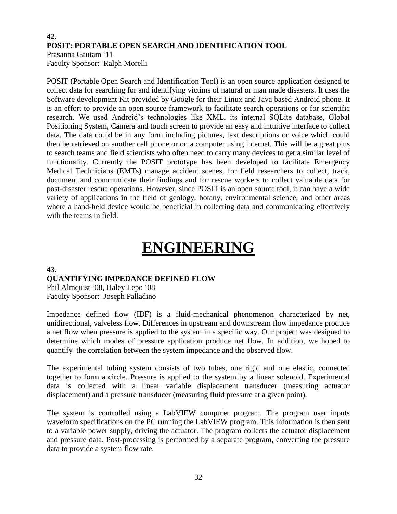## **42. POSIT: PORTABLE OPEN SEARCH AND IDENTIFICATION TOOL** Prasanna Gautam '11

Faculty Sponsor: Ralph Morelli

POSIT (Portable Open Search and Identification Tool) is an open source application designed to collect data for searching for and identifying victims of natural or man made disasters. It uses the Software development Kit provided by Google for their Linux and Java based Android phone. It is an effort to provide an open source framework to facilitate search operations or for scientific research. We used Android's technologies like XML, its internal SQLite database, Global Positioning System, Camera and touch screen to provide an easy and intuitive interface to collect data. The data could be in any form including pictures, text descriptions or voice which could then be retrieved on another cell phone or on a computer using internet. This will be a great plus to search teams and field scientists who often need to carry many devices to get a similar level of functionality. Currently the POSIT prototype has been developed to facilitate Emergency Medical Technicians (EMTs) manage accident scenes, for field researchers to collect, track, document and communicate their findings and for rescue workers to collect valuable data for post-disaster rescue operations. However, since POSIT is an open source tool, it can have a wide variety of applications in the field of geology, botany, environmental science, and other areas where a hand-held device would be beneficial in collecting data and communicating effectively with the teams in field.

# **ENGINEERING**

# **43.**

# **QUANTIFYING IMPEDANCE DEFINED FLOW**

Phil Almquist '08, Haley Lepo '08 Faculty Sponsor: Joseph Palladino

Impedance defined flow (IDF) is a fluid-mechanical phenomenon characterized by net, unidirectional, valveless flow. Differences in upstream and downstream flow impedance produce a net flow when pressure is applied to the system in a specific way. Our project was designed to determine which modes of pressure application produce net flow. In addition, we hoped to quantify the correlation between the system impedance and the observed flow.

The experimental tubing system consists of two tubes, one rigid and one elastic, connected together to form a circle. Pressure is applied to the system by a linear solenoid. Experimental data is collected with a linear variable displacement transducer (measuring actuator displacement) and a pressure transducer (measuring fluid pressure at a given point).

The system is controlled using a LabVIEW computer program. The program user inputs waveform specifications on the PC running the LabVIEW program. This information is then sent to a variable power supply, driving the actuator. The program collects the actuator displacement and pressure data. Post-processing is performed by a separate program, converting the pressure data to provide a system flow rate.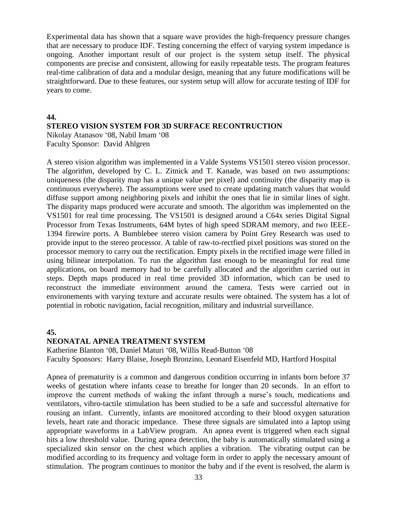Experimental data has shown that a square wave provides the high-frequency pressure changes that are necessary to produce IDF. Testing concerning the effect of varying system impedance is ongoing. Another important result of our project is the system setup itself. The physical components are precise and consistent, allowing for easily repeatable tests. The program features real-time calibration of data and a modular design, meaning that any future modifications will be straightforward. Due to these features, our system setup will allow for accurate testing of IDF for years to come.

#### **44.**

# **STEREO VISION SYSTEM FOR 3D SURFACE RECONTRUCTION**

Nikolay Atanasov '08, Nabil Imam '08 Faculty Sponsor: David Ahlgren

A stereo vision algorithm was implemented in a Valde Systems VS1501 stereo vision processor. The algorithm, developed by C. L. Zitnick and T. Kanade, was based on two assumptions: uniqueness (the disparity map has a unique value per pixel) and continuity (the disparity map is continuous everywhere). The assumptions were used to create updating match values that would diffuse support among neighboring pixels and inhibit the ones that lie in similar lines of sight. The disparity maps produced were accurate and smooth. The algorithm was implemented on the VS1501 for real time processing. The VS1501 is designed around a C64x series Digital Signal Processor from Texas Instruments, 64M bytes of high speed SDRAM memory, and two IEEE-1394 firewire ports. A Bumblebee stereo vision camera by Point Grey Research was used to provide input to the stereo processor. A table of raw-to-rectfied pixel positions was stored on the processor memory to carry out the rectification. Empty pixels in the rectified image were filled in using bilinear interpolation. To run the algorithm fast enough to be meaningful for real time applications, on board memory had to be carefully allocated and the algorithm carried out in steps. Depth maps produced in real time provided 3D information, which can be used to reconstruct the immediate environment around the camera. Tests were carried out in environements with varying texture and accurate results were obtained. The system has a lot of potential in robotic navigation, facial recognition, military and industrial surveillance.

#### **45.**

#### **NEONATAL APNEA TREATMENT SYSTEM**

Katherine Blanton '08, Daniel Maturi '08, Willis Read-Button '08 Faculty Sponsors: Harry Blaise, Joseph Bronzino, Leonard Eisenfeld MD, Hartford Hospital

Apnea of prematurity is a common and dangerous condition occurring in infants born before 37 weeks of gestation where infants cease to breathe for longer than 20 seconds. In an effort to improve the current methods of waking the infant through a nurse's touch, medications and ventilators, vibro-tactile stimulation has been studied to be a safe and successful alternative for rousing an infant. Currently, infants are monitored according to their blood oxygen saturation levels, heart rate and thoracic impedance. These three signals are simulated into a laptop using appropriate waveforms in a LabView program. An apnea event is triggered when each signal hits a low threshold value. During apnea detection, the baby is automatically stimulated using a specialized skin sensor on the chest which applies a vibration. The vibrating output can be modified according to its frequency and voltage form in order to apply the necessary amount of stimulation. The program continues to monitor the baby and if the event is resolved, the alarm is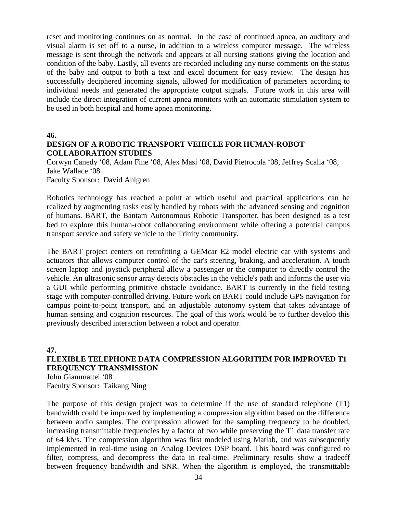reset and monitoring continues on as normal. In the case of continued apnea, an auditory and visual alarm is set off to a nurse, in addition to a wireless computer message. The wireless message is sent through the network and appears at all nursing stations giving the location and condition of the baby. Lastly, all events are recorded including any nurse comments on the status of the baby and output to both a text and excel document for easy review. The design has successfully deciphered incoming signals, allowed for modification of parameters according to individual needs and generated the appropriate output signals. Future work in this area will include the direct integration of current apnea monitors with an automatic stimulation system to be used in both hospital and home apnea monitoring.

**46.**

## **DESIGN OF A ROBOTIC TRANSPORT VEHICLE FOR HUMAN-ROBOT COLLABORATION STUDIES**

Corwyn Canedy '08, Adam Fine '08, Alex Masi '08, David Pietrocola '08, Jeffrey Scalia '08, Jake Wallace '08 Faculty Sponsor: David Ahlgren

Robotics technology has reached a point at which useful and practical applications can be realized by augmenting tasks easily handled by robots with the advanced sensing and cognition of humans. BART, the Bantam Autonomous Robotic Transporter, has been designed as a test bed to explore this human-robot collaborating environment while offering a potential campus transport service and safety vehicle to the Trinity community.

The BART project centers on retrofitting a GEMcar E2 model electric car with systems and actuators that allows computer control of the car's steering, braking, and acceleration. A touch screen laptop and joystick peripheral allow a passenger or the computer to directly control the vehicle. An ultrasonic sensor array detects obstacles in the vehicle's path and informs the user via a GUI while performing primitive obstacle avoidance. BART is currently in the field testing stage with computer-controlled driving. Future work on BART could include GPS navigation for campus point-to-point transport, and an adjustable autonomy system that takes advantage of human sensing and cognition resources. The goal of this work would be to further develop this previously described interaction between a robot and operator.

# **47. FLEXIBLE TELEPHONE DATA COMPRESSION ALGORITHM FOR IMPROVED T1 FREQUENCY TRANSMISSION**

John Giammattei '08 Faculty Sponsor: Taikang Ning

The purpose of this design project was to determine if the use of standard telephone (T1) bandwidth could be improved by implementing a compression algorithm based on the difference between audio samples. The compression allowed for the sampling frequency to be doubled, increasing transmittable frequencies by a factor of two while preserving the T1 data transfer rate of 64 kb/s. The compression algorithm was first modeled using Matlab, and was subsequently implemented in real-time using an Analog Devices DSP board. This board was configured to filter, compress, and decompress the data in real-time. Preliminary results show a tradeoff between frequency bandwidth and SNR. When the algorithm is employed, the transmittable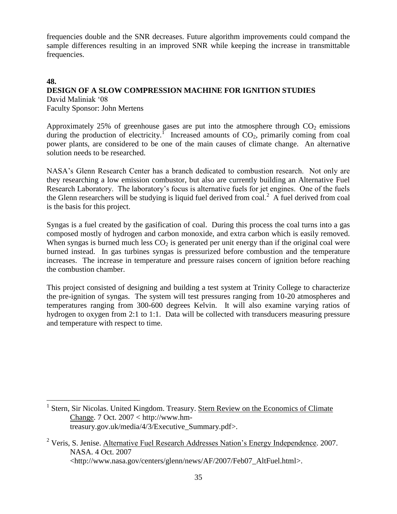frequencies double and the SNR decreases. Future algorithm improvements could compand the sample differences resulting in an improved SNR while keeping the increase in transmittable frequencies.

# **48. DESIGN OF A SLOW COMPRESSION MACHINE FOR IGNITION STUDIES**

David Maliniak '08 Faculty Sponsor: John Mertens

 $\overline{a}$ 

Approximately 25% of greenhouse gases are put into the atmosphere through  $CO<sub>2</sub>$  emissions during the production of electricity.<sup> $\Gamma$ </sup> Increased amounts of CO<sub>2</sub>, primarily coming from coal power plants, are considered to be one of the main causes of climate change. An alternative solution needs to be researched.

NASA's Glenn Research Center has a branch dedicated to combustion research. Not only are they researching a low emission combustor, but also are currently building an Alternative Fuel Research Laboratory. The laboratory's focus is alternative fuels for jet engines. One of the fuels the Glenn researchers will be studying is liquid fuel derived from coal.<sup>2</sup> A fuel derived from coal is the basis for this project.

Syngas is a fuel created by the gasification of coal. During this process the coal turns into a gas composed mostly of hydrogen and carbon monoxide, and extra carbon which is easily removed. When syngas is burned much less  $CO<sub>2</sub>$  is generated per unit energy than if the original coal were burned instead. In gas turbines syngas is pressurized before combustion and the temperature increases. The increase in temperature and pressure raises concern of ignition before reaching the combustion chamber.

This project consisted of designing and building a test system at Trinity College to characterize the pre-ignition of syngas. The system will test pressures ranging from 10-20 atmospheres and temperatures ranging from 300-600 degrees Kelvin. It will also examine varying ratios of hydrogen to oxygen from 2:1 to 1:1. Data will be collected with transducers measuring pressure and temperature with respect to time.

<sup>&</sup>lt;sup>1</sup> Stern, Sir Nicolas. United Kingdom. Treasury. Stern Review on the Economics of Climate Change. 7 Oct. 2007 < http://www.hmtreasury.gov.uk/media/4/3/Executive\_Summary.pdf>.

 $2$  Veris, S. Jenise. Alternative Fuel Research Addresses Nation's Energy Independence. 2007. NASA. 4 Oct. 2007 <http://www.nasa.gov/centers/glenn/news/AF/2007/Feb07\_AltFuel.html>.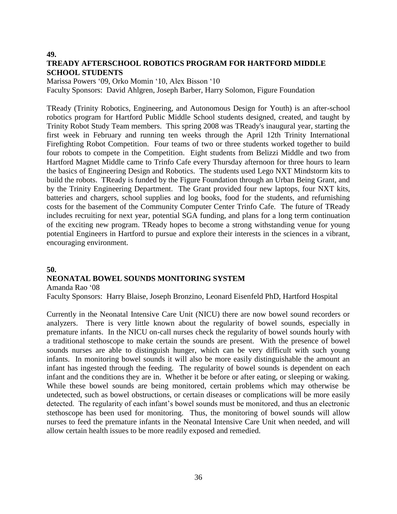### **49. TREADY AFTERSCHOOL ROBOTICS PROGRAM FOR HARTFORD MIDDLE SCHOOL STUDENTS**

Marissa Powers '09, Orko Momin '10, Alex Bisson '10 Faculty Sponsors: David Ahlgren, Joseph Barber, Harry Solomon, Figure Foundation

TReady (Trinity Robotics, Engineering, and Autonomous Design for Youth) is an after-school robotics program for Hartford Public Middle School students designed, created, and taught by Trinity Robot Study Team members. This spring 2008 was TReady's inaugural year, starting the first week in February and running ten weeks through the April 12th Trinity International Firefighting Robot Competition. Four teams of two or three students worked together to build four robots to compete in the Competition. Eight students from Belizzi Middle and two from Hartford Magnet Middle came to Trinfo Cafe every Thursday afternoon for three hours to learn the basics of Engineering Design and Robotics. The students used Lego NXT Mindstorm kits to build the robots. TReady is funded by the Figure Foundation through an Urban Being Grant, and by the Trinity Engineering Department. The Grant provided four new laptops, four NXT kits, batteries and chargers, school supplies and log books, food for the students, and refurnishing costs for the basement of the Community Computer Center Trinfo Cafe. The future of TReady includes recruiting for next year, potential SGA funding, and plans for a long term continuation of the exciting new program. TReady hopes to become a strong withstanding venue for young potential Engineers in Hartford to pursue and explore their interests in the sciences in a vibrant, encouraging environment.

## **50. NEONATAL BOWEL SOUNDS MONITORING SYSTEM**

Amanda Rao '08

Faculty Sponsors: Harry Blaise, Joseph Bronzino, Leonard Eisenfeld PhD, Hartford Hospital

Currently in the Neonatal Intensive Care Unit (NICU) there are now bowel sound recorders or analyzers. There is very little known about the regularity of bowel sounds, especially in premature infants. In the NICU on-call nurses check the regularity of bowel sounds hourly with a traditional stethoscope to make certain the sounds are present. With the presence of bowel sounds nurses are able to distinguish hunger, which can be very difficult with such young infants. In monitoring bowel sounds it will also be more easily distinguishable the amount an infant has ingested through the feeding. The regularity of bowel sounds is dependent on each infant and the conditions they are in. Whether it be before or after eating, or sleeping or waking. While these bowel sounds are being monitored, certain problems which may otherwise be undetected, such as bowel obstructions, or certain diseases or complications will be more easily detected. The regularity of each infant's bowel sounds must be monitored, and thus an electronic stethoscope has been used for monitoring. Thus, the monitoring of bowel sounds will allow nurses to feed the premature infants in the Neonatal Intensive Care Unit when needed, and will allow certain health issues to be more readily exposed and remedied.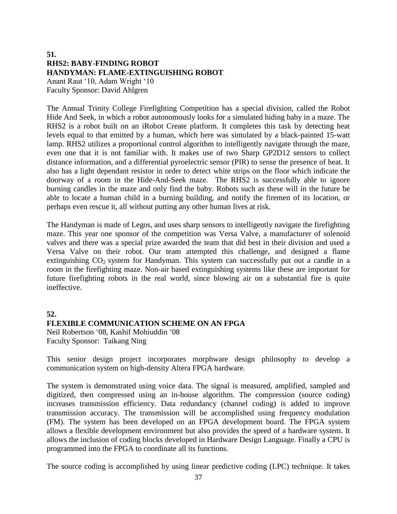### **51. RHS2: BABY-FINDING ROBOT HANDYMAN: FLAME-EXTINGUISHING ROBOT** Anant Raut '10, Adam Wright '10 Faculty Sponsor: David Ahlgren

The Annual Trinity College Firefighting Competition has a special division, called the Robot Hide And Seek, in which a robot autonomously looks for a simulated hiding baby in a maze. The RHS2 is a robot built on an iRobot Create platform. It completes this task by detecting heat levels equal to that emitted by a human, which here was simulated by a black-painted 15-watt lamp. RHS2 utilizes a proportional control algorithm to intelligently navigate through the maze, even one that it is not familiar with. It makes use of two Sharp GP2D12 sensors to collect distance information, and a differential pyroelectric sensor (PIR) to sense the presence of heat. It also has a light dependant resistor in order to detect white strips on the floor which indicate the doorway of a room in the Hide-And-Seek maze. The RHS2 is successfully able to ignore burning candles in the maze and only find the baby. Robots such as these will in the future be able to locate a human child in a burning building, and notify the firemen of its location, or perhaps even rescue it, all without putting any other human lives at risk.

The Handyman is made of Legos, and uses sharp sensors to intelligently navigate the firefighting maze. This year one sponsor of the competition was Versa Valve, a manufacturer of solenoid valves and there was a special prize awarded the team that did best in their division and used a Versa Valve on their robot. Our team attempted this challenge, and designed a flame extinguishing  $CO_2$  system for Handyman. This system can successfully put out a candle in a room in the firefighting maze. Non-air based extinguishing systems like these are important for future firefighting robots in the real world, since blowing air on a substantial fire is quite ineffective.

#### **52.**

#### **FLEXIBLE COMMUNICATION SCHEME ON AN FPGA**

Neil Robertson '08, Kashif Mohiuddin '08 Faculty Sponsor: Taikang Ning

This senior design project incorporates morphware design philosophy to develop a communication system on high-density Altera FPGA hardware.

The system is demonstrated using voice data. The signal is measured, amplified, sampled and digitized, then compressed using an in-house algorithm. The compression (source coding) increases transmission efficiency. Data redundancy (channel coding) is added to improve transmission accuracy. The transmission will be accomplished using frequency modulation (FM). The system has been developed on an FPGA development board. The FPGA system allows a flexible development environment but also provides the speed of a hardware system. It allows the inclusion of coding blocks developed in Hardware Design Language. Finally a CPU is programmed into the FPGA to coordinate all its functions.

The source coding is accomplished by using linear predictive coding (LPC) technique. It takes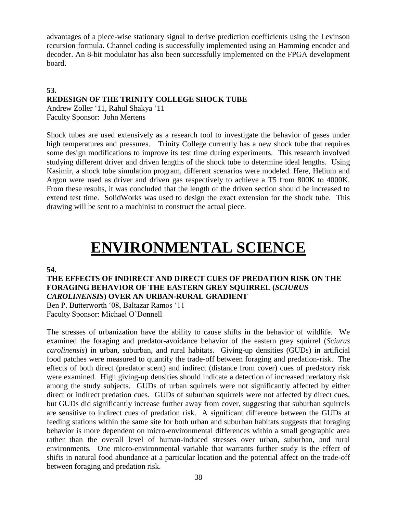advantages of a piece-wise stationary signal to derive prediction coefficients using the Levinson recursion formula. Channel coding is successfully implemented using an Hamming encoder and decoder. An 8-bit modulator has also been successfully implemented on the FPGA development board.

## **53. REDESIGN OF THE TRINITY COLLEGE SHOCK TUBE**

Andrew Zoller '11, Rahul Shakya '11 Faculty Sponsor: John Mertens

Shock tubes are used extensively as a research tool to investigate the behavior of gases under high temperatures and pressures. Trinity College currently has a new shock tube that requires some design modifications to improve its test time during experiments. This research involved studying different driver and driven lengths of the shock tube to determine ideal lengths. Using Kasimir, a shock tube simulation program, different scenarios were modeled. Here, Helium and Argon were used as driver and driven gas respectively to achieve a T5 from 800K to 4000K. From these results, it was concluded that the length of the driven section should be increased to extend test time. SolidWorks was used to design the exact extension for the shock tube. This drawing will be sent to a machinist to construct the actual piece.

## **ENVIRONMENTAL SCIENCE**

#### **54.**

## **THE EFFECTS OF INDIRECT AND DIRECT CUES OF PREDATION RISK ON THE FORAGING BEHAVIOR OF THE EASTERN GREY SQUIRREL (***SCIURUS CAROLINENSIS***) OVER AN URBAN-RURAL GRADIENT**

Ben P. Butterworth '08, Baltazar Ramos '11 Faculty Sponsor: Michael O'Donnell

The stresses of urbanization have the ability to cause shifts in the behavior of wildlife. We examined the foraging and predator-avoidance behavior of the eastern grey squirrel (*Sciurus carolinensis*) in urban, suburban, and rural habitats. Giving-up densities (GUDs) in artificial food patches were measured to quantify the trade-off between foraging and predation-risk. The effects of both direct (predator scent) and indirect (distance from cover) cues of predatory risk were examined. High giving-up densities should indicate a detection of increased predatory risk among the study subjects. GUDs of urban squirrels were not significantly affected by either direct or indirect predation cues. GUDs of suburban squirrels were not affected by direct cues, but GUDs did significantly increase further away from cover, suggesting that suburban squirrels are sensitive to indirect cues of predation risk. A significant difference between the GUDs at feeding stations within the same site for both urban and suburban habitats suggests that foraging behavior is more dependent on micro-environmental differences within a small geographic area rather than the overall level of human-induced stresses over urban, suburban, and rural environments. One micro-environmental variable that warrants further study is the effect of shifts in natural food abundance at a particular location and the potential affect on the trade-off between foraging and predation risk.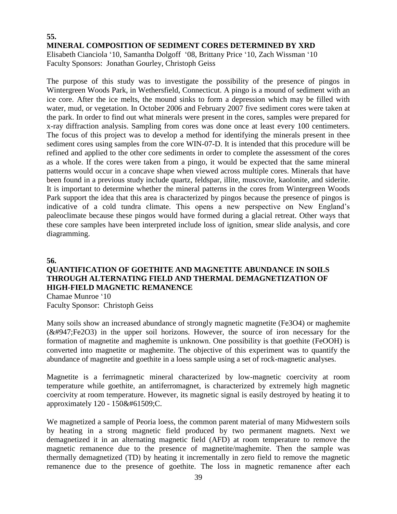## **55. MINERAL COMPOSITION OF SEDIMENT CORES DETERMINED BY XRD**

Elisabeth Cianciola '10, Samantha Dolgoff '08, Brittany Price '10, Zach Wissman '10 Faculty Sponsors: Jonathan Gourley, Christoph Geiss

The purpose of this study was to investigate the possibility of the presence of pingos in Wintergreen Woods Park, in Wethersfield, Connecticut. A pingo is a mound of sediment with an ice core. After the ice melts, the mound sinks to form a depression which may be filled with water, mud, or vegetation. In October 2006 and February 2007 five sediment cores were taken at the park. In order to find out what minerals were present in the cores, samples were prepared for x-ray diffraction analysis. Sampling from cores was done once at least every 100 centimeters. The focus of this project was to develop a method for identifying the minerals present in thee sediment cores using samples from the core WIN-07-D. It is intended that this procedure will be refined and applied to the other core sediments in order to complete the assessment of the cores as a whole. If the cores were taken from a pingo, it would be expected that the same mineral patterns would occur in a concave shape when viewed across multiple cores. Minerals that have been found in a previous study include quartz, feldspar, illite, muscovite, kaolonite, and siderite. It is important to determine whether the mineral patterns in the cores from Wintergreen Woods Park support the idea that this area is characterized by pingos because the presence of pingos is indicative of a cold tundra climate. This opens a new perspective on New England's paleoclimate because these pingos would have formed during a glacial retreat. Other ways that these core samples have been interpreted include loss of ignition, smear slide analysis, and core diagramming.

**56.**

## **QUANTIFICATION OF GOETHITE AND MAGNETITE ABUNDANCE IN SOILS THROUGH ALTERNATING FIELD AND THERMAL DEMAGNETIZATION OF HIGH-FIELD MAGNETIC REMANENCE**

Chamae Munroe '10 Faculty Sponsor: Christoph Geiss

Many soils show an increased abundance of strongly magnetic magnetite (Fe3O4) or maghemite  $(k#947; Fe2O3)$  in the upper soil horizons. However, the source of iron necessary for the formation of magnetite and maghemite is unknown. One possibility is that goethite (FeOOH) is converted into magnetite or maghemite. The objective of this experiment was to quantify the abundance of magnetite and goethite in a loess sample using a set of rock-magnetic analyses.

Magnetite is a ferrimagnetic mineral characterized by low-magnetic coercivity at room temperature while goethite, an antiferromagnet, is characterized by extremely high magnetic coercivity at room temperature. However, its magnetic signal is easily destroyed by heating it to approximately 120 - 150C.

We magnetized a sample of Peoria loess, the common parent material of many Midwestern soils by heating in a strong magnetic field produced by two permanent magnets. Next we demagnetized it in an alternating magnetic field (AFD) at room temperature to remove the magnetic remanence due to the presence of magnetite/maghemite. Then the sample was thermally demagnetized (TD) by heating it incrementally in zero field to remove the magnetic remanence due to the presence of goethite. The loss in magnetic remanence after each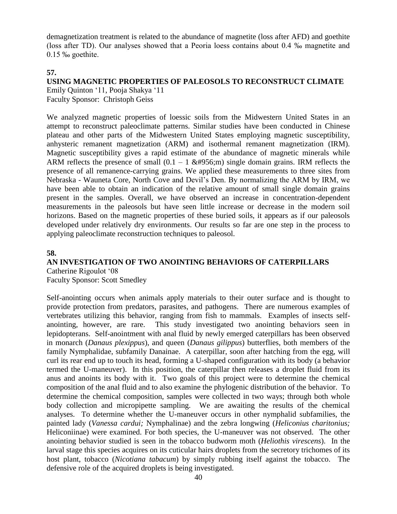demagnetization treatment is related to the abundance of magnetite (loss after AFD) and goethite (loss after TD). Our analyses showed that a Peoria loess contains about 0.4 ‰ magnetite and 0.15 ‰ goethite.

## **57.**

#### **USING MAGNETIC PROPERTIES OF PALEOSOLS TO RECONSTRUCT CLIMATE** Emily Quinton '11, Pooja Shakya '11 Faculty Sponsor: Christoph Geiss

We analyzed magnetic properties of loessic soils from the Midwestern United States in an attempt to reconstruct paleoclimate patterns. Similar studies have been conducted in Chinese plateau and other parts of the Midwestern United States employing magnetic susceptibility, anhysteric remanent magnetization (ARM) and isothermal remanent magnetization (IRM). Magnetic susceptibility gives a rapid estimate of the abundance of magnetic minerals while ARM reflects the presence of small  $(0.1 - 1 \& \#956)$ ; m) single domain grains. IRM reflects the presence of all remanence-carrying grains. We applied these measurements to three sites from Nebraska - Wauneta Core, North Cove and Devil's Den. By normalizing the ARM by IRM, we have been able to obtain an indication of the relative amount of small single domain grains present in the samples. Overall, we have observed an increase in concentration-dependent measurements in the paleosols but have seen little increase or decrease in the modern soil horizons. Based on the magnetic properties of these buried soils, it appears as if our paleosols developed under relatively dry environments. Our results so far are one step in the process to applying paleoclimate reconstruction techniques to paleosol.

## **58.**

## **AN INVESTIGATION OF TWO ANOINTING BEHAVIORS OF CATERPILLARS**

Catherine Rigoulot '08 Faculty Sponsor: Scott Smedley

Self-anointing occurs when animals apply materials to their outer surface and is thought to provide protection from predators, parasites, and pathogens. There are numerous examples of vertebrates utilizing this behavior, ranging from fish to mammals. Examples of insects selfanointing, however, are rare. This study investigated two anointing behaviors seen in lepidopterans. Self-anointment with anal fluid by newly emerged caterpillars has been observed in monarch (*Danaus plexippus*), and queen (*Danaus gilippus*) butterflies, both members of the family Nymphalidae, subfamily Danainae. A caterpillar, soon after hatching from the egg, will curl its rear end up to touch its head, forming a U-shaped configuration with its body (a behavior termed the U-maneuver). In this position, the caterpillar then releases a droplet fluid from its anus and anoints its body with it. Two goals of this project were to determine the chemical composition of the anal fluid and to also examine the phylogenic distribution of the behavior. To determine the chemical composition, samples were collected in two ways; through both whole body collection and micropipette sampling. We are awaiting the results of the chemical analyses. To determine whether the U-maneuver occurs in other nymphalid subfamilies, the painted lady (*Vanessa cardui;* Nymphalinae) and the zebra longwing (*Heliconius charitonius;*  Heliconiinae) were examined. For both species, the U-maneuver was not observed. The other anointing behavior studied is seen in the tobacco budworm moth (*Heliothis virescens*). In the larval stage this species acquires on its cuticular hairs droplets from the secretory trichomes of its host plant, tobacco (*Nicotiana tabacum*) by simply rubbing itself against the tobacco. The defensive role of the acquired droplets is being investigated.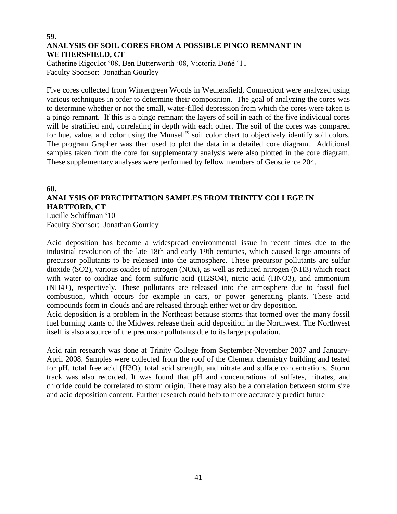#### **59. ANALYSIS OF SOIL CORES FROM A POSSIBLE PINGO REMNANT IN WETHERSFIELD, CT**

Catherine Rigoulot '08, Ben Butterworth '08, Victoria Doñé '11 Faculty Sponsor: Jonathan Gourley

Five cores collected from Wintergreen Woods in Wethersfield, Connecticut were analyzed using various techniques in order to determine their composition. The goal of analyzing the cores was to determine whether or not the small, water-filled depression from which the cores were taken is a pingo remnant. If this is a pingo remnant the layers of soil in each of the five individual cores will be stratified and, correlating in depth with each other. The soil of the cores was compared for hue, value, and color using the Munsell® soil color chart to objectively identify soil colors. The program Grapher was then used to plot the data in a detailed core diagram. Additional samples taken from the core for supplementary analysis were also plotted in the core diagram. These supplementary analyses were performed by fellow members of Geoscience 204.

## **60. ANALYSIS OF PRECIPITATION SAMPLES FROM TRINITY COLLEGE IN HARTFORD, CT**

Lucille Schiffman '10 Faculty Sponsor: Jonathan Gourley

Acid deposition has become a widespread environmental issue in recent times due to the industrial revolution of the late 18th and early 19th centuries, which caused large amounts of precursor pollutants to be released into the atmosphere. These precursor pollutants are sulfur dioxide (SO2), various oxides of nitrogen (NOx), as well as reduced nitrogen (NH3) which react with water to oxidize and form sulfuric acid (H2SO4), nitric acid (HNO3), and ammonium (NH4+), respectively. These pollutants are released into the atmosphere due to fossil fuel combustion, which occurs for example in cars, or power generating plants. These acid compounds form in clouds and are released through either wet or dry deposition.

Acid deposition is a problem in the Northeast because storms that formed over the many fossil fuel burning plants of the Midwest release their acid deposition in the Northwest. The Northwest itself is also a source of the precursor pollutants due to its large population.

Acid rain research was done at Trinity College from September-November 2007 and January-April 2008. Samples were collected from the roof of the Clement chemistry building and tested for pH, total free acid (H3O), total acid strength, and nitrate and sulfate concentrations. Storm track was also recorded. It was found that pH and concentrations of sulfates, nitrates, and chloride could be correlated to storm origin. There may also be a correlation between storm size and acid deposition content. Further research could help to more accurately predict future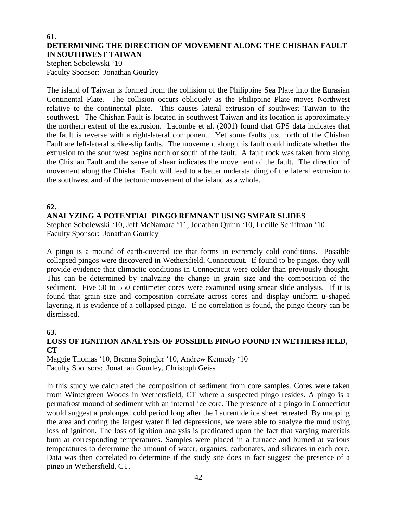#### **61. DETERMINING THE DIRECTION OF MOVEMENT ALONG THE CHISHAN FAULT IN SOUTHWEST TAIWAN**

Stephen Sobolewski '10 Faculty Sponsor: Jonathan Gourley

The island of Taiwan is formed from the collision of the Philippine Sea Plate into the Eurasian Continental Plate. The collision occurs obliquely as the Philippine Plate moves Northwest relative to the continental plate. This causes lateral extrusion of southwest Taiwan to the southwest. The Chishan Fault is located in southwest Taiwan and its location is approximately the northern extent of the extrusion. Lacombe et al. (2001) found that GPS data indicates that the fault is reverse with a right-lateral component. Yet some faults just north of the Chishan Fault are left-lateral strike-slip faults. The movement along this fault could indicate whether the extrusion to the southwest begins north or south of the fault. A fault rock was taken from along the Chishan Fault and the sense of shear indicates the movement of the fault. The direction of movement along the Chishan Fault will lead to a better understanding of the lateral extrusion to the southwest and of the tectonic movement of the island as a whole.

## **62.**

## **ANALYZING A POTENTIAL PINGO REMNANT USING SMEAR SLIDES**

Stephen Sobolewski '10, Jeff McNamara '11, Jonathan Quinn '10, Lucille Schiffman '10 Faculty Sponsor: Jonathan Gourley

A pingo is a mound of earth-covered ice that forms in extremely cold conditions. Possible collapsed pingos were discovered in Wethersfield, Connecticut. If found to be pingos, they will provide evidence that climactic conditions in Connecticut were colder than previously thought. This can be determined by analyzing the change in grain size and the composition of the sediment. Five 50 to 550 centimeter cores were examined using smear slide analysis. If it is found that grain size and composition correlate across cores and display uniform u-shaped layering, it is evidence of a collapsed pingo. If no correlation is found, the pingo theory can be dismissed.

## **63.**

## **LOSS OF IGNITION ANALYSIS OF POSSIBLE PINGO FOUND IN WETHERSFIELD, CT**

Maggie Thomas '10, Brenna Spingler '10, Andrew Kennedy '10 Faculty Sponsors: Jonathan Gourley, Christoph Geiss

In this study we calculated the composition of sediment from core samples. Cores were taken from Wintergreen Woods in Wethersfield, CT where a suspected pingo resides. A pingo is a permafrost mound of sediment with an internal ice core. The presence of a pingo in Connecticut would suggest a prolonged cold period long after the Laurentide ice sheet retreated. By mapping the area and coring the largest water filled depressions, we were able to analyze the mud using loss of ignition. The loss of ignition analysis is predicated upon the fact that varying materials burn at corresponding temperatures. Samples were placed in a furnace and burned at various temperatures to determine the amount of water, organics, carbonates, and silicates in each core. Data was then correlated to determine if the study site does in fact suggest the presence of a pingo in Wethersfield, CT.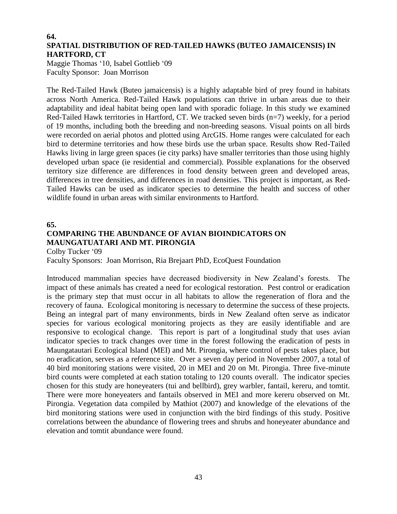#### **64. SPATIAL DISTRIBUTION OF RED-TAILED HAWKS (BUTEO JAMAICENSIS) IN HARTFORD, CT**

Maggie Thomas '10, Isabel Gottlieb '09 Faculty Sponsor: Joan Morrison

The Red-Tailed Hawk (Buteo jamaicensis) is a highly adaptable bird of prey found in habitats across North America. Red-Tailed Hawk populations can thrive in urban areas due to their adaptability and ideal habitat being open land with sporadic foliage. In this study we examined Red-Tailed Hawk territories in Hartford, CT. We tracked seven birds (n=7) weekly, for a period of 19 months, including both the breeding and non-breeding seasons. Visual points on all birds were recorded on aerial photos and plotted using ArcGIS. Home ranges were calculated for each bird to determine territories and how these birds use the urban space. Results show Red-Tailed Hawks living in large green spaces (ie city parks) have smaller territories than those using highly developed urban space (ie residential and commercial). Possible explanations for the observed territory size difference are differences in food density between green and developed areas, differences in tree densities, and differences in road densities. This project is important, as Red-Tailed Hawks can be used as indicator species to determine the health and success of other wildlife found in urban areas with similar environments to Hartford.

#### **65.**

## **COMPARING THE ABUNDANCE OF AVIAN BIOINDICATORS ON MAUNGATUATARI AND MT. PIRONGIA**

Colby Tucker '09

Faculty Sponsors: Joan Morrison, Ria Brejaart PhD, EcoQuest Foundation

Introduced mammalian species have decreased biodiversity in New Zealand's forests. The impact of these animals has created a need for ecological restoration. Pest control or eradication is the primary step that must occur in all habitats to allow the regeneration of flora and the recovery of fauna. Ecological monitoring is necessary to determine the success of these projects. Being an integral part of many environments, birds in New Zealand often serve as indicator species for various ecological monitoring projects as they are easily identifiable and are responsive to ecological change. This report is part of a longitudinal study that uses avian indicator species to track changes over time in the forest following the eradication of pests in Maungatautari Ecological Island (MEI) and Mt. Pirongia, where control of pests takes place, but no eradication, serves as a reference site. Over a seven day period in November 2007, a total of 40 bird monitoring stations were visited, 20 in MEI and 20 on Mt. Pirongia. Three five-minute bird counts were completed at each station totaling to 120 counts overall. The indicator species chosen for this study are honeyeaters (tui and bellbird), grey warbler, fantail, kereru, and tomtit. There were more honeyeaters and fantails observed in MEI and more kereru observed on Mt. Pirongia. Vegetation data compiled by Mathiot (2007) and knowledge of the elevations of the bird monitoring stations were used in conjunction with the bird findings of this study. Positive correlations between the abundance of flowering trees and shrubs and honeyeater abundance and elevation and tomtit abundance were found.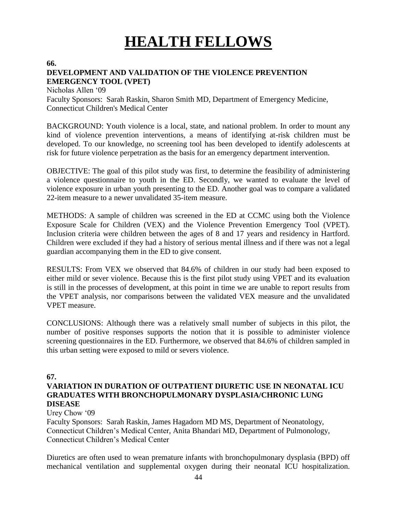# **HEALTH FELLOWS**

**66.**

## **DEVELOPMENT AND VALIDATION OF THE VIOLENCE PREVENTION EMERGENCY TOOL (VPET)**

Nicholas Allen '09 Faculty Sponsors: Sarah Raskin, Sharon Smith MD, Department of Emergency Medicine, Connecticut Children's Medical Center

BACKGROUND: Youth violence is a local, state, and national problem. In order to mount any kind of violence prevention interventions, a means of identifying at-risk children must be developed. To our knowledge, no screening tool has been developed to identify adolescents at risk for future violence perpetration as the basis for an emergency department intervention.

OBJECTIVE: The goal of this pilot study was first, to determine the feasibility of administering a violence questionnaire to youth in the ED. Secondly, we wanted to evaluate the level of violence exposure in urban youth presenting to the ED. Another goal was to compare a validated 22-item measure to a newer unvalidated 35-item measure.

METHODS: A sample of children was screened in the ED at CCMC using both the Violence Exposure Scale for Children (VEX) and the Violence Prevention Emergency Tool (VPET). Inclusion criteria were children between the ages of 8 and 17 years and residency in Hartford. Children were excluded if they had a history of serious mental illness and if there was not a legal guardian accompanying them in the ED to give consent.

RESULTS: From VEX we observed that 84.6% of children in our study had been exposed to either mild or sever violence. Because this is the first pilot study using VPET and its evaluation is still in the processes of development, at this point in time we are unable to report results from the VPET analysis, nor comparisons between the validated VEX measure and the unvalidated VPET measure.

CONCLUSIONS: Although there was a relatively small number of subjects in this pilot, the number of positive responses supports the notion that it is possible to administer violence screening questionnaires in the ED. Furthermore, we observed that 84.6% of children sampled in this urban setting were exposed to mild or severs violence.

## **67.**

## **VARIATION IN DURATION OF OUTPATIENT DIURETIC USE IN NEONATAL ICU GRADUATES WITH BRONCHOPULMONARY DYSPLASIA/CHRONIC LUNG DISEASE**

Urey Chow '09

Faculty Sponsors: Sarah Raskin, James Hagadorn MD MS, Department of Neonatology, Connecticut Children's Medical Center, Anita Bhandari MD, Department of Pulmonology, Connecticut Children's Medical Center

Diuretics are often used to wean premature infants with bronchopulmonary dysplasia (BPD) off mechanical ventilation and supplemental oxygen during their neonatal ICU hospitalization.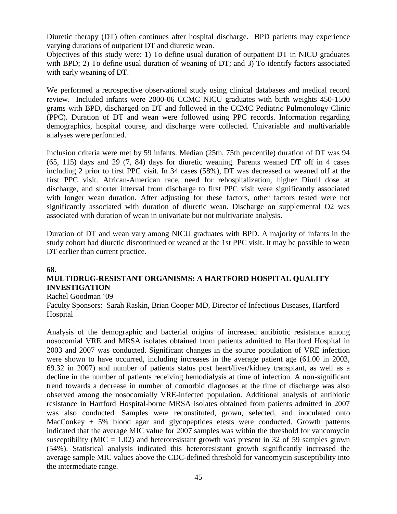Diuretic therapy (DT) often continues after hospital discharge. BPD patients may experience varying durations of outpatient DT and diuretic wean.

Objectives of this study were: 1) To define usual duration of outpatient DT in NICU graduates with BPD; 2) To define usual duration of weaning of DT; and 3) To identify factors associated with early weaning of DT.

We performed a retrospective observational study using clinical databases and medical record review. Included infants were 2000-06 CCMC NICU graduates with birth weights 450-1500 grams with BPD, discharged on DT and followed in the CCMC Pediatric Pulmonology Clinic (PPC). Duration of DT and wean were followed using PPC records. Information regarding demographics, hospital course, and discharge were collected. Univariable and multivariable analyses were performed.

Inclusion criteria were met by 59 infants. Median (25th, 75th percentile) duration of DT was 94 (65, 115) days and 29 (7, 84) days for diuretic weaning. Parents weaned DT off in 4 cases including 2 prior to first PPC visit. In 34 cases (58%), DT was decreased or weaned off at the first PPC visit. African-American race, need for rehospitalization, higher Diuril dose at discharge, and shorter interval from discharge to first PPC visit were significantly associated with longer wean duration. After adjusting for these factors, other factors tested were not significantly associated with duration of diuretic wean. Discharge on supplemental O2 was associated with duration of wean in univariate but not multivariate analysis.

Duration of DT and wean vary among NICU graduates with BPD. A majority of infants in the study cohort had diuretic discontinued or weaned at the 1st PPC visit. It may be possible to wean DT earlier than current practice.

#### **68.**

## **MULTIDRUG-RESISTANT ORGANISMS: A HARTFORD HOSPITAL QUALITY INVESTIGATION**

#### Rachel Goodman '09

Faculty Sponsors: Sarah Raskin, Brian Cooper MD, Director of Infectious Diseases, Hartford Hospital

Analysis of the demographic and bacterial origins of increased antibiotic resistance among nosocomial VRE and MRSA isolates obtained from patients admitted to Hartford Hospital in 2003 and 2007 was conducted. Significant changes in the source population of VRE infection were shown to have occurred, including increases in the average patient age (61.00 in 2003, 69.32 in 2007) and number of patients status post heart/liver/kidney transplant, as well as a decline in the number of patients receiving hemodialysis at time of infection. A non-significant trend towards a decrease in number of comorbid diagnoses at the time of discharge was also observed among the nosocomially VRE-infected population. Additional analysis of antibiotic resistance in Hartford Hospital-borne MRSA isolates obtained from patients admitted in 2007 was also conducted. Samples were reconstituted, grown, selected, and inoculated onto MacConkey + 5% blood agar and glycopeptides etests were conducted. Growth patterns indicated that the average MIC value for 2007 samples was within the threshold for vancomycin susceptibility (MIC = 1.02) and heteroresistant growth was present in 32 of 59 samples grown (54%). Statistical analysis indicated this heteroresistant growth significantly increased the average sample MIC values above the CDC-defined threshold for vancomycin susceptibility into the intermediate range.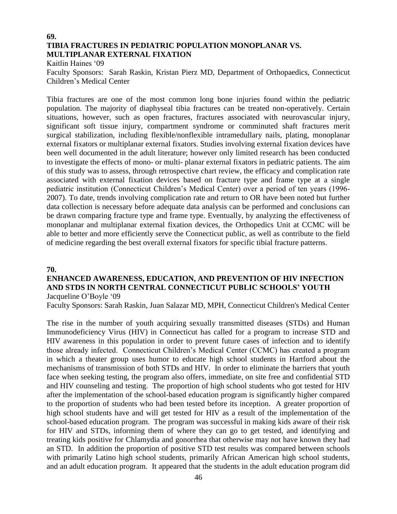### **69. TIBIA FRACTURES IN PEDIATRIC POPULATION MONOPLANAR VS. MULTIPLANAR EXTERNAL FIXATION**

Kaitlin Haines '09

Faculty Sponsors: Sarah Raskin, Kristan Pierz MD, Department of Orthopaedics, Connecticut Children's Medical Center

Tibia fractures are one of the most common long bone injuries found within the pediatric population. The majority of diaphyseal tibia fractures can be treated non-operatively. Certain situations, however, such as open fractures, fractures associated with neurovascular injury, significant soft tissue injury, compartment syndrome or comminuted shaft fractures merit surgical stabilization, including flexible/nonflexible intramedullary nails, plating, monoplanar external fixators or multiplanar external fixators. Studies involving external fixation devices have been well documented in the adult literature; however only limited research has been conducted to investigate the effects of mono- or multi- planar external fixators in pediatric patients. The aim of this study was to assess, through retrospective chart review, the efficacy and complication rate associated with external fixation devices based on fracture type and frame type at a single pediatric institution (Connecticut Children's Medical Center) over a period of ten years (1996- 2007). To date, trends involving complication rate and return to OR have been noted but further data collection is necessary before adequate data analysis can be performed and conclusions can be drawn comparing fracture type and frame type. Eventually, by analyzing the effectiveness of monoplanar and multiplanar external fixation devices, the Orthopedics Unit at CCMC will be able to better and more efficiently serve the Connecticut public, as well as contribute to the field of medicine regarding the best overall external fixators for specific tibial fracture patterns.

#### **70.**

## **ENHANCED AWARENESS, EDUCATION, AND PREVENTION OF HIV INFECTION AND STDS IN NORTH CENTRAL CONNECTICUT PUBLIC SCHOOLS' YOUTH** Jacqueline O'Boyle '09

Faculty Sponsors: Sarah Raskin, Juan Salazar MD, MPH, Connecticut Children's Medical Center

The rise in the number of youth acquiring sexually transmitted diseases (STDs) and Human Immunodeficiency Virus (HIV) in Connecticut has called for a program to increase STD and HIV awareness in this population in order to prevent future cases of infection and to identify those already infected. Connecticut Children's Medical Center (CCMC) has created a program in which a theater group uses humor to educate high school students in Hartford about the mechanisms of transmission of both STDs and HIV. In order to eliminate the barriers that youth face when seeking testing, the program also offers, immediate, on site free and confidential STD and HIV counseling and testing. The proportion of high school students who got tested for HIV after the implementation of the school-based education program is significantly higher compared to the proportion of students who had been tested before its inception. A greater proportion of high school students have and will get tested for HIV as a result of the implementation of the school-based education program. The program was successful in making kids aware of their risk for HIV and STDs, informing them of where they can go to get tested, and identifying and treating kids positive for Chlamydia and gonorrhea that otherwise may not have known they had an STD. In addition the proportion of positive STD test results was compared between schools with primarily Latino high school students, primarily African American high school students, and an adult education program. It appeared that the students in the adult education program did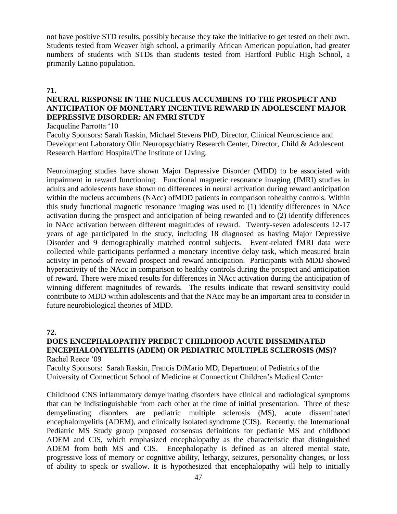not have positive STD results, possibly because they take the initiative to get tested on their own. Students tested from Weaver high school, a primarily African American population, had greater numbers of students with STDs than students tested from Hartford Public High School, a primarily Latino population.

#### **71.**

## **NEURAL RESPONSE IN THE NUCLEUS ACCUMBENS TO THE PROSPECT AND ANTICIPATION OF MONETARY INCENTIVE REWARD IN ADOLESCENT MAJOR DEPRESSIVE DISORDER: AN FMRI STUDY**

Jacqueline Parrotta '10

Faculty Sponsors: Sarah Raskin, Michael Stevens PhD, Director, Clinical Neuroscience and Development Laboratory Olin Neuropsychiatry Research Center, Director, Child & Adolescent Research Hartford Hospital/The Institute of Living.

Neuroimaging studies have shown Major Depressive Disorder (MDD) to be associated with impairment in reward functioning. Functional magnetic resonance imaging (fMRI) studies in adults and adolescents have shown no differences in neural activation during reward anticipation within the nucleus accumbens (NAcc) ofMDD patients in comparison tohealthy controls. Within this study functional magnetic resonance imaging was used to (1) identify differences in NAcc activation during the prospect and anticipation of being rewarded and to (2) identify differences in NAcc activation between different magnitudes of reward. Twenty-seven adolescents 12-17 years of age participated in the study, including 18 diagnosed as having Major Depressive Disorder and 9 demographically matched control subjects. Event-related fMRI data were collected while participants performed a monetary incentive delay task, which measured brain activity in periods of reward prospect and reward anticipation. Participants with MDD showed hyperactivity of the NAcc in comparison to healthy controls during the prospect and anticipation of reward. There were mixed results for differences in NAcc activation during the anticipation of winning different magnitudes of rewards. The results indicate that reward sensitivity could contribute to MDD within adolescents and that the NAcc may be an important area to consider in future neurobiological theories of MDD.

#### **72.**

#### **DOES ENCEPHALOPATHY PREDICT CHILDHOOD ACUTE DISSEMINATED ENCEPHALOMYELITIS (ADEM) OR PEDIATRIC MULTIPLE SCLEROSIS (MS)?** Rachel Reece '09

Faculty Sponsors: Sarah Raskin, Francis DiMario MD, Department of Pediatrics of the University of Connecticut School of Medicine at Connecticut Children's Medical Center

Childhood CNS inflammatory demyelinating disorders have clinical and radiological symptoms that can be indistinguishable from each other at the time of initial presentation. Three of these demyelinating disorders are pediatric multiple sclerosis (MS), acute disseminated encephalomyelitis (ADEM), and clinically isolated syndrome (CIS). Recently, the International Pediatric MS Study group proposed consensus definitions for pediatric MS and childhood ADEM and CIS, which emphasized encephalopathy as the characteristic that distinguished ADEM from both MS and CIS. Encephalopathy is defined as an altered mental state, progressive loss of memory or cognitive ability, lethargy, seizures, personality changes, or loss of ability to speak or swallow. It is hypothesized that encephalopathy will help to initially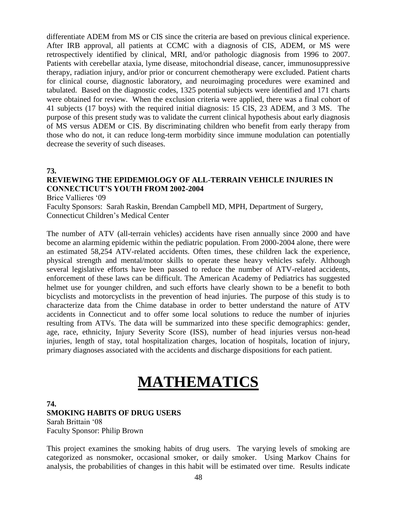differentiate ADEM from MS or CIS since the criteria are based on previous clinical experience. After IRB approval, all patients at CCMC with a diagnosis of CIS, ADEM, or MS were retrospectively identified by clinical, MRI, and/or pathologic diagnosis from 1996 to 2007. Patients with cerebellar ataxia, lyme disease, mitochondrial disease, cancer, immunosuppressive therapy, radiation injury, and/or prior or concurrent chemotherapy were excluded. Patient charts for clinical course, diagnostic laboratory, and neuroimaging procedures were examined and tabulated. Based on the diagnostic codes, 1325 potential subjects were identified and 171 charts were obtained for review. When the exclusion criteria were applied, there was a final cohort of 41 subjects (17 boys) with the required initial diagnosis: 15 CIS, 23 ADEM, and 3 MS. The purpose of this present study was to validate the current clinical hypothesis about early diagnosis of MS versus ADEM or CIS. By discriminating children who benefit from early therapy from those who do not, it can reduce long-term morbidity since immune modulation can potentially decrease the severity of such diseases.

#### **73.**

## **REVIEWING THE EPIDEMIOLOGY OF ALL-TERRAIN VEHICLE INJURIES IN CONNECTICUT'S YOUTH FROM 2002-2004**

Brice Vallieres '09

Faculty Sponsors: Sarah Raskin, Brendan Campbell MD, MPH, Department of Surgery, Connecticut Children's Medical Center

The number of ATV (all-terrain vehicles) accidents have risen annually since 2000 and have become an alarming epidemic within the pediatric population. From 2000-2004 alone, there were an estimated 58,254 ATV-related accidents. Often times, these children lack the experience, physical strength and mental/motor skills to operate these heavy vehicles safely. Although several legislative efforts have been passed to reduce the number of ATV-related accidents, enforcement of these laws can be difficult. The American Academy of Pediatrics has suggested helmet use for younger children, and such efforts have clearly shown to be a benefit to both bicyclists and motorcyclists in the prevention of head injuries. The purpose of this study is to characterize data from the Chime database in order to better understand the nature of ATV accidents in Connecticut and to offer some local solutions to reduce the number of injuries resulting from ATVs. The data will be summarized into these specific demographics: gender, age, race, ethnicity, Injury Severity Score (ISS), number of head injuries versus non-head injuries, length of stay, total hospitalization charges, location of hospitals, location of injury, primary diagnoses associated with the accidents and discharge dispositions for each patient.

## **MATHEMATICS**

#### **74.**

#### **SMOKING HABITS OF DRUG USERS**

Sarah Brittain '08 Faculty Sponsor: Philip Brown

This project examines the smoking habits of drug users. The varying levels of smoking are categorized as nonsmoker, occasional smoker, or daily smoker. Using Markov Chains for analysis, the probabilities of changes in this habit will be estimated over time. Results indicate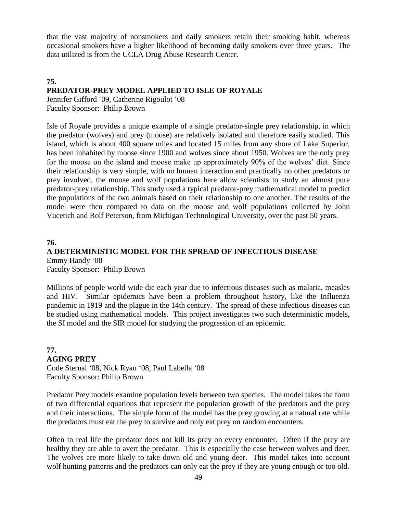that the vast majority of nonsmokers and daily smokers retain their smoking habit, whereas occasional smokers have a higher likelihood of becoming daily smokers over three years. The data utilized is from the UCLA Drug Abuse Research Center.

## **75. PREDATOR-PREY MODEL APPLIED TO ISLE OF ROYALE**

Jennifer Gifford '09, Catherine Rigoulot '08 Faculty Sponsor: Philip Brown

Isle of Royale provides a unique example of a single predator-single prey relationship, in which the predator (wolves) and prey (moose) are relatively isolated and therefore easily studied. This island, which is about 400 square miles and located 15 miles from any shore of Lake Superior, has been inhabited by moose since 1900 and wolves since about 1950. Wolves are the only prey for the moose on the island and moose make up approximately 90% of the wolves' diet. Since their relationship is very simple, with no human interaction and practically no other predators or prey involved, the moose and wolf populations here allow scientists to study an almost pure predator-prey relationship. This study used a typical predator-prey mathematical model to predict the populations of the two animals based on their relationship to one another. The results of the model were then compared to data on the moose and wolf populations collected by John Vucetich and Rolf Peterson, from Michigan Technological University, over the past 50 years.

### **76. A DETERMINISTIC MODEL FOR THE SPREAD OF INFECTIOUS DISEASE** Emmy Handy '08 Faculty Sponsor: Philip Brown

Millions of people world wide die each year due to infectious diseases such as malaria, measles and HIV. Similar epidemics have been a problem throughout history, like the Influenza pandemic in 1919 and the plague in the 14th century. The spread of these infectious diseases can be studied using mathematical models. This project investigates two such deterministic models, the SI model and the SIR model for studying the progression of an epidemic.

## **77. AGING PREY**

Code Sternal '08, Nick Ryan '08, Paul Labella '08 Faculty Sponsor: Philip Brown

Predator Prey models examine population levels between two species. The model takes the form of two differential equations that represent the population growth of the predators and the prey and their interactions. The simple form of the model has the prey growing at a natural rate while the predators must eat the prey to survive and only eat prey on random encounters.

Often in real life the predator does not kill its prey on every encounter. Often if the prey are healthy they are able to avert the predator. This is especially the case between wolves and deer. The wolves are more likely to take down old and young deer. This model takes into account wolf hunting patterns and the predators can only eat the prey if they are young enough or too old.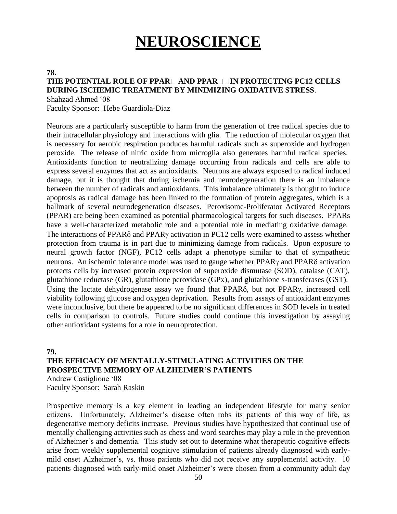# **NEUROSCIENCE**

#### **78.**

## **THE POTENTIAL ROLE OF PPAR AND PPAR IN PROTECTING PC12 CELLS DURING ISCHEMIC TREATMENT BY MINIMIZING OXIDATIVE STRESS**.

Shahzad Ahmed '08

Faculty Sponsor: Hebe Guardiola-Diaz

Neurons are a particularly susceptible to harm from the generation of free radical species due to their intracellular physiology and interactions with glia. The reduction of molecular oxygen that is necessary for aerobic respiration produces harmful radicals such as superoxide and hydrogen peroxide. The release of nitric oxide from microglia also generates harmful radical species. Antioxidants function to neutralizing damage occurring from radicals and cells are able to express several enzymes that act as antioxidants. Neurons are always exposed to radical induced damage, but it is thought that during ischemia and neurodegeneration there is an imbalance between the number of radicals and antioxidants. This imbalance ultimately is thought to induce apoptosis as radical damage has been linked to the formation of protein aggregates, which is a hallmark of several neurodegeneration diseases. Peroxisome-Proliferator Activated Receptors (PPAR) are being been examined as potential pharmacological targets for such diseases. PPARs have a well-characterized metabolic role and a potential role in mediating oxidative damage. The interactions of PPAR $\delta$  and PPAR $\gamma$  activation in PC12 cells were examined to assess whether protection from trauma is in part due to minimizing damage from radicals. Upon exposure to neural growth factor (NGF), PC12 cells adapt a phenotype similar to that of sympathetic neurons. An ischemic tolerance model was used to gauge whether  $PPAR\gamma$  and  $PPAR\delta$  activation protects cells by increased protein expression of superoxide dismutase (SOD), catalase (CAT), glutathione reductase (GR), glutathione peroxidase (GPx), and glutathione s-transferases (GST). Using the lactate dehydrogenase assay we found that  $PPAR\delta$ , but not  $PPAR\gamma$ , increased cell viability following glucose and oxygen deprivation. Results from assays of antioxidant enzymes were inconclusive, but there be appeared to be no significant differences in SOD levels in treated cells in comparison to controls. Future studies could continue this investigation by assaying other antioxidant systems for a role in neuroprotection.

#### **79.**

## **THE EFFICACY OF MENTALLY-STIMULATING ACTIVITIES ON THE PROSPECTIVE MEMORY OF ALZHEIMER'S PATIENTS**

Andrew Castiglione '08 Faculty Sponsor: Sarah Raskin

Prospective memory is a key element in leading an independent lifestyle for many senior citizens. Unfortunately, Alzheimer's disease often robs its patients of this way of life, as degenerative memory deficits increase. Previous studies have hypothesized that continual use of mentally challenging activities such as chess and word searches may play a role in the prevention of Alzheimer's and dementia. This study set out to determine what therapeutic cognitive effects arise from weekly supplemental cognitive stimulation of patients already diagnosed with earlymild onset Alzheimer's, vs. those patients who did not receive any supplemental activity. 10 patients diagnosed with early-mild onset Alzheimer's were chosen from a community adult day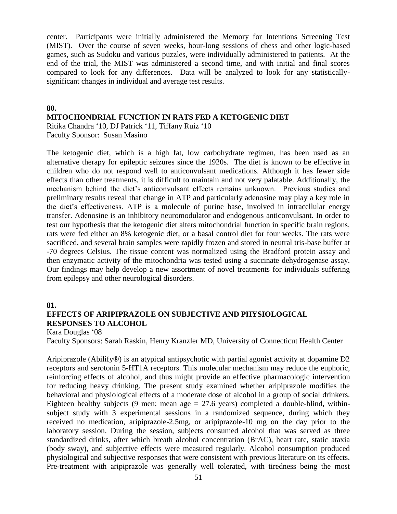center. Participants were initially administered the Memory for Intentions Screening Test (MIST). Over the course of seven weeks, hour-long sessions of chess and other logic-based games, such as Sudoku and various puzzles, were individually administered to patients. At the end of the trial, the MIST was administered a second time, and with initial and final scores compared to look for any differences. Data will be analyzed to look for any statisticallysignificant changes in individual and average test results.

#### **80.**

**MITOCHONDRIAL FUNCTION IN RATS FED A KETOGENIC DIET**

Ritika Chandra '10, DJ Patrick '11, Tiffany Ruiz '10 Faculty Sponsor: Susan Masino

The ketogenic diet, which is a high fat, low carbohydrate regimen, has been used as an alternative therapy for epileptic seizures since the 1920s. The diet is known to be effective in children who do not respond well to anticonvulsant medications. Although it has fewer side effects than other treatments, it is difficult to maintain and not very palatable. Additionally, the mechanism behind the diet's anticonvulsant effects remains unknown. Previous studies and preliminary results reveal that change in ATP and particularly adenosine may play a key role in the diet's effectiveness. ATP is a molecule of purine base, involved in intracellular energy transfer. Adenosine is an inhibitory neuromodulator and endogenous anticonvulsant. In order to test our hypothesis that the ketogenic diet alters mitochondrial function in specific brain regions, rats were fed either an 8% ketogenic diet, or a basal control diet for four weeks. The rats were sacrificed, and several brain samples were rapidly frozen and stored in neutral tris-base buffer at -70 degrees Celsius. The tissue content was normalized using the Bradford protein assay and then enzymatic activity of the mitochondria was tested using a succinate dehydrogenase assay. Our findings may help develop a new assortment of novel treatments for individuals suffering from epilepsy and other neurological disorders.

#### **81.**

## **EFFECTS OF ARIPIPRAZOLE ON SUBJECTIVE AND PHYSIOLOGICAL RESPONSES TO ALCOHOL**

Kara Douglas '08

Faculty Sponsors: Sarah Raskin, Henry Kranzler MD, University of Connecticut Health Center

Aripiprazole (Abilify®) is an atypical antipsychotic with partial agonist activity at dopamine D2 receptors and serotonin 5-HT1A receptors. This molecular mechanism may reduce the euphoric, reinforcing effects of alcohol, and thus might provide an effective pharmacologic intervention for reducing heavy drinking. The present study examined whether aripiprazole modifies the behavioral and physiological effects of a moderate dose of alcohol in a group of social drinkers. Eighteen healthy subjects (9 men; mean age  $= 27.6$  years) completed a double-blind, withinsubject study with 3 experimental sessions in a randomized sequence, during which they received no medication, aripiprazole-2.5mg, or aripiprazole-10 mg on the day prior to the laboratory session. During the session, subjects consumed alcohol that was served as three standardized drinks, after which breath alcohol concentration (BrAC), heart rate, static ataxia (body sway), and subjective effects were measured regularly. Alcohol consumption produced physiological and subjective responses that were consistent with previous literature on its effects. Pre-treatment with aripiprazole was generally well tolerated, with tiredness being the most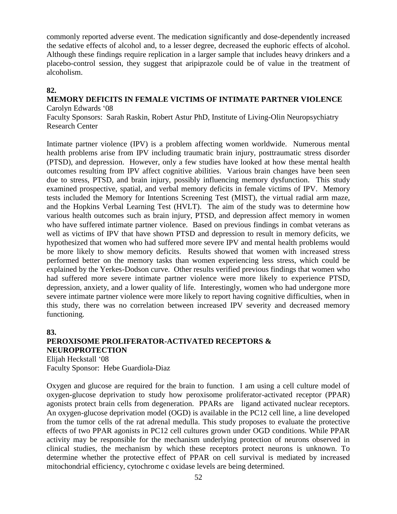commonly reported adverse event. The medication significantly and dose-dependently increased the sedative effects of alcohol and, to a lesser degree, decreased the euphoric effects of alcohol. Although these findings require replication in a larger sample that includes heavy drinkers and a placebo-control session, they suggest that aripiprazole could be of value in the treatment of alcoholism.

## **82.**

#### **MEMORY DEFICITS IN FEMALE VICTIMS OF INTIMATE PARTNER VIOLENCE** Carolyn Edwards '08

Faculty Sponsors: Sarah Raskin, Robert Astur PhD, Institute of Living-Olin Neuropsychiatry Research Center

Intimate partner violence (IPV) is a problem affecting women worldwide. Numerous mental health problems arise from IPV including traumatic brain injury, posttraumatic stress disorder (PTSD), and depression. However, only a few studies have looked at how these mental health outcomes resulting from IPV affect cognitive abilities. Various brain changes have been seen due to stress, PTSD, and brain injury, possibly influencing memory dysfunction. This study examined prospective, spatial, and verbal memory deficits in female victims of IPV. Memory tests included the Memory for Intentions Screening Test (MIST), the virtual radial arm maze, and the Hopkins Verbal Learning Test (HVLT). The aim of the study was to determine how various health outcomes such as brain injury, PTSD, and depression affect memory in women who have suffered intimate partner violence. Based on previous findings in combat veterans as well as victims of IPV that have shown PTSD and depression to result in memory deficits, we hypothesized that women who had suffered more severe IPV and mental health problems would be more likely to show memory deficits. Results showed that women with increased stress performed better on the memory tasks than women experiencing less stress, which could be explained by the Yerkes-Dodson curve. Other results verified previous findings that women who had suffered more severe intimate partner violence were more likely to experience PTSD, depression, anxiety, and a lower quality of life. Interestingly, women who had undergone more severe intimate partner violence were more likely to report having cognitive difficulties, when in this study, there was no correlation between increased IPV severity and decreased memory functioning.

#### **83.**

## **PEROXISOME PROLIFERATOR-ACTIVATED RECEPTORS & NEUROPROTECTION**

Elijah Heckstall '08 Faculty Sponsor: Hebe Guardiola-Diaz

Oxygen and glucose are required for the brain to function. I am using a cell culture model of oxygen-glucose deprivation to study how peroxisome proliferator-activated receptor (PPAR) agonists protect brain cells from degeneration. PPARs are ligand activated nuclear receptors. An oxygen-glucose deprivation model (OGD) is available in the PC12 cell line, a line developed from the tumor cells of the rat adrenal medulla. This study proposes to evaluate the protective effects of two PPAR agonists in PC12 cell cultures grown under OGD conditions. While PPAR activity may be responsible for the mechanism underlying protection of neurons observed in clinical studies, the mechanism by which these receptors protect neurons is unknown. To determine whether the protective effect of PPAR on cell survival is mediated by increased mitochondrial efficiency, cytochrome c oxidase levels are being determined.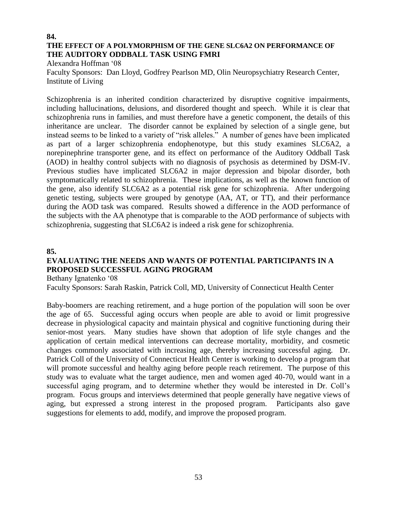#### **84. THE EFFECT OF A POLYMORPHISM OF THE GENE SLC6A2 ON PERFORMANCE OF THE AUDITORY ODDBALL TASK USING FMRI**

Alexandra Hoffman '08

Faculty Sponsors: Dan Lloyd, Godfrey Pearlson MD, Olin Neuropsychiatry Research Center, Institute of Living

Schizophrenia is an inherited condition characterized by disruptive cognitive impairments, including hallucinations, delusions, and disordered thought and speech. While it is clear that schizophrenia runs in families, and must therefore have a genetic component, the details of this inheritance are unclear. The disorder cannot be explained by selection of a single gene, but instead seems to be linked to a variety of "risk alleles." A number of genes have been implicated as part of a larger schizophrenia endophenotype, but this study examines SLC6A2, a norepinephrine transporter gene, and its effect on performance of the Auditory Oddball Task (AOD) in healthy control subjects with no diagnosis of psychosis as determined by DSM-IV. Previous studies have implicated SLC6A2 in major depression and bipolar disorder, both symptomatically related to schizophrenia. These implications, as well as the known function of the gene, also identify SLC6A2 as a potential risk gene for schizophrenia. After undergoing genetic testing, subjects were grouped by genotype (AA, AT, or TT), and their performance during the AOD task was compared. Results showed a difference in the AOD performance of the subjects with the AA phenotype that is comparable to the AOD performance of subjects with schizophrenia, suggesting that SLC6A2 is indeed a risk gene for schizophrenia.

#### **85.**

## **EVALUATING THE NEEDS AND WANTS OF POTENTIAL PARTICIPANTS IN A PROPOSED SUCCESSFUL AGING PROGRAM**

Bethany Ignatenko '08

Faculty Sponsors: Sarah Raskin, Patrick Coll, MD, University of Connecticut Health Center

Baby-boomers are reaching retirement, and a huge portion of the population will soon be over the age of 65. Successful aging occurs when people are able to avoid or limit progressive decrease in physiological capacity and maintain physical and cognitive functioning during their senior-most years. Many studies have shown that adoption of life style changes and the application of certain medical interventions can decrease mortality, morbidity, and cosmetic changes commonly associated with increasing age, thereby increasing successful aging. Dr. Patrick Coll of the University of Connecticut Health Center is working to develop a program that will promote successful and healthy aging before people reach retirement. The purpose of this study was to evaluate what the target audience, men and women aged 40-70, would want in a successful aging program, and to determine whether they would be interested in Dr. Coll's program. Focus groups and interviews determined that people generally have negative views of aging, but expressed a strong interest in the proposed program. Participants also gave suggestions for elements to add, modify, and improve the proposed program.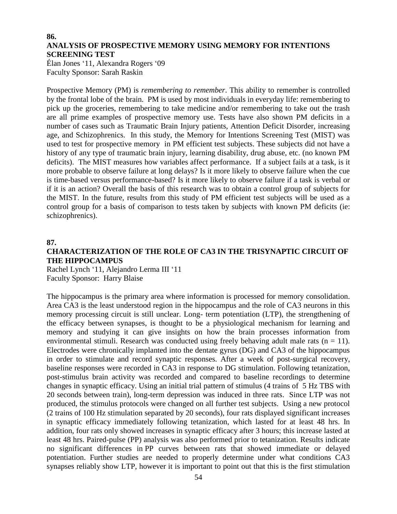#### **86. ANALYSIS OF PROSPECTIVE MEMORY USING MEMORY FOR INTENTIONS SCREENING TEST**

Élan Jones '11, Alexandra Rogers '09 Faculty Sponsor: Sarah Raskin

Prospective Memory (PM) is *remembering to remember*. This ability to remember is controlled by the frontal lobe of the brain. PM is used by most individuals in everyday life: remembering to pick up the groceries, remembering to take medicine and/or remembering to take out the trash are all prime examples of prospective memory use. Tests have also shown PM deficits in a number of cases such as Traumatic Brain Injury patients, Attention Deficit Disorder, increasing age, and Schizophrenics. In this study, the Memory for Intentions Screening Test (MIST) was used to test for prospective memory in PM efficient test subjects. These subjects did not have a history of any type of traumatic brain injury, learning disability, drug abuse, etc. (no known PM deficits). The MIST measures how variables affect performance. If a subject fails at a task, is it more probable to observe failure at long delays? Is it more likely to observe failure when the cue is time-based versus performance-based? Is it more likely to observe failure if a task is verbal or if it is an action? Overall the basis of this research was to obtain a control group of subjects for the MIST. In the future, results from this study of PM efficient test subjects will be used as a control group for a basis of comparison to tests taken by subjects with known PM deficits (ie: schizophrenics).

#### **87.**

## **CHARACTERIZATION OF THE ROLE OF CA3 IN THE TRISYNAPTIC CIRCUIT OF THE HIPPOCAMPUS**

Rachel Lynch '11, Alejandro Lerma III '11 Faculty Sponsor: Harry Blaise

The hippocampus is the primary area where information is processed for memory consolidation. Area CA3 is the least understood region in the hippocampus and the role of CA3 neurons in this memory processing circuit is still unclear. Long- term potentiation (LTP), the strengthening of the efficacy between synapses, is thought to be a physiological mechanism for learning and memory and studying it can give insights on how the brain processes information from environmental stimuli. Research was conducted using freely behaving adult male rats ( $n = 11$ ). Electrodes were chronically implanted into the dentate gyrus (DG) and CA3 of the hippocampus in order to stimulate and record synaptic responses. After a week of post-surgical recovery, baseline responses were recorded in CA3 in response to DG stimulation. Following tetanization, post-stimulus brain activity was recorded and compared to baseline recordings to determine changes in synaptic efficacy. Using an initial trial pattern of stimulus (4 trains of 5 Hz TBS with 20 seconds between train), long-term depression was induced in three rats. Since LTP was not produced, the stimulus protocols were changed on all further test subjects. Using a new protocol (2 trains of 100 Hz stimulation separated by 20 seconds), four rats displayed significant increases in synaptic efficacy immediately following tetanization, which lasted for at least 48 hrs. In addition, four rats only showed increases in synaptic efficacy after 3 hours; this increase lasted at least 48 hrs. Paired-pulse (PP) analysis was also performed prior to tetanization. Results indicate no significant differences in PP curves between rats that showed immediate or delayed potentiation. Further studies are needed to properly determine under what conditions CA3 synapses reliably show LTP, however it is important to point out that this is the first stimulation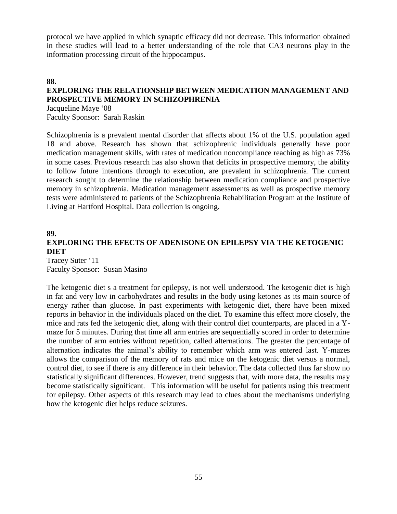protocol we have applied in which synaptic efficacy did not decrease. This information obtained in these studies will lead to a better understanding of the role that CA3 neurons play in the information processing circuit of the hippocampus.

#### **88.**

## **EXPLORING THE RELATIONSHIP BETWEEN MEDICATION MANAGEMENT AND PROSPECTIVE MEMORY IN SCHIZOPHRENIA**

Jacqueline Maye '08 Faculty Sponsor: Sarah Raskin

Schizophrenia is a prevalent mental disorder that affects about 1% of the U.S. population aged 18 and above. Research has shown that schizophrenic individuals generally have poor medication management skills, with rates of medication noncompliance reaching as high as 73% in some cases. Previous research has also shown that deficits in prospective memory, the ability to follow future intentions through to execution, are prevalent in schizophrenia. The current research sought to determine the relationship between medication compliance and prospective memory in schizophrenia. Medication management assessments as well as prospective memory tests were administered to patients of the Schizophrenia Rehabilitation Program at the Institute of Living at Hartford Hospital. Data collection is ongoing.

## **89. EXPLORING THE EFECTS OF ADENISONE ON EPILEPSY VIA THE KETOGENIC DIET**

Tracey Suter '11 Faculty Sponsor: Susan Masino

The ketogenic diet s a treatment for epilepsy, is not well understood. The ketogenic diet is high in fat and very low in carbohydrates and results in the body using ketones as its main source of energy rather than glucose. In past experiments with ketogenic diet, there have been mixed reports in behavior in the individuals placed on the diet. To examine this effect more closely, the mice and rats fed the ketogenic diet, along with their control diet counterparts, are placed in a Ymaze for 5 minutes. During that time all arm entries are sequentially scored in order to determine the number of arm entries without repetition, called alternations. The greater the percentage of alternation indicates the animal's ability to remember which arm was entered last. Y-mazes allows the comparison of the memory of rats and mice on the ketogenic diet versus a normal, control diet, to see if there is any difference in their behavior. The data collected thus far show no statistically significant differences. However, trend suggests that, with more data, the results may become statistically significant. This information will be useful for patients using this treatment for epilepsy. Other aspects of this research may lead to clues about the mechanisms underlying how the ketogenic diet helps reduce seizures.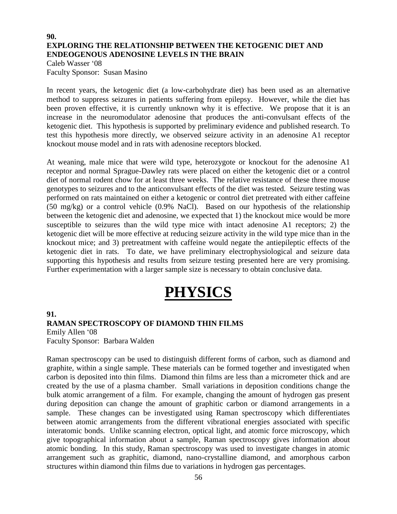### **90. EXPLORING THE RELATIONSHIP BETWEEN THE KETOGENIC DIET AND ENDEOGENOUS ADENOSINE LEVELS IN THE BRAIN**

Caleb Wasser '08 Faculty Sponsor: Susan Masino

In recent years, the ketogenic diet (a low-carbohydrate diet) has been used as an alternative method to suppress seizures in patients suffering from epilepsy. However, while the diet has been proven effective, it is currently unknown why it is effective. We propose that it is an increase in the neuromodulator adenosine that produces the anti-convulsant effects of the ketogenic diet. This hypothesis is supported by preliminary evidence and published research. To test this hypothesis more directly, we observed seizure activity in an adenosine A1 receptor knockout mouse model and in rats with adenosine receptors blocked.

At weaning, male mice that were wild type, heterozygote or knockout for the adenosine A1 receptor and normal Sprague-Dawley rats were placed on either the ketogenic diet or a control diet of normal rodent chow for at least three weeks. The relative resistance of these three mouse genotypes to seizures and to the anticonvulsant effects of the diet was tested. Seizure testing was performed on rats maintained on either a ketogenic or control diet pretreated with either caffeine (50 mg/kg) or a control vehicle (0.9% NaCl). Based on our hypothesis of the relationship between the ketogenic diet and adenosine, we expected that 1) the knockout mice would be more susceptible to seizures than the wild type mice with intact adenosine A1 receptors; 2) the ketogenic diet will be more effective at reducing seizure activity in the wild type mice than in the knockout mice; and 3) pretreatment with caffeine would negate the antiepileptic effects of the ketogenic diet in rats. To date, we have preliminary electrophysiological and seizure data supporting this hypothesis and results from seizure testing presented here are very promising. Further experimentation with a larger sample size is necessary to obtain conclusive data.

# **PHYSICS**

## **91. RAMAN SPECTROSCOPY OF DIAMOND THIN FILMS**

Emily Allen '08 Faculty Sponsor: Barbara Walden

Raman spectroscopy can be used to distinguish different forms of carbon, such as diamond and graphite, within a single sample. These materials can be formed together and investigated when carbon is deposited into thin films. Diamond thin films are less than a micrometer thick and are created by the use of a plasma chamber. Small variations in deposition conditions change the bulk atomic arrangement of a film. For example, changing the amount of hydrogen gas present during deposition can change the amount of graphitic carbon or diamond arrangements in a sample. These changes can be investigated using Raman spectroscopy which differentiates between atomic arrangements from the different vibrational energies associated with specific interatomic bonds. Unlike scanning electron, optical light, and atomic force microscopy, which give topographical information about a sample, Raman spectroscopy gives information about atomic bonding. In this study, Raman spectroscopy was used to investigate changes in atomic arrangement such as graphitic, diamond, nano-crystalline diamond, and amorphous carbon structures within diamond thin films due to variations in hydrogen gas percentages.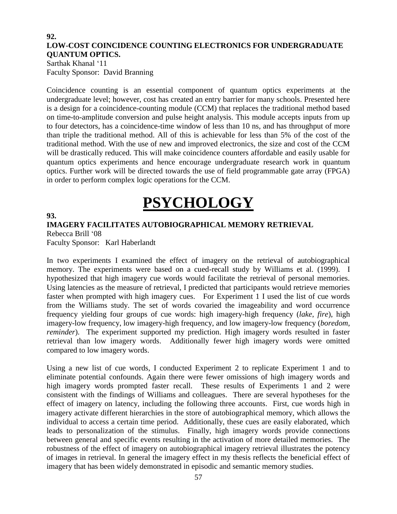### **92. LOW-COST COINCIDENCE COUNTING ELECTRONICS FOR UNDERGRADUATE QUANTUM OPTICS.**

Sarthak Khanal '11 Faculty Sponsor: David Branning

Coincidence counting is an essential component of quantum optics experiments at the undergraduate level; however, cost has created an entry barrier for many schools. Presented here is a design for a coincidence-counting module (CCM) that replaces the traditional method based on time-to-amplitude conversion and pulse height analysis. This module accepts inputs from up to four detectors, has a coincidence-time window of less than 10 ns, and has throughput of more than triple the traditional method. All of this is achievable for less than 5% of the cost of the traditional method. With the use of new and improved electronics, the size and cost of the CCM will be drastically reduced. This will make coincidence counters affordable and easily usable for quantum optics experiments and hence encourage undergraduate research work in quantum optics. Further work will be directed towards the use of field programmable gate array (FPGA) in order to perform complex logic operations for the CCM.

# **PSYCHOLOGY**

## **93.**

## **IMAGERY FACILITATES AUTOBIOGRAPHICAL MEMORY RETRIEVAL** Rebecca Brill '08

Faculty Sponsor: Karl Haberlandt

In two experiments I examined the effect of imagery on the retrieval of autobiographical memory. The experiments were based on a cued-recall study by Williams et al. (1999). I hypothesized that high imagery cue words would facilitate the retrieval of personal memories. Using latencies as the measure of retrieval, I predicted that participants would retrieve memories faster when prompted with high imagery cues. For Experiment 1 I used the list of cue words from the Williams study. The set of words covaried the imageability and word occurrence frequency yielding four groups of cue words: high imagery-high frequency (*lake*, *fire*), high imagery-low frequency, low imagery-high frequency, and low imagery-low frequency (*boredom*, *reminder*). The experiment supported my prediction. High imagery words resulted in faster retrieval than low imagery words. Additionally fewer high imagery words were omitted compared to low imagery words.

Using a new list of cue words, I conducted Experiment 2 to replicate Experiment 1 and to eliminate potential confounds. Again there were fewer omissions of high imagery words and high imagery words prompted faster recall. These results of Experiments 1 and 2 were consistent with the findings of Williams and colleagues. There are several hypotheses for the effect of imagery on latency, including the following three accounts. First, cue words high in imagery activate different hierarchies in the store of autobiographical memory, which allows the individual to access a certain time period. Additionally, these cues are easily elaborated, which leads to personalization of the stimulus. Finally, high imagery words provide connections between general and specific events resulting in the activation of more detailed memories. The robustness of the effect of imagery on autobiographical imagery retrieval illustrates the potency of images in retrieval. In general the imagery effect in my thesis reflects the beneficial effect of imagery that has been widely demonstrated in episodic and semantic memory studies.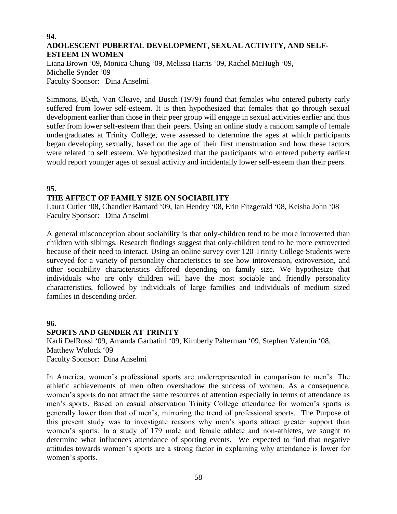#### **94. ADOLESCENT PUBERTAL DEVELOPMENT, SEXUAL ACTIVITY, AND SELF-ESTEEM IN WOMEN**

Liana Brown '09, Monica Chung '09, Melissa Harris '09, Rachel McHugh '09, Michelle Synder '09 Faculty Sponsor: Dina Anselmi

Simmons, Blyth, Van Cleave, and Busch (1979) found that females who entered puberty early suffered from lower self-esteem. It is then hypothesized that females that go through sexual development earlier than those in their peer group will engage in sexual activities earlier and thus suffer from lower self-esteem than their peers. Using an online study a random sample of female undergraduates at Trinity College, were assessed to determine the ages at which participants began developing sexually, based on the age of their first menstruation and how these factors were related to self esteem. We hypothesized that the participants who entered puberty earliest would report younger ages of sexual activity and incidentally lower self-esteem than their peers.

## **95.**

## **THE AFFECT OF FAMILY SIZE ON SOCIABILITY**

Laura Cutler '08, Chandler Barnard '09, Ian Hendry '08, Erin Fitzgerald '08, Keisha John '08 Faculty Sponsor: Dina Anselmi

A general misconception about sociability is that only-children tend to be more introverted than children with siblings. Research findings suggest that only-children tend to be more extroverted because of their need to interact. Using an online survey over 120 Trinity College Students were surveyed for a variety of personality characteristics to see how introversion, extroversion, and other sociability characteristics differed depending on family size. We hypothesize that individuals who are only children will have the most sociable and friendly personality characteristics, followed by individuals of large families and individuals of medium sized families in descending order.

#### **96.**

#### **SPORTS AND GENDER AT TRINITY**

Karli DelRossi '09, Amanda Garbatini '09, Kimberly Palterman '09, Stephen Valentin '08, Matthew Wolock '09 Faculty Sponsor: Dina Anselmi

In America, women's professional sports are underrepresented in comparison to men's. The athletic achievements of men often overshadow the success of women. As a consequence, women's sports do not attract the same resources of attention especially in terms of attendance as men's sports. Based on casual observation Trinity College attendance for women's sports is generally lower than that of men's, mirroring the trend of professional sports. The Purpose of this present study was to investigate reasons why men's sports attract greater support than women's sports. In a study of 179 male and female athlete and non-athletes, we sought to determine what influences attendance of sporting events. We expected to find that negative attitudes towards women's sports are a strong factor in explaining why attendance is lower for women's sports.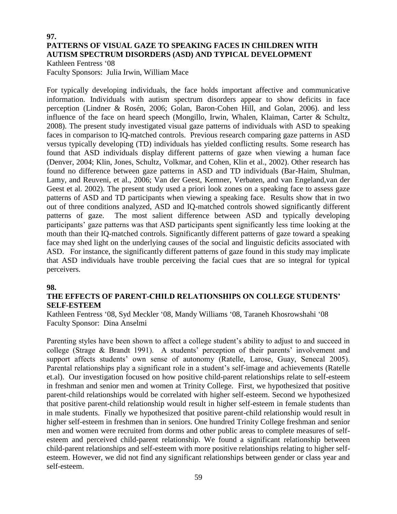## **97. PATTERNS OF VISUAL GAZE TO SPEAKING FACES IN CHILDREN WITH AUTISM SPECTRUM DISORDERS (ASD) AND TYPICAL DEVELOPMENT**

Kathleen Fentress '08 Faculty Sponsors: Julia Irwin, William Mace

For typically developing individuals, the face holds important affective and communicative information. Individuals with autism spectrum disorders appear to show deficits in face perception (Lindner & Rosén, 2006; Golan, Baron-Cohen Hill, and Golan, 2006). and less influence of the face on heard speech (Mongillo, Irwin, Whalen, Klaiman, Carter & Schultz, 2008). The present study investigated visual gaze patterns of individuals with ASD to speaking faces in comparison to IQ-matched controls. Previous research comparing gaze patterns in ASD versus typically developing (TD) individuals has yielded conflicting results. Some research has found that ASD individuals display different patterns of gaze when viewing a human face (Denver, 2004; Klin, Jones, Schultz, Volkmar, and Cohen, Klin et al., 2002). Other research has found no difference between gaze patterns in ASD and TD individuals (Bar-Haim, Shulman, Lamy, and Reuveni, et al., 2006; Van der Geest, Kemner, Verbaten, and van Engeland,van der Geest et al. 2002). The present study used a priori look zones on a speaking face to assess gaze patterns of ASD and TD participants when viewing a speaking face. Results show that in two out of three conditions analyzed, ASD and IQ-matched controls showed significantly different patterns of gaze. The most salient difference between ASD and typically developing participants' gaze patterns was that ASD participants spent significantly less time looking at the mouth than their IQ-matched controls. Significantly different patterns of gaze toward a speaking face may shed light on the underlying causes of the social and linguistic deficits associated with ASD. For instance, the significantly different patterns of gaze found in this study may implicate that ASD individuals have trouble perceiving the facial cues that are so integral for typical perceivers.

#### **98.**

## **THE EFFECTS OF PARENT-CHILD RELATIONSHIPS ON COLLEGE STUDENTS' SELF-ESTEEM**

Kathleen Fentress '08, Syd Meckler '08, Mandy Williams '08, Taraneh Khosrowshahi '08 Faculty Sponsor: Dina Anselmi

Parenting styles have been shown to affect a college student's ability to adjust to and succeed in college (Strage & Brandt 1991). A students' perception of their parents' involvement and support affects students' own sense of autonomy (Ratelle, Larose, Guay, Senecal 2005). Parental relationships play a significant role in a student's self-image and achievements (Ratelle et.al). Our investigation focused on how positive child-parent relationships relate to self-esteem in freshman and senior men and women at Trinity College. First, we hypothesized that positive parent-child relationships would be correlated with higher self-esteem. Second we hypothesized that positive parent-child relationship would result in higher self-esteem in female students than in male students. Finally we hypothesized that positive parent-child relationship would result in higher self-esteem in freshmen than in seniors. One hundred Trinity College freshman and senior men and women were recruited from dorms and other public areas to complete measures of selfesteem and perceived child-parent relationship. We found a significant relationship between child-parent relationships and self-esteem with more positive relationships relating to higher selfesteem. However, we did not find any significant relationships between gender or class year and self-esteem.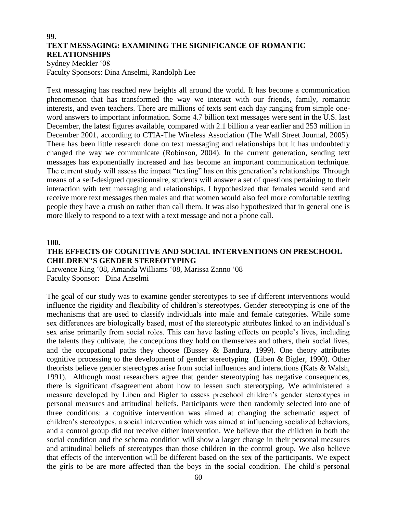## **99. TEXT MESSAGING: EXAMINING THE SIGNIFICANCE OF ROMANTIC RELATIONSHIPS**

Sydney Meckler '08 Faculty Sponsors: Dina Anselmi, Randolph Lee

Text messaging has reached new heights all around the world. It has become a communication phenomenon that has transformed the way we interact with our friends, family, romantic interests, and even teachers. There are millions of texts sent each day ranging from simple oneword answers to important information. Some 4.7 billion text messages were sent in the U.S. last December, the latest figures available, compared with 2.1 billion a year earlier and 253 million in December 2001, according to CTIA-The Wireless Association (The Wall Street Journal, 2005). There has been little research done on text messaging and relationships but it has undoubtedly changed the way we communicate (Robinson, 2004). In the current generation, sending text messages has exponentially increased and has become an important communication technique. The current study will assess the impact "texting" has on this generation's relationships. Through means of a self-designed questionnaire, students will answer a set of questions pertaining to their interaction with text messaging and relationships. I hypothesized that females would send and receive more text messages then males and that women would also feel more comfortable texting people they have a crush on rather than call them. It was also hypothesized that in general one is more likely to respond to a text with a text message and not a phone call.

#### **100.**

## **THE EFFECTS OF COGNITIVE AND SOCIAL INTERVENTIONS ON PRESCHOOL CHILDREN"S GENDER STEREOTYPING**

Larwence King '08, Amanda Williams '08, Marissa Zanno '08 Faculty Sponsor: Dina Anselmi

The goal of our study was to examine gender stereotypes to see if different interventions would influence the rigidity and flexibility of children's stereotypes. Gender stereotyping is one of the mechanisms that are used to classify individuals into male and female categories. While some sex differences are biologically based, most of the stereotypic attributes linked to an individual's sex arise primarily from social roles. This can have lasting effects on people's lives, including the talents they cultivate, the conceptions they hold on themselves and others, their social lives, and the occupational paths they choose (Bussey  $\&$  Bandura, 1999). One theory attributes cognitive processing to the development of gender stereotyping (Liben & Bigler, 1990). Other theorists believe gender stereotypes arise from social influences and interactions (Kats & Walsh, 1991). Although most researchers agree that gender stereotyping has negative consequences, there is significant disagreement about how to lessen such stereotyping. We administered a measure developed by Liben and Bigler to assess preschool children's gender stereotypes in personal measures and attitudinal beliefs. Participants were then randomly selected into one of three conditions: a cognitive intervention was aimed at changing the schematic aspect of children's stereotypes, a social intervention which was aimed at influencing socialized behaviors, and a control group did not receive either intervention. We believe that the children in both the social condition and the schema condition will show a larger change in their personal measures and attitudinal beliefs of stereotypes than those children in the control group. We also believe that effects of the intervention will be different based on the sex of the participants. We expect the girls to be are more affected than the boys in the social condition. The child's personal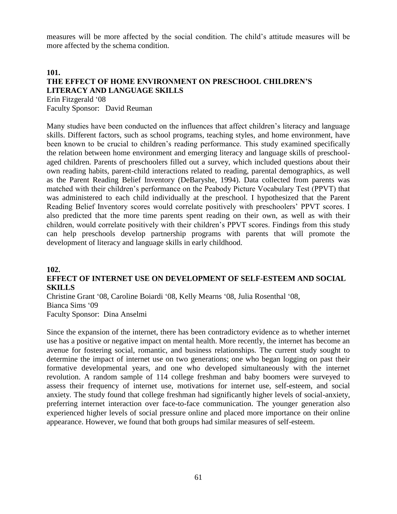measures will be more affected by the social condition. The child's attitude measures will be more affected by the schema condition.

## **101. THE EFFECT OF HOME ENVIRONMENT ON PRESCHOOL CHILDREN'S LITERACY AND LANGUAGE SKILLS**

Erin Fitzgerald '08 Faculty Sponsor: David Reuman

Many studies have been conducted on the influences that affect children's literacy and language skills. Different factors, such as school programs, teaching styles, and home environment, have been known to be crucial to children's reading performance. This study examined specifically the relation between home environment and emerging literacy and language skills of preschoolaged children. Parents of preschoolers filled out a survey, which included questions about their own reading habits, parent-child interactions related to reading, parental demographics, as well as the Parent Reading Belief Inventory (DeBaryshe, 1994). Data collected from parents was matched with their children's performance on the Peabody Picture Vocabulary Test (PPVT) that was administered to each child individually at the preschool. I hypothesized that the Parent Reading Belief Inventory scores would correlate positively with preschoolers' PPVT scores. I also predicted that the more time parents spent reading on their own, as well as with their children, would correlate positively with their children's PPVT scores. Findings from this study can help preschools develop partnership programs with parents that will promote the development of literacy and language skills in early childhood.

#### **102.**

#### **EFFECT OF INTERNET USE ON DEVELOPMENT OF SELF-ESTEEM AND SOCIAL SKILLS**

Christine Grant '08, Caroline Boiardi '08, Kelly Mearns '08, Julia Rosenthal '08, Bianca Sims '09 Faculty Sponsor: Dina Anselmi

Since the expansion of the internet, there has been contradictory evidence as to whether internet use has a positive or negative impact on mental health. More recently, the internet has become an avenue for fostering social, romantic, and business relationships. The current study sought to determine the impact of internet use on two generations; one who began logging on past their formative developmental years, and one who developed simultaneously with the internet revolution. A random sample of 114 college freshman and baby boomers were surveyed to assess their frequency of internet use, motivations for internet use, self-esteem, and social anxiety. The study found that college freshman had significantly higher levels of social-anxiety, preferring internet interaction over face-to-face communication. The younger generation also experienced higher levels of social pressure online and placed more importance on their online appearance. However, we found that both groups had similar measures of self-esteem.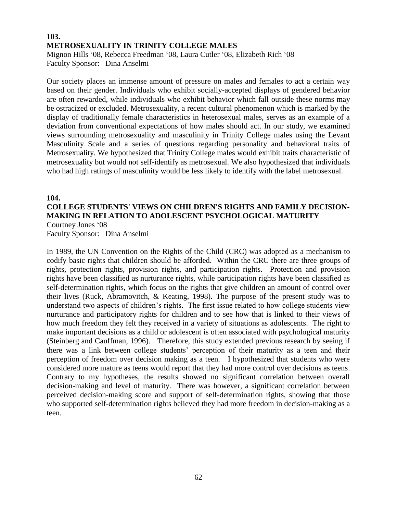## **103. METROSEXUALITY IN TRINITY COLLEGE MALES** Mignon Hills '08, Rebecca Freedman '08, Laura Cutler '08, Elizabeth Rich '08 Faculty Sponsor: Dina Anselmi

Our society places an immense amount of pressure on males and females to act a certain way based on their gender. Individuals who exhibit socially-accepted displays of gendered behavior are often rewarded, while individuals who exhibit behavior which fall outside these norms may be ostracized or excluded. Metrosexuality, a recent cultural phenomenon which is marked by the display of traditionally female characteristics in heterosexual males, serves as an example of a deviation from conventional expectations of how males should act. In our study, we examined views surrounding metrosexuality and masculinity in Trinity College males using the Levant Masculinity Scale and a series of questions regarding personality and behavioral traits of Metrosexuality. We hypothesized that Trinity College males would exhibit traits characteristic of metrosexuality but would not self-identify as metrosexual. We also hypothesized that individuals who had high ratings of masculinity would be less likely to identify with the label metrosexual.

#### **104.**

## **COLLEGE STUDENTS' VIEWS ON CHILDREN'S RIGHTS AND FAMILY DECISION-MAKING IN RELATION TO ADOLESCENT PSYCHOLOGICAL MATURITY** Courtney Jones '08

Faculty Sponsor: Dina Anselmi

In 1989, the UN Convention on the Rights of the Child (CRC) was adopted as a mechanism to codify basic rights that children should be afforded. Within the CRC there are three groups of rights, protection rights, provision rights, and participation rights. Protection and provision rights have been classified as nurturance rights, while participation rights have been classified as self-determination rights, which focus on the rights that give children an amount of control over their lives (Ruck, Abramovitch, & Keating, 1998). The purpose of the present study was to understand two aspects of children's rights. The first issue related to how college students view nurturance and participatory rights for children and to see how that is linked to their views of how much freedom they felt they received in a variety of situations as adolescents. The right to make important decisions as a child or adolescent is often associated with psychological maturity (Steinberg and Cauffman, 1996). Therefore, this study extended previous research by seeing if there was a link between college students' perception of their maturity as a teen and their perception of freedom over decision making as a teen. I hypothesized that students who were considered more mature as teens would report that they had more control over decisions as teens. Contrary to my hypotheses, the results showed no significant correlation between overall decision-making and level of maturity. There was however, a significant correlation between perceived decision-making score and support of self-determination rights, showing that those who supported self-determination rights believed they had more freedom in decision-making as a teen.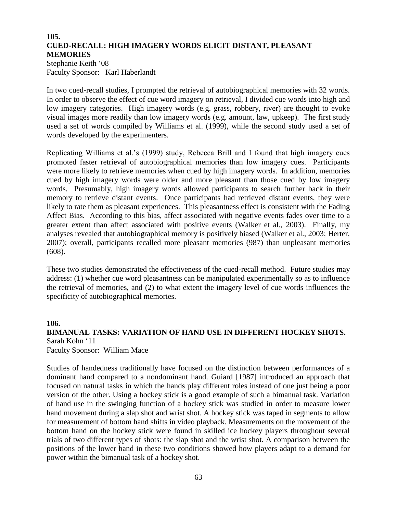## **105. CUED-RECALL: HIGH IMAGERY WORDS ELICIT DISTANT, PLEASANT MEMORIES**

Stephanie Keith '08 Faculty Sponsor: Karl Haberlandt

In two cued-recall studies, I prompted the retrieval of autobiographical memories with 32 words. In order to observe the effect of cue word imagery on retrieval, I divided cue words into high and low imagery categories. High imagery words (e.g. grass, robbery, river) are thought to evoke visual images more readily than low imagery words (e.g. amount, law, upkeep). The first study used a set of words compiled by Williams et al. (1999), while the second study used a set of words developed by the experimenters.

Replicating Williams et al.'s (1999) study, Rebecca Brill and I found that high imagery cues promoted faster retrieval of autobiographical memories than low imagery cues. Participants were more likely to retrieve memories when cued by high imagery words. In addition, memories cued by high imagery words were older and more pleasant than those cued by low imagery words. Presumably, high imagery words allowed participants to search further back in their memory to retrieve distant events. Once participants had retrieved distant events, they were likely to rate them as pleasant experiences. This pleasantness effect is consistent with the Fading Affect Bias. According to this bias, affect associated with negative events fades over time to a greater extent than affect associated with positive events (Walker et al., 2003). Finally, my analyses revealed that autobiographical memory is positively biased (Walker et al., 2003; Herter, 2007); overall, participants recalled more pleasant memories (987) than unpleasant memories (608).

These two studies demonstrated the effectiveness of the cued-recall method. Future studies may address: (1) whether cue word pleasantness can be manipulated experimentally so as to influence the retrieval of memories, and (2) to what extent the imagery level of cue words influences the specificity of autobiographical memories.

#### **106.**

## **BIMANUAL TASKS: VARIATION OF HAND USE IN DIFFERENT HOCKEY SHOTS.** Sarah Kohn '11

Faculty Sponsor: William Mace

Studies of handedness traditionally have focused on the distinction between performances of a dominant hand compared to a nondominant hand. Guiard [1987] introduced an approach that focused on natural tasks in which the hands play different roles instead of one just being a poor version of the other. Using a hockey stick is a good example of such a bimanual task. Variation of hand use in the swinging function of a hockey stick was studied in order to measure lower hand movement during a slap shot and wrist shot. A hockey stick was taped in segments to allow for measurement of bottom hand shifts in video playback. Measurements on the movement of the bottom hand on the hockey stick were found in skilled ice hockey players throughout several trials of two different types of shots: the slap shot and the wrist shot. A comparison between the positions of the lower hand in these two conditions showed how players adapt to a demand for power within the bimanual task of a hockey shot.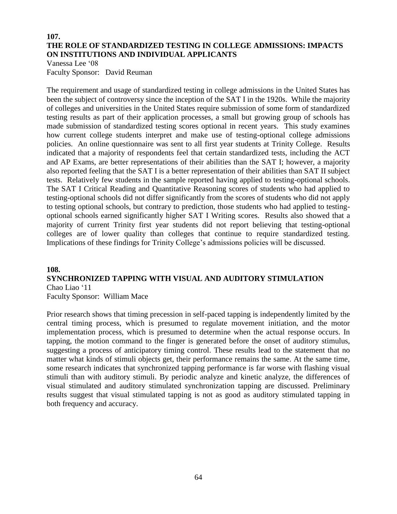## **107. THE ROLE OF STANDARDIZED TESTING IN COLLEGE ADMISSIONS: IMPACTS ON INSTITUTIONS AND INDIVIDUAL APPLICANTS**

Vanessa Lee '08 Faculty Sponsor: David Reuman

The requirement and usage of standardized testing in college admissions in the United States has been the subject of controversy since the inception of the SAT I in the 1920s. While the majority of colleges and universities in the United States require submission of some form of standardized testing results as part of their application processes, a small but growing group of schools has made submission of standardized testing scores optional in recent years. This study examines how current college students interpret and make use of testing-optional college admissions policies. An online questionnaire was sent to all first year students at Trinity College. Results indicated that a majority of respondents feel that certain standardized tests, including the ACT and AP Exams, are better representations of their abilities than the SAT I; however, a majority also reported feeling that the SAT I is a better representation of their abilities than SAT II subject tests. Relatively few students in the sample reported having applied to testing-optional schools. The SAT I Critical Reading and Quantitative Reasoning scores of students who had applied to testing-optional schools did not differ significantly from the scores of students who did not apply to testing optional schools, but contrary to prediction, those students who had applied to testingoptional schools earned significantly higher SAT I Writing scores. Results also showed that a majority of current Trinity first year students did not report believing that testing-optional colleges are of lower quality than colleges that continue to require standardized testing. Implications of these findings for Trinity College's admissions policies will be discussed.

#### **108. SYNCHRONIZED TAPPING WITH VISUAL AND AUDITORY STIMULATION** Chao Liao '11

Faculty Sponsor: William Mace

Prior research shows that timing precession in self-paced tapping is independently limited by the central timing process, which is presumed to regulate movement initiation, and the motor implementation process, which is presumed to determine when the actual response occurs. In tapping, the motion command to the finger is generated before the onset of auditory stimulus, suggesting a process of anticipatory timing control. These results lead to the statement that no matter what kinds of stimuli objects get, their performance remains the same. At the same time, some research indicates that synchronized tapping performance is far worse with flashing visual stimuli than with auditory stimuli. By periodic analyze and kinetic analyze, the differences of visual stimulated and auditory stimulated synchronization tapping are discussed. Preliminary results suggest that visual stimulated tapping is not as good as auditory stimulated tapping in both frequency and accuracy.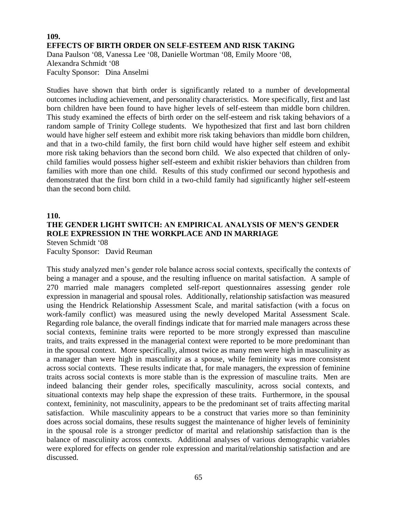## **109. EFFECTS OF BIRTH ORDER ON SELF-ESTEEM AND RISK TAKING** Dana Paulson '08, Vanessa Lee '08, Danielle Wortman '08, Emily Moore '08, Alexandra Schmidt '08 Faculty Sponsor: Dina Anselmi

Studies have shown that birth order is significantly related to a number of developmental outcomes including achievement, and personality characteristics. More specifically, first and last born children have been found to have higher levels of self-esteem than middle born children. This study examined the effects of birth order on the self-esteem and risk taking behaviors of a random sample of Trinity College students. We hypothesized that first and last born children would have higher self esteem and exhibit more risk taking behaviors than middle born children, and that in a two-child family, the first born child would have higher self esteem and exhibit more risk taking behaviors than the second born child. We also expected that children of onlychild families would possess higher self-esteem and exhibit riskier behaviors than children from families with more than one child. Results of this study confirmed our second hypothesis and demonstrated that the first born child in a two-child family had significantly higher self-esteem than the second born child.

#### **110.**

#### **THE GENDER LIGHT SWITCH: AN EMPIRICAL ANALYSIS OF MEN'S GENDER ROLE EXPRESSION IN THE WORKPLACE AND IN MARRIAGE** Steven Schmidt '08

Faculty Sponsor: David Reuman

This study analyzed men's gender role balance across social contexts, specifically the contexts of being a manager and a spouse, and the resulting influence on marital satisfaction. A sample of 270 married male managers completed self-report questionnaires assessing gender role expression in managerial and spousal roles. Additionally, relationship satisfaction was measured using the Hendrick Relationship Assessment Scale, and marital satisfaction (with a focus on work-family conflict) was measured using the newly developed Marital Assessment Scale. Regarding role balance, the overall findings indicate that for married male managers across these social contexts, feminine traits were reported to be more strongly expressed than masculine traits, and traits expressed in the managerial context were reported to be more predominant than in the spousal context. More specifically, almost twice as many men were high in masculinity as a manager than were high in masculinity as a spouse, while femininity was more consistent across social contexts. These results indicate that, for male managers, the expression of feminine traits across social contexts is more stable than is the expression of masculine traits. Men are indeed balancing their gender roles, specifically masculinity, across social contexts, and situational contexts may help shape the expression of these traits. Furthermore, in the spousal context, femininity, not masculinity, appears to be the predominant set of traits affecting marital satisfaction. While masculinity appears to be a construct that varies more so than femininity does across social domains, these results suggest the maintenance of higher levels of femininity in the spousal role is a stronger predictor of marital and relationship satisfaction than is the balance of masculinity across contexts. Additional analyses of various demographic variables were explored for effects on gender role expression and marital/relationship satisfaction and are discussed.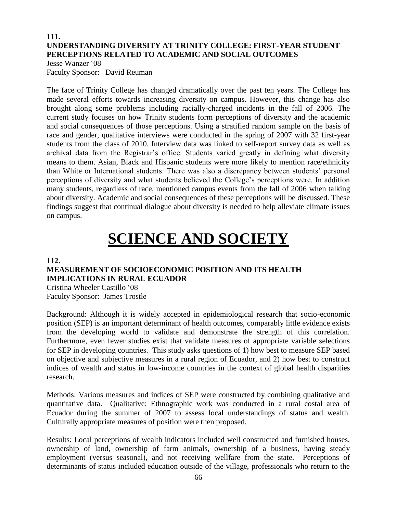## **111. UNDERSTANDING DIVERSITY AT TRINITY COLLEGE: FIRST-YEAR STUDENT PERCEPTIONS RELATED TO ACADEMIC AND SOCIAL OUTCOMES**

Jesse Wanzer '08 Faculty Sponsor: David Reuman

The face of Trinity College has changed dramatically over the past ten years. The College has made several efforts towards increasing diversity on campus. However, this change has also brought along some problems including racially-charged incidents in the fall of 2006. The current study focuses on how Trinity students form perceptions of diversity and the academic and social consequences of those perceptions. Using a stratified random sample on the basis of race and gender, qualitative interviews were conducted in the spring of 2007 with 32 first-year students from the class of 2010. Interview data was linked to self-report survey data as well as archival data from the Registrar's office. Students varied greatly in defining what diversity means to them. Asian, Black and Hispanic students were more likely to mention race/ethnicity than White or International students. There was also a discrepancy between students' personal perceptions of diversity and what students believed the College's perceptions were. In addition many students, regardless of race, mentioned campus events from the fall of 2006 when talking about diversity. Academic and social consequences of these perceptions will be discussed. These findings suggest that continual dialogue about diversity is needed to help alleviate climate issues on campus.

# **SCIENCE AND SOCIETY**

#### **112.**

## **MEASUREMENT OF SOCIOECONOMIC POSITION AND ITS HEALTH IMPLICATIONS IN RURAL ECUADOR**

Cristina Wheeler Castillo '08 Faculty Sponsor: James Trostle

Background: Although it is widely accepted in epidemiological research that socio-economic position (SEP) is an important determinant of health outcomes, comparably little evidence exists from the developing world to validate and demonstrate the strength of this correlation. Furthermore, even fewer studies exist that validate measures of appropriate variable selections for SEP in developing countries. This study asks questions of 1) how best to measure SEP based on objective and subjective measures in a rural region of Ecuador, and 2) how best to construct indices of wealth and status in low-income countries in the context of global health disparities research.

Methods: Various measures and indices of SEP were constructed by combining qualitative and quantitative data. Qualitative: Ethnographic work was conducted in a rural costal area of Ecuador during the summer of 2007 to assess local understandings of status and wealth. Culturally appropriate measures of position were then proposed.

Results: Local perceptions of wealth indicators included well constructed and furnished houses, ownership of land, ownership of farm animals, ownership of a business, having steady employment (versus seasonal), and not receiving wellfare from the state. Perceptions of determinants of status included education outside of the village, professionals who return to the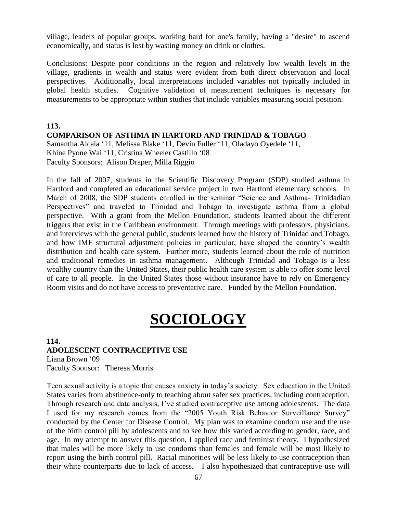village, leaders of popular groups, working hard for one's family, having a "desire" to ascend economically, and status is lost by wasting money on drink or clothes.

Conclusions: Despite poor conditions in the region and relatively low wealth levels in the village, gradients in wealth and status were evident from both direct observation and local perspectives. Additionally, local interpretations included variables not typically included in global health studies. Cognitive validation of measurement techniques is necessary for measurements to be appropriate within studies that include variables measuring social position.

## **113. COMPARISON OF ASTHMA IN HARTORD AND TRINIDAD & TOBAGO**

Samantha Alcala '11, Melissa Blake '11, Devin Fuller '11, Oladayo Oyedele '11, Khine Pyone Wai '11, Cristina Wheeler Castillo '08 Faculty Sponsors: Alison Draper, Milla Riggio

In the fall of 2007, students in the Scientific Discovery Program (SDP) studied asthma in Hartford and completed an educational service project in two Hartford elementary schools. In March of 2008, the SDP students enrolled in the seminar "Science and Asthma- Trinidadian Perspectives" and traveled to Trinidad and Tobago to investigate asthma from a global perspective. With a grant from the Mellon Foundation, students learned about the different triggers that exist in the Caribbean environment. Through meetings with professors, physicians, and interviews with the general public, students learned how the history of Trinidad and Tobago, and how IMF structural adjustment policies in particular, have shaped the country's wealth distribution and health care system. Further more, students learned about the role of nutrition and traditional remedies in asthma management. Although Trinidad and Tobago is a less wealthy country than the United States, their public health care system is able to offer some level of care to all people. In the United States those without insurance have to rely on Emergency Room visits and do not have access to preventative care. Funded by the Mellon Foundation.

# **SOCIOLOGY**

#### **114. ADOLESCENT CONTRACEPTIVE USE** Liana Brown '09 Faculty Sponsor: Theresa Morris

Teen sexual activity is a topic that causes anxiety in today's society. Sex education in the United States varies from abstinence-only to teaching about safer sex practices, including contraception. Through research and data analysis, I've studied contraceptive use among adolescents. The data I used for my research comes from the "2005 Youth Risk Behavior Surveillance Survey" conducted by the Center for Disease Control. My plan was to examine condom use and the use of the birth control pill by adolescents and to see how this varied according to gender, race, and age. In my attempt to answer this question, I applied race and feminist theory. I hypothesized that males will be more likely to use condoms than females and female will be most likely to report using the birth control pill. Racial minorities will be less likely to use contraception than their white counterparts due to lack of access. I also hypothesized that contraceptive use will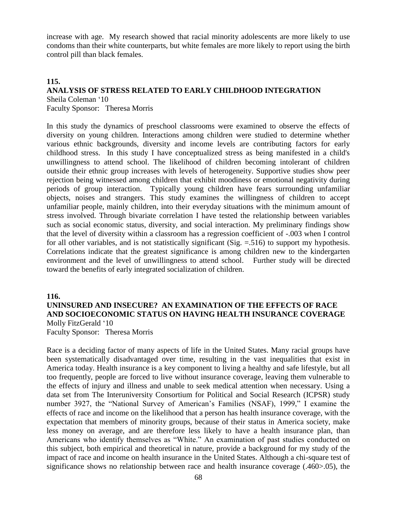increase with age. My research showed that racial minority adolescents are more likely to use condoms than their white counterparts, but white females are more likely to report using the birth control pill than black females.

#### **115. ANALYSIS OF STRESS RELATED TO EARLY CHILDHOOD INTEGRATION**  Sheila Coleman '10

Faculty Sponsor: Theresa Morris

In this study the dynamics of preschool classrooms were examined to observe the effects of diversity on young children. Interactions among children were studied to determine whether various ethnic backgrounds, diversity and income levels are contributing factors for early childhood stress. In this study I have conceptualized stress as being manifested in a child's unwillingness to attend school. The likelihood of children becoming intolerant of children outside their ethnic group increases with levels of heterogeneity. Supportive studies show peer rejection being witnessed among children that exhibit moodiness or emotional negativity during periods of group interaction. Typically young children have fears surrounding unfamiliar objects, noises and strangers. This study examines the willingness of children to accept unfamiliar people, mainly children, into their everyday situations with the minimum amount of stress involved. Through bivariate correlation I have tested the relationship between variables such as social economic status, diversity, and social interaction. My preliminary findings show that the level of diversity within a classroom has a regression coefficient of -.003 when I control for all other variables, and is not statistically significant (Sig.  $= 516$ ) to support my hypothesis. Correlations indicate that the greatest significance is among children new to the kindergarten environment and the level of unwillingness to attend school. Further study will be directed toward the benefits of early integrated socialization of children.

#### **116.**

#### **UNINSURED AND INSECURE? AN EXAMINATION OF THE EFFECTS OF RACE AND SOCIOECONOMIC STATUS ON HAVING HEALTH INSURANCE COVERAGE** Molly FitzGerald '10 Faculty Sponsor: Theresa Morris

Race is a deciding factor of many aspects of life in the United States. Many racial groups have been systematically disadvantaged over time, resulting in the vast inequalities that exist in America today. Health insurance is a key component to living a healthy and safe lifestyle, but all too frequently, people are forced to live without insurance coverage, leaving them vulnerable to the effects of injury and illness and unable to seek medical attention when necessary. Using a data set from The Interuniversity Consortium for Political and Social Research (ICPSR) study number 3927, the "National Survey of American's Families (NSAF), 1999," I examine the effects of race and income on the likelihood that a person has health insurance coverage, with the expectation that members of minority groups, because of their status in America society, make less money on average, and are therefore less likely to have a health insurance plan, than Americans who identify themselves as "White." An examination of past studies conducted on this subject, both empirical and theoretical in nature, provide a background for my study of the impact of race and income on health insurance in the United States. Although a chi-square test of significance shows no relationship between race and health insurance coverage (.460>.05), the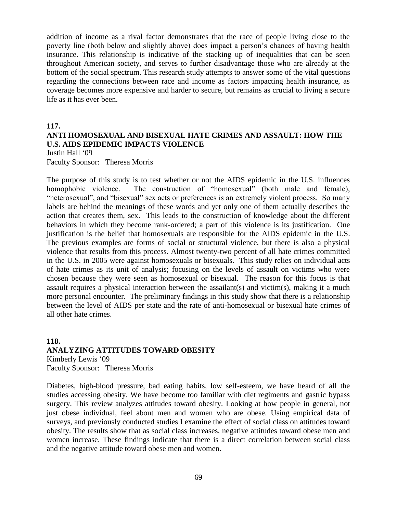addition of income as a rival factor demonstrates that the race of people living close to the poverty line (both below and slightly above) does impact a person's chances of having health insurance. This relationship is indicative of the stacking up of inequalities that can be seen throughout American society, and serves to further disadvantage those who are already at the bottom of the social spectrum. This research study attempts to answer some of the vital questions regarding the connections between race and income as factors impacting health insurance, as coverage becomes more expensive and harder to secure, but remains as crucial to living a secure life as it has ever been.

#### **117.**

#### **ANTI HOMOSEXUAL AND BISEXUAL HATE CRIMES AND ASSAULT: HOW THE U.S. AIDS EPIDEMIC IMPACTS VIOLENCE**

Justin Hall '09

Faculty Sponsor: Theresa Morris

The purpose of this study is to test whether or not the AIDS epidemic in the U.S. influences homophobic violence. The construction of "homosexual" (both male and female), "heterosexual", and "bisexual" sex acts or preferences is an extremely violent process. So many labels are behind the meanings of these words and yet only one of them actually describes the action that creates them, sex. This leads to the construction of knowledge about the different behaviors in which they become rank-ordered; a part of this violence is its justification. One justification is the belief that homosexuals are responsible for the AIDS epidemic in the U.S. The previous examples are forms of social or structural violence, but there is also a physical violence that results from this process. Almost twenty-two percent of all hate crimes committed in the U.S. in 2005 were against homosexuals or bisexuals. This study relies on individual acts of hate crimes as its unit of analysis; focusing on the levels of assault on victims who were chosen because they were seen as homosexual or bisexual. The reason for this focus is that assault requires a physical interaction between the assailant(s) and victim(s), making it a much more personal encounter. The preliminary findings in this study show that there is a relationship between the level of AIDS per state and the rate of anti-homosexual or bisexual hate crimes of all other hate crimes.

## **118. ANALYZING ATTITUDES TOWARD OBESITY** Kimberly Lewis '09

Faculty Sponsor: Theresa Morris

Diabetes, high-blood pressure, bad eating habits, low self-esteem, we have heard of all the studies accessing obesity. We have become too familiar with diet regiments and gastric bypass surgery. This review analyzes attitudes toward obesity. Looking at how people in general, not just obese individual, feel about men and women who are obese. Using empirical data of surveys, and previously conducted studies I examine the effect of social class on attitudes toward obesity. The results show that as social class increases, negative attitudes toward obese men and women increase. These findings indicate that there is a direct correlation between social class and the negative attitude toward obese men and women.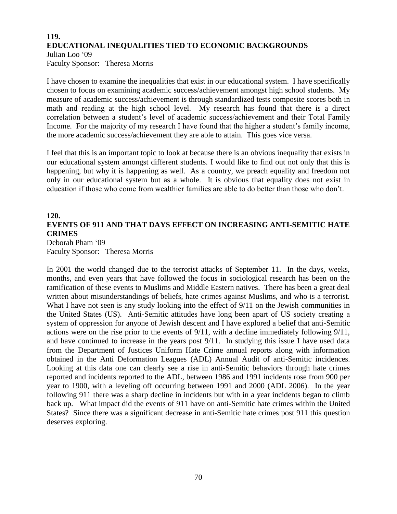## **119. EDUCATIONAL INEQUALITIES TIED TO ECONOMIC BACKGROUNDS** Julian Loo '09 Faculty Sponsor: Theresa Morris

I have chosen to examine the inequalities that exist in our educational system. I have specifically chosen to focus on examining academic success/achievement amongst high school students. My measure of academic success/achievement is through standardized tests composite scores both in math and reading at the high school level. My research has found that there is a direct correlation between a student's level of academic success/achievement and their Total Family Income. For the majority of my research I have found that the higher a student's family income, the more academic success/achievement they are able to attain. This goes vice versa.

I feel that this is an important topic to look at because there is an obvious inequality that exists in our educational system amongst different students. I would like to find out not only that this is happening, but why it is happening as well. As a country, we preach equality and freedom not only in our educational system but as a whole. It is obvious that equality does not exist in education if those who come from wealthier families are able to do better than those who don't.

## **120. EVENTS OF 911 AND THAT DAYS EFFECT ON INCREASING ANTI-SEMITIC HATE CRIMES**

Deborah Pham '09 Faculty Sponsor: Theresa Morris

In 2001 the world changed due to the terrorist attacks of September 11. In the days, weeks, months, and even years that have followed the focus in sociological research has been on the ramification of these events to Muslims and Middle Eastern natives. There has been a great deal written about misunderstandings of beliefs, hate crimes against Muslims, and who is a terrorist. What I have not seen is any study looking into the effect of 9/11 on the Jewish communities in the United States (US). Anti-Semitic attitudes have long been apart of US society creating a system of oppression for anyone of Jewish descent and I have explored a belief that anti-Semitic actions were on the rise prior to the events of 9/11, with a decline immediately following 9/11, and have continued to increase in the years post 9/11. In studying this issue I have used data from the Department of Justices Uniform Hate Crime annual reports along with information obtained in the Anti Deformation Leagues (ADL) Annual Audit of anti-Semitic incidences. Looking at this data one can clearly see a rise in anti-Semitic behaviors through hate crimes reported and incidents reported to the ADL, between 1986 and 1991 incidents rose from 900 per year to 1900, with a leveling off occurring between 1991 and 2000 (ADL 2006). In the year following 911 there was a sharp decline in incidents but with in a year incidents began to climb back up. What impact did the events of 911 have on anti-Semitic hate crimes within the United States? Since there was a significant decrease in anti-Semitic hate crimes post 911 this question deserves exploring.